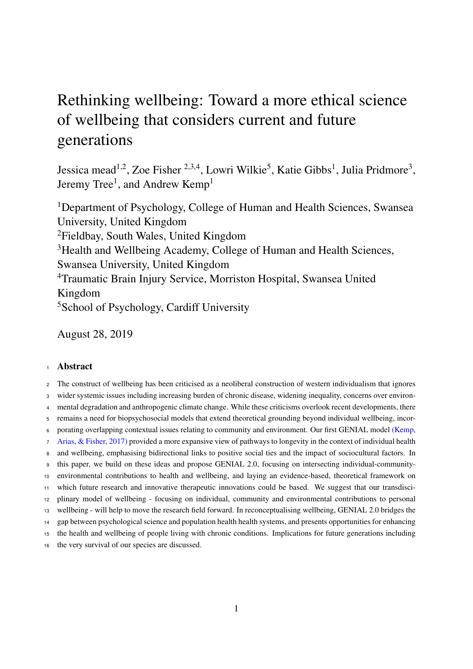## <span id="page-0-0"></span>Rethinking wellbeing: Toward a more ethical science of wellbeing that considers current and future generations

Jessica mead<sup>1,2</sup>, Zoe Fisher <sup>2,3,4</sup>, Lowri Wilkie<sup>5</sup>, Katie Gibbs<sup>1</sup>, Julia Pridmore<sup>3</sup>, Jeremy Tree<sup>1</sup>, and Andrew Kemp<sup>1</sup>

Department of Psychology, College of Human and Health Sciences, Swansea University, United Kingdom Fieldbay, South Wales, United Kingdom <sup>3</sup>Health and Wellbeing Academy, College of Human and Health Sciences, Swansea University, United Kingdom Traumatic Brain Injury Service, Morriston Hospital, Swansea United Kingdom School of Psychology, Cardiff University

August 28, 2019

#### Abstract

 The construct of wellbeing has been criticised as a neoliberal construction of western individualism that ignores wider systemic issues including increasing burden of chronic disease, widening inequality, concerns over environ- mental degradation and anthropogenic climate change. While these criticisms overlook recent developments, there remains a need for biopsychosocial models that extend theoretical grounding beyond individual wellbeing, incor- [p](#page-42-0)orating overlapping contextual issues relating to community and environment. Our first GENIAL model [\(Kemp,](#page-42-0) [Arias, & Fisher, 2017\)](#page-42-0) provided a more expansive view of pathways to longevity in the context of individual health and wellbeing, emphasising bidirectional links to positive social ties and the impact of sociocultural factors. In this paper, we build on these ideas and propose GENIAL 2.0, focusing on intersecting individual-community- environmental contributions to health and wellbeing, and laying an evidence-based, theoretical framework on which future research and innovative therapeutic innovations could be based. We suggest that our transdisci- plinary model of wellbeing - focusing on individual, community and environmental contributions to personal wellbeing - will help to move the research field forward. In reconceptualising wellbeing, GENIAL 2.0 bridges the gap between psychological science and population health health systems, and presents opportunities for enhancing the health and wellbeing of people living with chronic conditions. Implications for future generations including the very survival of our species are discussed.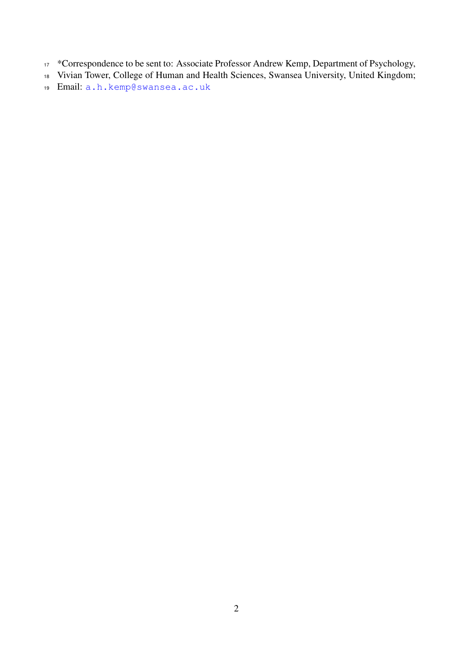- <sup>17</sup> \*Correspondence to be sent to: Associate Professor Andrew Kemp, Department of Psychology,
- Vivian Tower, College of Human and Health Sciences, Swansea University, United Kingdom;
- Email: [a.h.kemp@swansea.ac.uk](mailto:a.h.kemp@swansea.ac.uk)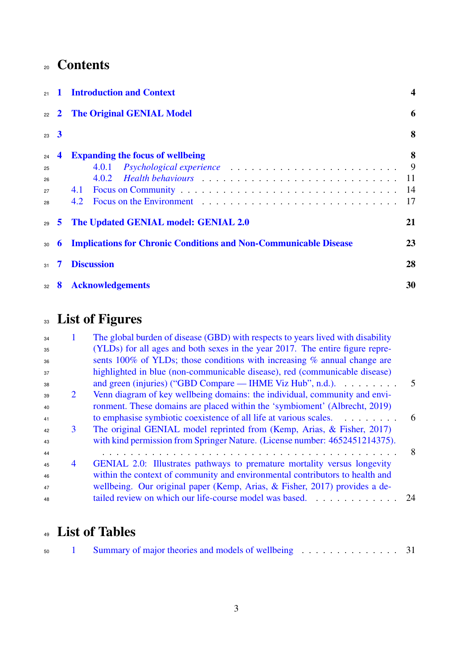## Contents

| 21                         |              | <b>Introduction and Context</b>                                               | $\overline{\mathbf{4}}$    |  |
|----------------------------|--------------|-------------------------------------------------------------------------------|----------------------------|--|
| 22                         | $\mathbf{2}$ | <b>The Original GENIAL Model</b>                                              | 6                          |  |
| $23 \quad 3$               |              |                                                                               | 8                          |  |
| 24<br>25<br>26<br>27<br>28 | 4            | <b>Expanding the focus of wellbeing</b><br>4.0.1<br>4.1<br>4.2                | 8<br>9<br>-11<br>-14<br>17 |  |
| 29                         | 5            | The Updated GENIAL model: GENIAL 2.0                                          | 21                         |  |
| 30                         | 6            | 23<br><b>Implications for Chronic Conditions and Non-Communicable Disease</b> |                            |  |
| 31                         | 7            | <b>Discussion</b>                                                             |                            |  |
| 32                         | 8            | 30<br><b>Acknowledgements</b>                                                 |                            |  |

# <sup>33</sup> List of Figures

| 34 |                | The global burden of disease (GBD) with respects to years lived with disability |     |
|----|----------------|---------------------------------------------------------------------------------|-----|
| 35 |                | (YLDs) for all ages and both sexes in the year 2017. The entire figure repre-   |     |
| 36 |                | sents 100% of YLDs; those conditions with increasing % annual change are        |     |
| 37 |                | highlighted in blue (non-communicable disease), red (communicable disease)      |     |
| 38 |                | and green (injuries) ("GBD Compare — IHME Viz Hub", n.d.).                      | 5   |
| 39 | 2              | Venn diagram of key wellbeing domains: the individual, community and envi-      |     |
| 40 |                | ronment. These domains are placed within the 'symbioment' (Albrecht, 2019)      |     |
| 41 |                | to emphasise symbiotic coexistence of all life at various scales.               | - 6 |
| 42 | 3              | The original GENIAL model reprinted from (Kemp, Arias, & Fisher, 2017)          |     |
| 43 |                | with kind permission from Springer Nature. (License number: 4652451214375).     |     |
| 44 |                |                                                                                 | 8   |
| 45 | $\overline{4}$ | GENIAL 2.0: Illustrates pathways to premature mortality versus longevity        |     |
| 46 |                | within the context of community and environmental contributors to health and    |     |
| 47 |                | wellbeing. Our original paper (Kemp, Arias, & Fisher, 2017) provides a de-      |     |
| 48 |                | tailed review on which our life-course model was based.<br>.                    | 24  |

## List of Tables

| 50 |  |  |
|----|--|--|
|    |  |  |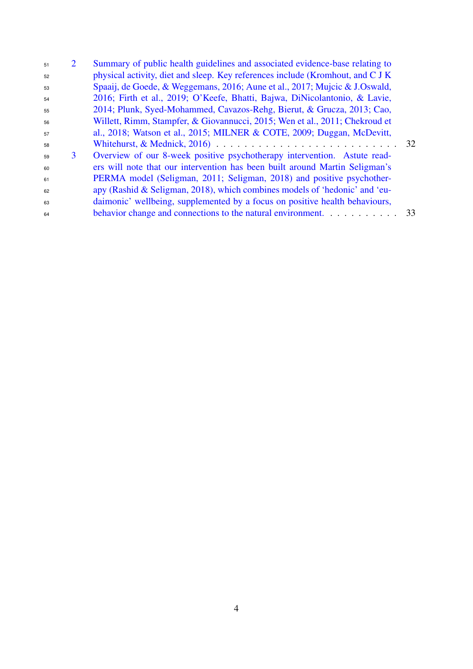| 51 | 2 | Summary of public health guidelines and associated evidence-base relating to   |    |
|----|---|--------------------------------------------------------------------------------|----|
| 52 |   | physical activity, diet and sleep. Key references include (Kromhout, and C J K |    |
| 53 |   | Spaaij, de Goede, & Weggemans, 2016; Aune et al., 2017; Mujcic & J.Oswald,     |    |
| 54 |   | 2016; Firth et al., 2019; O'Keefe, Bhatti, Bajwa, DiNicolantonio, & Lavie,     |    |
| 55 |   | 2014; Plunk, Syed-Mohammed, Cavazos-Rehg, Bierut, & Grucza, 2013; Cao,         |    |
| 56 |   | Willett, Rimm, Stampfer, & Giovannucci, 2015; Wen et al., 2011; Chekroud et    |    |
| 57 |   | al., 2018; Watson et al., 2015; MILNER & COTE, 2009; Duggan, McDevitt,         |    |
| 58 |   |                                                                                | 32 |
| 59 | 3 | Overview of our 8-week positive psychotherapy intervention. Astute read-       |    |
| 60 |   | ers will note that our intervention has been built around Martin Seligman's    |    |
| 61 |   | PERMA model (Seligman, 2011; Seligman, 2018) and positive psychother-          |    |
| 62 |   | apy (Rashid & Seligman, 2018), which combines models of 'hedonic' and 'eu-     |    |
| 63 |   | daimonic' wellbeing, supplemented by a focus on positive health behaviours,    |    |
| 64 |   | behavior change and connections to the natural environment.                    | 33 |
|    |   |                                                                                |    |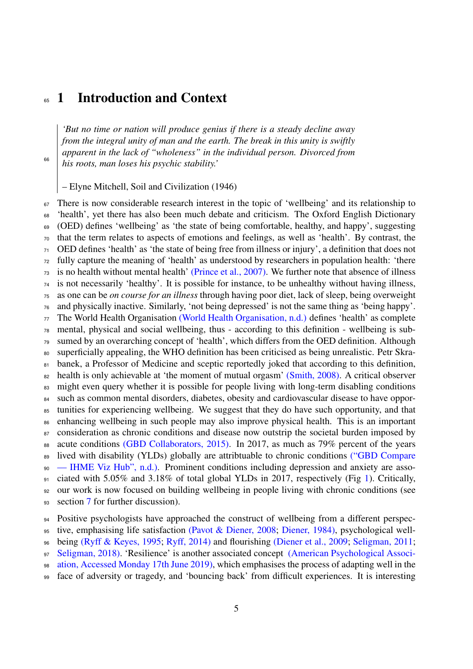## <span id="page-4-0"></span>**65 1 Introduction and Context**

*'But no time or nation will produce genius if there is a steady decline away from the integral unity of man and the earth. The break in this unity is swiftly apparent in the lack of "wholeness" in the individual person. Divorced from his roots, man loses his psychic stability.'*

– Elyne Mitchell, Soil and Civilization (1946)

<sup>67</sup> There is now considerable research interest in the topic of 'wellbeing' and its relationship to 'health', yet there has also been much debate and criticism. The Oxford English Dictionary (OED) defines 'wellbeing' as 'the state of being comfortable, healthy, and happy', suggesting that the term relates to aspects of emotions and feelings, as well as 'health'. By contrast, the OED defines 'health' as 'the state of being free from illness or injury', a definition that does not fully capture the meaning of 'health' as understood by researchers in population health: 'there is no health without mental health' [\(Prince et al., 2007\).](#page-47-2) We further note that absence of illness is not necessarily 'healthy'. It is possible for instance, to be unhealthy without having illness, as one can be *on course for an illness* through having poor diet, lack of sleep, being overweight and physically inactive. Similarly, 'not being depressed' is not the same thing as 'being happy'. The World Health Organisation [\(World Health Organisation, n.d.\)](#page-52-0) defines 'health' as complete mental, physical and social wellbeing, thus - according to this definition - wellbeing is sub- sumed by an overarching concept of 'health', which differs from the OED definition. Although superficially appealing, the WHO definition has been criticised as being unrealistic. Petr Skra-81 banek, a Professor of Medicine and sceptic reportedly joked that according to this definition, <sup>82</sup> health is only achievable at 'the moment of mutual orgasm' [\(Smith, 2008\).](#page-49-1) A critical observer <sup>83</sup> might even query whether it is possible for people living with long-term disabling conditions <sup>84</sup> such as common mental disorders, diabetes, obesity and cardiovascular disease to have oppor- tunities for experiencing wellbeing. We suggest that they do have such opportunity, and that enhancing wellbeing in such people may also improve physical health. This is an important 87 consideration as chronic conditions and disease now outstrip the societal burden imposed by acute conditions [\(GBD Collaborators, 2015\).](#page-52-1) In 2017, as much as 79% percent of the years [l](#page-34-0)ived with disability (YLDs) globally are attribtuable to chronic conditions [\("GBD Compare](#page-34-0) [— IHME Viz Hub", n.d.\).](#page-34-0) Prominent conditions including depression and anxiety are asso- ciated with 5.05% and 3.18% of total global YLDs in 2017, respectively (Fig [1\)](#page-5-0). Critically, our work is now focused on building wellbeing in people living with chronic conditions (see 93 section [7](#page-28-0) for further discussion).

Positive psychologists have approached the construct of wellbeing from a different perspec-

tive, emphasising life satisfaction [\(Pavot & Diener, 2008;](#page-46-0) [Diener, 1984\),](#page-38-0) psychological well-

being [\(Ryff & Keyes, 1995;](#page-48-1) [Ryff, 2014\)](#page-48-2) and flourishing [\(Diener et al., 2009;](#page-38-1) [Seligman, 2011;](#page-48-0)

[Seligman, 2018\).](#page-49-0) 'Resilience' is another associated concept [\(American Psychological Associ-](#page-52-2)

[ation, Accessed Monday 17th June 2019\),](#page-52-2) which emphasises the process of adapting well in the

face of adversity or tragedy, and 'bouncing back' from difficult experiences. It is interesting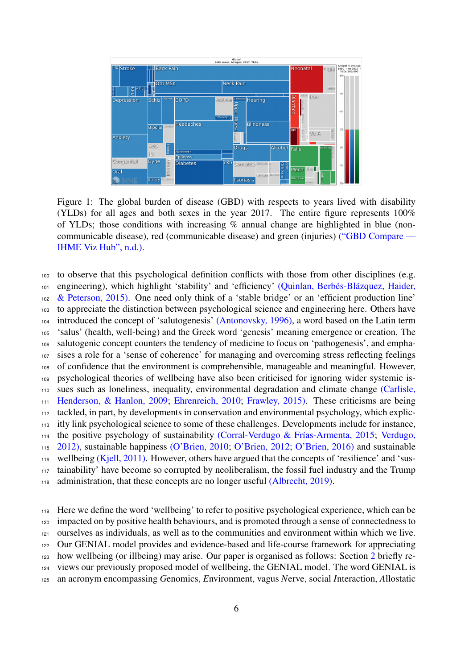

<span id="page-5-0"></span>Figure 1: The global burden of disease (GBD) with respects to years lived with disability (YLDs) for all ages and both sexes in the year 2017. The entire figure represents 100% of YLDs; those conditions with increasing  $\%$  annual change are highlighted in blue (noncommunicable disease), red (communicable disease) and green (injuries) [\("GBD Compare —](#page-34-0) [IHME Viz Hub", n.d.\).](#page-34-0)

 to observe that this psychological definition conflicts with those from other disciplines (e.g. [e](#page-47-3)ngineering), which highlight 'stability' and 'efficiency' (Quinlan, Berbés-Blázquez, Haider, [& Peterson, 2015\).](#page-47-3) One need only think of a 'stable bridge' or an 'efficient production line' to appreciate the distinction between psychological science and engineering here. Others have introduced the concept of 'salutogenesis' [\(Antonovsky, 1996\),](#page-34-3) a word based on the Latin term 'salus' (health, well-being) and the Greek word 'genesis' meaning emergence or creation. The salutogenic concept counters the tendency of medicine to focus on 'pathogenesis', and empha- sises a role for a 'sense of coherence' for managing and overcoming stress reflecting feelings of confidence that the environment is comprehensible, manageable and meaningful. However, psychological theories of wellbeing have also been criticised for ignoring wider systemic is- [s](#page-36-2)ues such as loneliness, inequality, environmental degradation and climate change [\(Carlisle,](#page-36-2) [Henderson, & Hanlon, 2009;](#page-36-2) [Ehrenreich, 2010;](#page-39-2) [Frawley, 2015\).](#page-39-3) These criticisms are being tackled, in part, by developments in conservation and environmental psychology, which explic- itly link psychological science to some of these challenges. Developments include for instance, [t](#page-51-2)he positive psychology of sustainability (Corral-Verdugo & Frías-Armenta, 2015; [Verdugo,](#page-51-2) [2012\),](#page-51-2) sustainable happiness [\(O'Brien, 2010;](#page-46-1) [O'Brien, 2012;](#page-45-2) [O'Brien, 2016\)](#page-45-3) and sustainable 116 wellbeing [\(Kjell, 2011\).](#page-43-1) However, others have argued that the concepts of 'resilience' and 'sus- tainability' have become so corrupted by neoliberalism, the fossil fuel industry and the Trump administration, that these concepts are no longer useful [\(Albrecht, 2019\).](#page-34-1)

 Here we define the word 'wellbeing' to refer to positive psychological experience, which can be impacted on by positive health behaviours, and is promoted through a sense of connectedness to ourselves as individuals, as well as to the communities and environment within which we live. Our GENIAL model provides and evidence-based and life-course framework for appreciating how wellbeing (or illbeing) may arise. Our paper is organised as follows: Section [2](#page-6-0) briefly re- views our previously proposed model of wellbeing, the GENIAL model. The word GENIAL is an acronym encompassing *G*enomics, *E*nvironment, vagus *N*erve, social *I*nteraction, *A*llostatic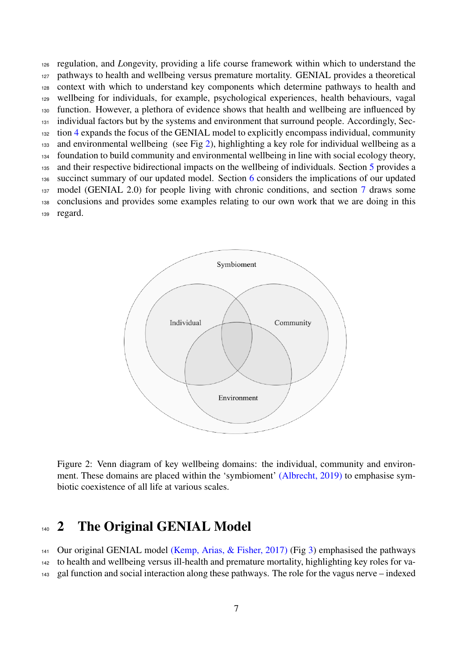regulation, and *L*ongevity, providing a life course framework within which to understand the pathways to health and wellbeing versus premature mortality. GENIAL provides a theoretical context with which to understand key components which determine pathways to health and wellbeing for individuals, for example, psychological experiences, health behaviours, vagal function. However, a plethora of evidence shows that health and wellbeing are influenced by individual factors but by the systems and environment that surround people. Accordingly, Sec- tion [4](#page-8-1) expands the focus of the GENIAL model to explicitly encompass individual, community and environmental wellbeing (see Fig [2\)](#page-6-1), highlighting a key role for individual wellbeing as a foundation to build community and environmental wellbeing in line with social ecology theory, [5](#page-21-0) and their respective bidirectional impacts on the wellbeing of individuals. Section 5 provides a succinct summary of our updated model. Section [6](#page-23-0) considers the implications of our updated model (GENIAL 2.0) for people living with chronic conditions, and section [7](#page-28-0) draws some conclusions and provides some examples relating to our own work that we are doing in this regard.



<span id="page-6-1"></span>Figure 2: Venn diagram of key wellbeing domains: the individual, community and environment. These domains are placed within the 'symbioment' [\(Albrecht, 2019\)](#page-34-1) to emphasise symbiotic coexistence of all life at various scales.

## <span id="page-6-0"></span>140 2 The Original GENIAL Model

 Our original GENIAL model [\(Kemp, Arias, & Fisher, 2017\)](#page-42-0) (Fig [3\)](#page-8-2) emphasised the pathways to health and wellbeing versus ill-health and premature mortality, highlighting key roles for va-gal function and social interaction along these pathways. The role for the vagus nerve – indexed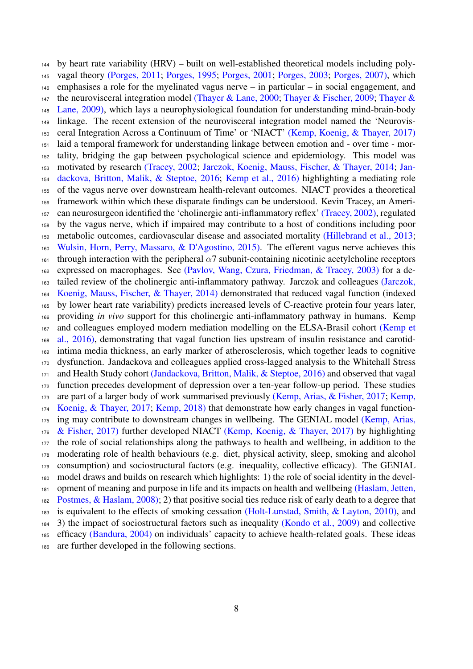by heart rate variability (HRV) – built on well-established theoretical models including poly- vagal theory [\(Porges, 2011;](#page-47-4) [Porges, 1995;](#page-47-5) [Porges, 2001;](#page-47-6) [Porges, 2003;](#page-47-7) [Porges, 2007\),](#page-47-8) which emphasises a role for the myelinated vagus nerve – in particular – in social engagement, and [t](#page-50-2)he neurovisceral integration model [\(Thayer & Lane, 2000;](#page-50-0) [Thayer & Fischer, 2009;](#page-50-1) [Thayer &](#page-50-2) [Lane, 2009\),](#page-50-2) which lays a neurophysiological foundation for understanding mind-brain-body linkage. The recent extension of the neurovisceral integration model named the 'Neurovis- ceral Integration Across a Continuum of Time' or 'NIACT' [\(Kemp, Koenig, & Thayer, 2017\)](#page-42-1) laid a temporal framework for understanding linkage between emotion and - over time - mor- tality, bridging the gap between psychological science and epidemiology. This model was [m](#page-41-1)otivated by research [\(Tracey, 2002;](#page-51-3) [Jarczok, Koenig, Mauss, Fischer, & Thayer, 2014;](#page-41-0) [Jan-](#page-41-1) [dackova, Britton, Malik, & Steptoe, 2016;](#page-41-1) [Kemp et al., 2016\)](#page-42-2) highlighting a mediating role of the vagus nerve over downstream health-relevant outcomes. NIACT provides a theoretical framework within which these disparate findings can be understood. Kevin Tracey, an Ameri- can neurosurgeon identified the 'cholinergic anti-inflammatory reflex' [\(Tracey, 2002\),](#page-51-3) regulated by the vagus nerve, which if impaired may contribute to a host of conditions including poor metabolic outcomes, cardiovascular disease and associated mortality [\(Hillebrand et al., 2013;](#page-41-2) [Wulsin, Horn, Perry, Massaro, & D'Agostino, 2015\).](#page-52-3) The efferent vagus nerve achieves this 161 through interaction with the peripheral  $\alpha$ 7 subunit-containing nicotinic acetylcholine receptors expressed on macrophages. See [\(Pavlov, Wang, Czura, Friedman, & Tracey, 2003\)](#page-46-2) for a de- [t](#page-41-0)ailed review of the cholinergic anti-inflammatory pathway. Jarczok and colleagues [\(Jarczok,](#page-41-0) [Koenig, Mauss, Fischer, & Thayer, 2014\)](#page-41-0) demonstrated that reduced vagal function (indexed by lower heart rate variability) predicts increased levels of C-reactive protein four years later, providing *in vivo* support for this cholinergic anti-inflammatory pathway in humans. Kemp [a](#page-42-2)nd colleagues employed modern mediation modelling on the ELSA-Brasil cohort [\(Kemp et](#page-42-2) [al., 2016\),](#page-42-2) demonstrating that vagal function lies upstream of insulin resistance and carotid- intima media thickness, an early marker of atherosclerosis, which together leads to cognitive dysfunction. Jandackova and colleagues applied cross-lagged analysis to the Whitehall Stress and Health Study cohort [\(Jandackova, Britton, Malik, & Steptoe, 2016\)](#page-41-1) and observed that vagal function precedes development of depression over a ten-year follow-up period. These studies [a](#page-42-1)re part of a larger body of work summarised previously [\(Kemp, Arias, & Fisher, 2017;](#page-42-0) [Kemp,](#page-42-1) [Koenig, & Thayer, 2017;](#page-42-1) [Kemp, 2018\)](#page-42-3) that demonstrate how early changes in vagal function- [i](#page-42-0)ng may contribute to downstream changes in wellbeing. The GENIAL model [\(Kemp, Arias,](#page-42-0) [& Fisher, 2017\)](#page-42-0) further developed NIACT [\(Kemp, Koenig, & Thayer, 2017\)](#page-42-1) by highlighting the role of social relationships along the pathways to health and wellbeing, in addition to the moderating role of health behaviours (e.g. diet, physical activity, sleep, smoking and alcohol consumption) and sociostructural factors (e.g. inequality, collective efficacy). The GENIAL model draws and builds on research which highlights: 1) the role of social identity in the devel[o](#page-40-0)pment of meaning and purpose in life and its impacts on health and wellbeing [\(Haslam, Jetten,](#page-40-0) [Postmes, & Haslam, 2008\);](#page-40-0) 2) that positive social ties reduce risk of early death to a degree that is equivalent to the effects of smoking cessation [\(Holt-Lunstad, Smith, & Layton, 2010\),](#page-41-3) and 3) the impact of sociostructural factors such as inequality [\(Kondo et al., 2009\)](#page-43-2) and collective efficacy [\(Bandura, 2004\)](#page-35-0) on individuals' capacity to achieve health-related goals. These ideas are further developed in the following sections.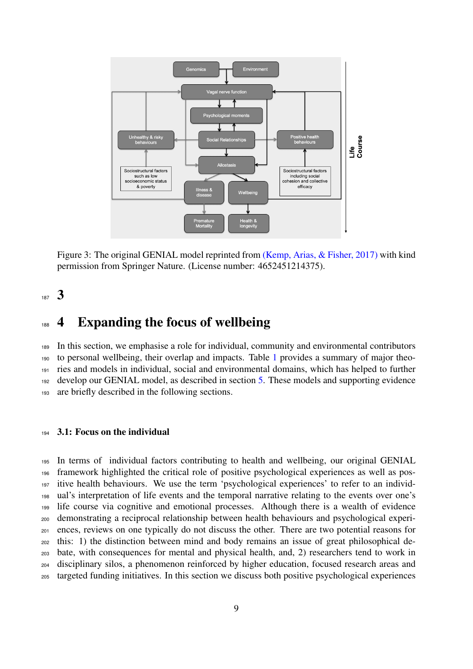

<span id="page-8-2"></span>Figure 3: The original GENIAL model reprinted from [\(Kemp, Arias, & Fisher, 2017\)](#page-42-0) with kind permission from Springer Nature. (License number: 4652451214375).

### <span id="page-8-0"></span>187 3

## <span id="page-8-1"></span>4 Expanding the focus of wellbeing

 In this section, we emphasise a role for individual, community and environmental contributors to personal wellbeing, their overlap and impacts. Table [1](#page-31-0) provides a summary of major theo- ries and models in individual, social and environmental domains, which has helped to further develop our GENIAL model, as described in section [5.](#page-21-0) These models and supporting evidence are briefly described in the following sections.

#### 3.1: Focus on the individual

 In terms of individual factors contributing to health and wellbeing, our original GENIAL framework highlighted the critical role of positive psychological experiences as well as pos- itive health behaviours. We use the term 'psychological experiences' to refer to an individ- ual's interpretation of life events and the temporal narrative relating to the events over one's life course via cognitive and emotional processes. Although there is a wealth of evidence demonstrating a reciprocal relationship between health behaviours and psychological experi- ences, reviews on one typically do not discuss the other. There are two potential reasons for this: 1) the distinction between mind and body remains an issue of great philosophical de- bate, with consequences for mental and physical health, and, 2) researchers tend to work in disciplinary silos, a phenomenon reinforced by higher education, focused research areas and targeted funding initiatives. In this section we discuss both positive psychological experiences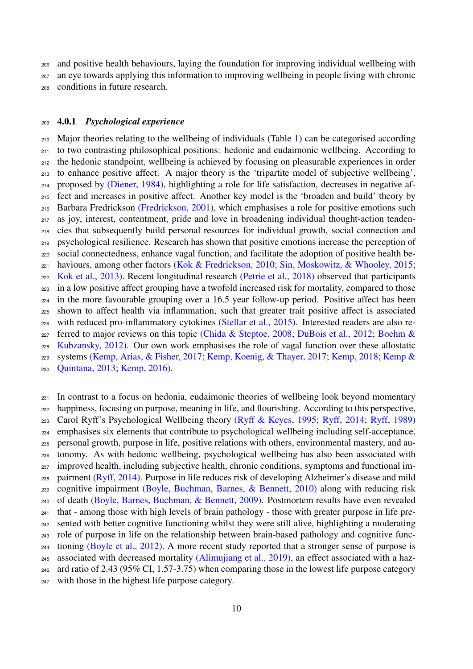and positive health behaviours, laying the foundation for improving individual wellbeing with an eye towards applying this information to improving wellbeing in people living with chronic conditions in future research.

#### <span id="page-9-0"></span>4.0.1 *Psychological experience*

 Major theories relating to the wellbeing of individuals (Table [1\)](#page-31-0) can be categorised according to two contrasting philosophical positions: hedonic and eudaimonic wellbeing. According to the hedonic standpoint, wellbeing is achieved by focusing on pleasurable experiences in order to enhance positive affect. A major theory is the 'tripartite model of subjective wellbeing', proposed by [\(Diener, 1984\),](#page-38-0) highlighting a role for life satisfaction, decreases in negative af- fect and increases in positive affect. Another key model is the 'broaden and build' theory by Barbara Fredrickson [\(Fredrickson, 2001\),](#page-39-4) which emphasises a role for positive emotions such as joy, interest, contentment, pride and love in broadening individual thought-action tenden- cies that subsequently build personal resources for individual growth, social connection and psychological resilience. Research has shown that positive emotions increase the perception of social connectedness, enhance vagal function, and facilitate the adoption of positive health be-221 haviours, among other factors [\(Kok & Fredrickson, 2010;](#page-43-3) [Sin, Moskowitz, & Whooley, 2015;](#page-49-2) [Kok et al., 2013\).](#page-43-4) Recent longitudinal research [\(Petrie et al., 2018\)](#page-46-3) observed that participants in a low positive affect grouping have a twofold increased risk for mortality, compared to those in the more favourable grouping over a 16.5 year follow-up period. Positive affect has been shown to affect health via inflammation, such that greater trait positive affect is associated with reduced pro-inflammatory cytokines [\(Stellar et al., 2015\).](#page-50-3) Interested readers are also re<sup>227</sup> [f](#page-35-1)erred to major reviews on this topic [\(Chida & Steptoe, 2008;](#page-37-1) [DuBois et al., 2012;](#page-38-2) [Boehm &](#page-35-1) [Kubzansky, 2012\).](#page-35-1) Our own work emphasises the role of vagal function over these allostatic [s](#page-42-5)ystems [\(Kemp, Arias, & Fisher, 2017;](#page-42-0) [Kemp, Koenig, & Thayer, 2017;](#page-42-4) [Kemp, 2018;](#page-42-3) [Kemp &](#page-42-5)

[Quintana, 2013;](#page-42-5) [Kemp, 2016\).](#page-42-6)

 In contrast to a focus on hedonia, eudaimonic theories of wellbeing look beyond momentary happiness, focusing on purpose, meaning in life, and flourishing. According to this perspective, Carol Ryff's Psychological Wellbeing theory [\(Ryff & Keyes, 1995;](#page-48-1) [Ryff, 2014;](#page-48-2) [Ryff, 1989\)](#page-48-3) emphasises six elements that contribute to psychological wellbeing including self-acceptance, personal growth, purpose in life, positive relations with others, environmental mastery, and au- tonomy. As with hedonic wellbeing, psychological wellbeing has also been associated with <sup>237</sup> improved health, including subjective health, chronic conditions, symptoms and functional im- pairment [\(Ryff, 2014\).](#page-48-2) Purpose in life reduces risk of developing Alzheimer's disease and mild cognitive impairment [\(Boyle, Buchman, Barnes, & Bennett, 2010\)](#page-36-3) along with reducing risk of death [\(Boyle, Barnes, Buchman, & Bennett, 2009\).](#page-35-2) Postmortem results have even revealed that - among those with high levels of brain pathology - those with greater purpose in life pre- sented with better cognitive functioning whilst they were still alive, highlighting a moderating role of purpose in life on the relationship between brain-based pathology and cognitive func- tioning [\(Boyle et al., 2012\).](#page-36-4) A more recent study reported that a stronger sense of purpose is 245 associated with decreased mortality [\(Alimujiang et al., 2019\),](#page-34-4) an effect associated with a haz-ard ratio of 2.43 (95% CI, 1.57-3.75) when comparing those in the lowest life purpose category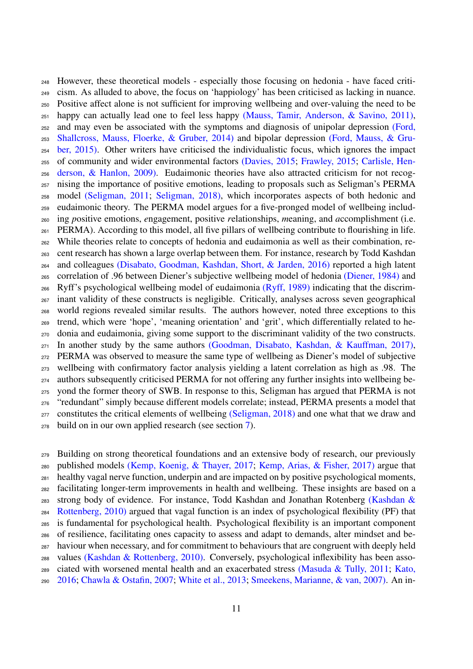However, these theoretical models - especially those focusing on hedonia - have faced criti- cism. As alluded to above, the focus on 'happiology' has been criticised as lacking in nuance. Positive affect alone is not sufficient for improving wellbeing and over-valuing the need to be  $_{251}$  happy can actually lead one to feel less happy [\(Mauss, Tamir, Anderson, & Savino, 2011\),](#page-44-1) [a](#page-39-5)nd may even be associated with the symptoms and diagnosis of unipolar depression [\(Ford,](#page-39-5) [Shallcross, Mauss, Floerke, & Gruber, 2014\)](#page-39-5) and bipolar depression [\(Ford, Mauss, & Gru-](#page-39-6) [ber, 2015\).](#page-39-6) Other writers have criticised the individualistic focus, which ignores the impact [o](#page-36-2)f community and wider environmental factors [\(Davies, 2015;](#page-38-3) [Frawley, 2015;](#page-39-3) [Carlisle, Hen-](#page-36-2) [derson, & Hanlon, 2009\).](#page-36-2) Eudaimonic theories have also attracted criticism for not recog- nising the importance of positive emotions, leading to proposals such as Seligman's PERMA model [\(Seligman, 2011;](#page-48-0) [Seligman, 2018\),](#page-49-0) which incorporates aspects of both hedonic and eudaimonic theory. The PERMA model argues for a five-pronged model of wellbeing includ- ing *p*ositive emotions, *e*ngagement, positive *r*elationships, *m*eaning, and *a*ccomplishment (i.e. PERMA). According to this model, all five pillars of wellbeing contribute to flourishing in life. While theories relate to concepts of hedonia and eudaimonia as well as their combination, re- cent research has shown a large overlap between them. For instance, research by Todd Kashdan and colleagues [\(Disabato, Goodman, Kashdan, Short, & Jarden, 2016\)](#page-38-4) reported a high latent correlation of .96 between Diener's subjective wellbeing model of hedonia [\(Diener, 1984\)](#page-38-0) and Ryff's psychological wellbeing model of eudaimonia [\(Ryff, 1989\)](#page-48-3) indicating that the discrim- inant validity of these constructs is negligible. Critically, analyses across seven geographical world regions revealed similar results. The authors however, noted three exceptions to this trend, which were 'hope', 'meaning orientation' and 'grit', which differentially related to he- donia and eudaimonia, giving some support to the discriminant validity of the two constructs.  $_{271}$  In another study by the same authors [\(Goodman, Disabato, Kashdan, & Kauffman, 2017\),](#page-40-1) PERMA was observed to measure the same type of wellbeing as Diener's model of subjective wellbeing with confirmatory factor analysis yielding a latent correlation as high as .98. The authors subsequently criticised PERMA for not offering any further insights into wellbeing be- yond the former theory of SWB. In response to this, Seligman has argued that PERMA is not "redundant" simply because different models correlate; instead, PERMA presents a model that <sub>277</sub> constitutes the critical elements of wellbeing [\(Seligman, 2018\)](#page-49-0) and one what that we draw and build on in our own applied research (see section [7\)](#page-28-0).

 Building on strong theoretical foundations and an extensive body of research, our previously published models [\(Kemp, Koenig, & Thayer, 2017;](#page-42-1) [Kemp, Arias, & Fisher, 2017\)](#page-42-0) argue that healthy vagal nerve function, underpin and are impacted on by positive psychological moments, facilitating longer-term improvements in health and wellbeing. These insights are based on a [s](#page-42-7)trong body of evidence. For instance, Todd Kashdan and Jonathan Rotenberg [\(Kashdan &](#page-42-7) [Rottenberg, 2010\)](#page-42-7) argued that vagal function is an index of psychological flexibility (PF) that is fundamental for psychological health. Psychological flexibility is an important component of resilience, facilitating ones capacity to assess and adapt to demands, alter mindset and be- haviour when necessary, and for commitment to behaviours that are congruent with deeply held values [\(Kashdan & Rottenberg, 2010\).](#page-42-8) Conversely, psychological inflexibility has been asso- [c](#page-42-9)iated with worsened mental health and an exacerbated stress [\(Masuda & Tully, 2011;](#page-44-2) [Kato,](#page-42-9) [2016;](#page-42-9) [Chawla & Ostafin, 2007;](#page-36-5) [White et al., 2013;](#page-52-4) [Smeekens, Marianne, & van, 2007\).](#page-49-3) An in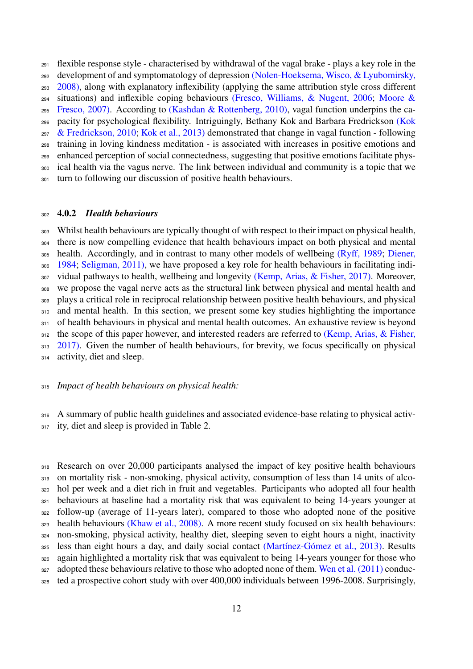[d](#page-45-4)evelopment of and symptomatology of depression [\(Nolen-Hoeksema, Wisco, & Lyubomirsky,](#page-45-4) [2008\),](#page-45-4) along with explanatory inflexibility (applying the same attribution style cross different [s](#page-45-5)ituations) and inflexible coping behaviours [\(Fresco, Williams, & Nugent, 2006;](#page-40-2) [Moore &](#page-45-5) [Fresco, 2007\).](#page-45-5) According to [\(Kashdan & Rottenberg, 2010\),](#page-42-7) vagal function underpins the ca- [p](#page-43-5)acity for psychological flexibility. Intriguingly, Bethany Kok and Barbara Fredrickson [\(Kok](#page-43-5)  $297 \&$  Fredrickson, 2010; [Kok et al., 2013\)](#page-43-6) demonstrated that change in vagal function - following training in loving kindness meditation - is associated with increases in positive emotions and enhanced perception of social connectedness, suggesting that positive emotions facilitate phys- ical health via the vagus nerve. The link between individual and community is a topic that we turn to following our discussion of positive health behaviours.

flexible response style - characterised by withdrawal of the vagal brake - plays a key role in the

#### <span id="page-11-0"></span>4.0.2 *Health behaviours*

 Whilst health behaviours are typically thought of with respect to their impact on physical health, there is now compelling evidence that health behaviours impact on both physical and mental [h](#page-38-0)ealth. Accordingly, and in contrast to many other models of wellbeing [\(Ryff, 1989;](#page-48-3) [Diener,](#page-38-0) [1984;](#page-38-0) [Seligman, 2011\),](#page-49-4) we have proposed a key role for health behaviours in facilitating indi- vidual pathways to health, wellbeing and longevity [\(Kemp, Arias, & Fisher, 2017\).](#page-42-0) Moreover, we propose the vagal nerve acts as the structural link between physical and mental health and plays a critical role in reciprocal relationship between positive health behaviours, and physical and mental health. In this section, we present some key studies highlighting the importance 311 of health behaviours in physical and mental health outcomes. An exhaustive review is beyond [t](#page-42-0)he scope of this paper however, and interested readers are referred to [\(Kemp, Arias, & Fisher,](#page-42-0) [2017\).](#page-42-0) Given the number of health behaviours, for brevity, we focus specifically on physical activity, diet and sleep.

#### *Impact of health behaviours on physical health:*

 A summary of public health guidelines and associated evidence-base relating to physical activ-ity, diet and sleep is provided in Table 2.

318 Research on over 20,000 participants analysed the impact of key positive health behaviours on mortality risk - non-smoking, physical activity, consumption of less than 14 units of alco- hol per week and a diet rich in fruit and vegetables. Participants who adopted all four health behaviours at baseline had a mortality risk that was equivalent to being 14-years younger at follow-up (average of 11-years later), compared to those who adopted none of the positive health behaviours [\(Khaw et al., 2008\).](#page-0-0) A more recent study focused on six health behaviours: non-smoking, physical activity, healthy diet, sleeping seven to eight hours a night, inactivity <sup>325</sup> less than eight hours a day, and daily social contact (Martínez-Gómez et al., 2013). Results again highlighted a mortality risk that was equivalent to being 14-years younger for those who adopted these behaviours relative to those who adopted none of them. [Wen et al. \(2011\)](#page-0-0) conduc-ted a prospective cohort study with over 400,000 individuals between 1996-2008. Surprisingly,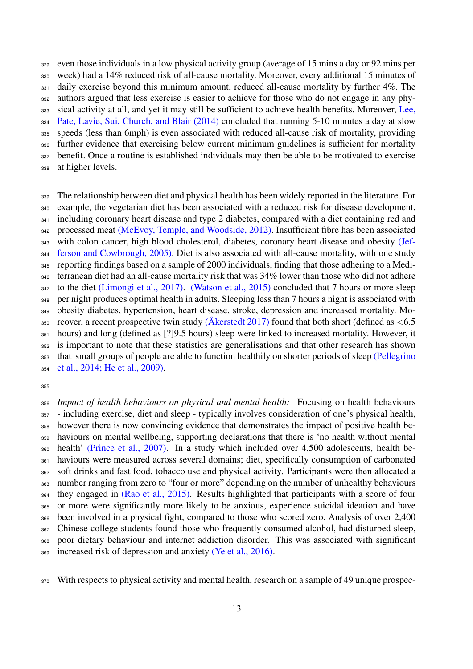even those individuals in a low physical activity group (average of 15 mins a day or 92 mins per week) had a 14% reduced risk of all-cause mortality. Moreover, every additional 15 minutes of 331 daily exercise beyond this minimum amount, reduced all-cause mortality by further 4%. The authors argued that less exercise is easier to achieve for those who do not engage in any phy- [s](#page-0-0)ical activity at all, and yet it may still be sufficient to achieve health benefits. Moreover, [Lee,](#page-0-0) [Pate, Lavie, Sui, Church, and Blair \(2014\)](#page-0-0) concluded that running 5-10 minutes a day at slow speeds (less than 6mph) is even associated with reduced all-cause risk of mortality, providing further evidence that exercising below current minimum guidelines is sufficient for mortality 337 benefit. Once a routine is established individuals may then be able to be motivated to exercise at higher levels.

 The relationship between diet and physical health has been widely reported in the literature. For example, the vegetarian diet has been associated with a reduced risk for disease development, 341 including coronary heart disease and type 2 diabetes, compared with a diet containing red and 342 processed meat [\(McEvoy, Temple, and Woodside, 2012\).](#page-0-0) Insufficient fibre has been associated [w](#page-0-0)ith colon cancer, high blood cholesterol, diabetes, coronary heart disease and obesity [\(Jef-](#page-0-0) [ferson and Cowbrough, 2005\).](#page-0-0) Diet is also associated with all-cause mortality, with one study reporting findings based on a sample of 2000 individuals, finding that those adhering to a Medi- terranean diet had an all-cause mortality risk that was 34% lower than those who did not adhere to the diet [\(Limongi et al., 2017\).](#page-0-0) [\(Watson et al., 2015\)](#page-51-4) concluded that 7 hours or more sleep per night produces optimal health in adults. Sleeping less than 7 hours a night is associated with obesity diabetes, hypertension, heart disease, stroke, depression and increased mortality. Mo-350 reover, a recent prospective twin study [\(Akerstedt 2017\)](#page-0-0) found that both short (defined as  $< 6.5$  hours) and long (defined as [?]9.5 hours) sleep were linked to increased mortality. However, it is important to note that these statistics are generalisations and that other research has shown [t](#page-0-0)hat small groups of people are able to function healthily on shorter periods of sleep [\(Pellegrino](#page-0-0) [et al., 2014;](#page-0-0) [He et al., 2009\).](#page-0-0)

 *Impact of health behaviours on physical and mental health:* Focusing on health behaviours - including exercise, diet and sleep - typically involves consideration of one's physical health, however there is now convincing evidence that demonstrates the impact of positive health be- haviours on mental wellbeing, supporting declarations that there is 'no health without mental health' [\(Prince et al., 2007\).](#page-47-2) In a study which included over 4,500 adolescents, health be- haviours were measured across several domains; diet, specifically consumption of carbonated soft drinks and fast food, tobacco use and physical activity. Participants were then allocated a number ranging from zero to "four or more" depending on the number of unhealthy behaviours they engaged in [\(Rao et al., 2015\).](#page-0-0) Results highlighted that participants with a score of four or more were significantly more likely to be anxious, experience suicidal ideation and have been involved in a physical fight, compared to those who scored zero. Analysis of over 2,400 Chinese college students found those who frequently consumed alcohol, had disturbed sleep, poor dietary behaviour and internet addiction disorder. This was associated with significant increased risk of depression and anxiety [\(Ye et al., 2016\).](#page-0-0)

With respects to physical activity and mental health, research on a sample of 49 unique prospec-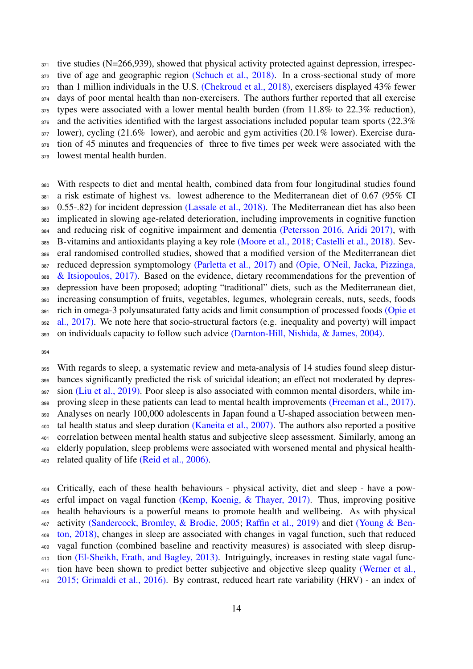tive studies (N=266,939), showed that physical activity protected against depression, irrespec-372 tive of age and geographic region [\(Schuch et al., 2018\).](#page-48-4) In a cross-sectional study of more than 1 million individuals in the U.S. [\(Chekroud et al., 2018\),](#page-36-1) exercisers displayed 43% fewer days of poor mental health than non-exercisers. The authors further reported that all exercise types were associated with a lower mental health burden (from 11.8% to 22.3% reduction), <sub>376</sub> and the activities identified with the largest associations included popular team sports (22.3%) 377 lower), cycling (21.6% lower), and aerobic and gym activities (20.1% lower). Exercise dura- tion of 45 minutes and frequencies of three to five times per week were associated with the lowest mental health burden.

 With respects to diet and mental health, combined data from four longitudinal studies found a risk estimate of highest vs. lowest adherence to the Mediterranean diet of 0.67 (95% CI 0.55-.82) for incident depression [\(Lassale et al., 2018\).](#page-43-7) The Mediterranean diet has also been implicated in slowing age-related deterioration, including improvements in cognitive function and reducing risk of cognitive impairment and dementia [\(Petersson 2016,](#page-0-0) [Aridi 2017\),](#page-0-0) with B-vitamins and antioxidants playing a key role [\(Moore et al., 2018;](#page-0-0) [Castelli et al., 2018\).](#page-0-0) Sev- eral randomised controlled studies, showed that a modified version of the Mediterranean diet [r](#page-46-5)educed depression symptomology [\(Parletta et al., 2017\)](#page-46-4) and [\(Opie, O'Neil, Jacka, Pizzinga,](#page-46-5) [& Itsiopoulos, 2017\).](#page-46-5) Based on the evidence, dietary recommendations for the prevention of depression have been proposed; adopting "traditional" diets, such as the Mediterranean diet, increasing consumption of fruits, vegetables, legumes, wholegrain cereals, nuts, seeds, foods [r](#page-0-0)ich in omega-3 polyunsaturated fatty acids and limit consumption of processed foods [\(Opie et](#page-0-0) [al., 2017\).](#page-0-0) We note here that socio-structural factors (e.g. inequality and poverty) will impact on individuals capacity to follow such advice [\(Darnton-Hill, Nishida, & James, 2004\).](#page-38-5)

 With regards to sleep, a systematic review and meta-analysis of 14 studies found sleep distur- bances significantly predicted the risk of suicidal ideation; an effect not moderated by depres- sion [\(Liu et al., 2019\).](#page-44-3) Poor sleep is also associated with common mental disorders, while im-398 proving sleep in these patients can lead to mental health improvements [\(Freeman et al., 2017\).](#page-0-0) Analyses on nearly 100,000 adolescents in Japan found a U-shaped association between men- tal health status and sleep duration [\(Kaneita et al., 2007\).](#page-0-0) The authors also reported a positive correlation between mental health status and subjective sleep assessment. Similarly, among an elderly population, sleep problems were associated with worsened mental and physical health-related quality of life [\(Reid et al., 2006\).](#page-0-0)

 Critically, each of these health behaviours - physical activity, diet and sleep - have a pow- erful impact on vagal function [\(Kemp, Koenig, & Thayer, 2017\).](#page-42-4) Thus, improving positive health behaviours is a powerful means to promote health and wellbeing. As with physical [a](#page-52-5)ctivity [\(Sandercock, Bromley, & Brodie, 2005;](#page-48-5) [Raffin et al., 2019\)](#page-47-9) and diet [\(Young & Ben-](#page-52-5) [ton, 2018\),](#page-52-5) changes in sleep are associated with changes in vagal function, such that reduced vagal function (combined baseline and reactivity measures) is associated with sleep disrup- tion [\(El-Sheikh, Erath, and Bagley, 2013\).](#page-0-0) Intriguingly, increases in resting state vagal func[t](#page-0-0)ion have been shown to predict better subjective and objective sleep quality [\(Werner et al.,](#page-0-0) [2015;](#page-0-0) [Grimaldi et al., 2016\).](#page-0-0) By contrast, reduced heart rate variability (HRV) - an index of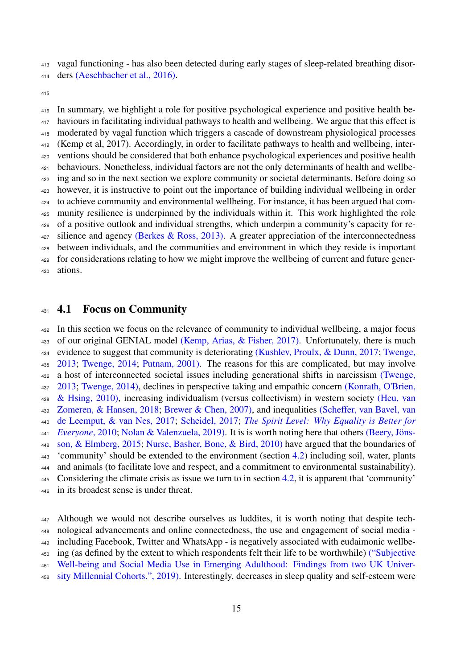vagal functioning - has also been detected during early stages of sleep-related breathing disor-

ders [\(Aeschbacher et al., 2016\).](#page-0-0)

 In summary, we highlight a role for positive psychological experience and positive health be- haviours in facilitating individual pathways to health and wellbeing. We argue that this effect is moderated by vagal function which triggers a cascade of downstream physiological processes (Kemp et al, 2017). Accordingly, in order to facilitate pathways to health and wellbeing, inter- ventions should be considered that both enhance psychological experiences and positive health behaviours. Nonetheless, individual factors are not the only determinants of health and wellbe-<sup>422</sup> ing and so in the next section we explore community or societal determinants. Before doing so however, it is instructive to point out the importance of building individual wellbeing in order to achieve community and environmental wellbeing. For instance, it has been argued that com- munity resilience is underpinned by the individuals within it. This work highlighted the role of a positive outlook and individual strengths, which underpin a community's capacity for re- silience and agency [\(Berkes & Ross, 2013\).](#page-35-3) A greater appreciation of the interconnectedness between individuals, and the communities and environment in which they reside is important for considerations relating to how we might improve the wellbeing of current and future gener-ations.

#### <span id="page-14-0"></span>431 4.1 Focus on Community

 In this section we focus on the relevance of community to individual wellbeing, a major focus of our original GENIAL model [\(Kemp, Arias, & Fisher, 2017\).](#page-42-0) Unfortunately, there is much [e](#page-51-5)vidence to suggest that community is deteriorating [\(Kushlev, Proulx, & Dunn, 2017;](#page-43-8) [Twenge,](#page-51-5) [2013;](#page-51-5) [Twenge, 2014;](#page-51-6) [Putnam, 2001\).](#page-47-10) The reasons for this are complicated, but may involve [a](#page-51-5) host of interconnected societal issues including generational shifts in narcissism [\(Twenge,](#page-51-5) [2013;](#page-51-5) [Twenge, 2014\),](#page-51-6) declines in perspective taking and empathic concern [\(Konrath, O'Brien,](#page-43-9) [& Hsing, 2010\),](#page-43-9) increasing individualism (versus collectivism) in western society [\(Heu, van](#page-41-4) [Zomeren, & Hansen, 2018;](#page-41-4) [Brewer & Chen, 2007\),](#page-36-6) and inequalities [\(Scheffer, van Bavel, van](#page-48-6) [de Leemput, & van Nes, 2017;](#page-48-6) [Scheidel, 2017;](#page-48-7) *[The Spirit Level: Why Equality is Better for](#page-34-5) [Everyone](#page-34-5)*, 2010; [Nolan & Valenzuela, 2019\).](#page-45-6) It is is worth noting here that others [\(Beery, Jons-](#page-35-4) ¨ [son, & Elmberg, 2015;](#page-35-4) [Nurse, Basher, Bone, & Bird, 2010\)](#page-45-7) have argued that the boundaries of <sup>443</sup> 'community' should be extended to the environment (section [4.2\)](#page-17-0) including soil, water, plants and animals (to facilitate love and respect, and a commitment to environmental sustainability). 445 Considering the climate crisis as issue we turn to in section [4.2,](#page-17-0) it is apparent that 'community' in its broadest sense is under threat.

 Although we would not describe ourselves as luddites, it is worth noting that despite tech- nological advancements and online connectedness, the use and engagement of social media - including Facebook, Twitter and WhatsApp - is negatively associated with eudaimonic wellbe- [i](#page-34-6)ng (as defined by the extent to which respondents felt their life to be worthwhile) [\("Subjective](#page-34-6) [Well-being and Social Media Use in Emerging Adulthood: Findings from two UK Univer-](#page-34-6)[sity Millennial Cohorts.", 2019\).](#page-34-6) Interestingly, decreases in sleep quality and self-esteem were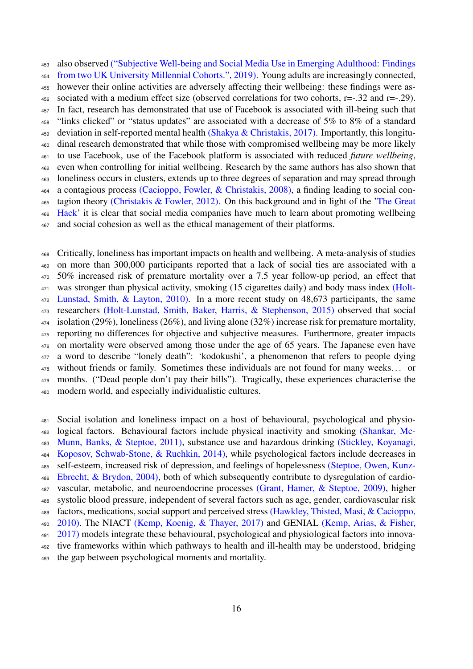[a](#page-34-6)lso observed [\("Subjective Well-being and Social Media Use in Emerging Adulthood: Findings](#page-34-6) [from two UK University Millennial Cohorts.", 2019\).](#page-34-6) Young adults are increasingly connected, however their online activities are adversely affecting their wellbeing: these findings were as-456 sociated with a medium effect size (observed correlations for two cohorts,  $r=-.32$  and  $r=-.29$ ). In fact, research has demonstrated that use of Facebook is associated with ill-being such that "links clicked" or "status updates" are associated with a decrease of 5% to 8% of a standard 459 deviation in self-reported mental health [\(Shakya & Christakis, 2017\).](#page-49-5) Importantly, this longitu- dinal research demonstrated that while those with compromised wellbeing may be more likely to use Facebook, use of the Facebook platform is associated with reduced *future wellbeing*, even when controlling for initial wellbeing. Research by the same authors has also shown that loneliness occurs in clusters, extends up to three degrees of separation and may spread through a contagious process [\(Cacioppo, Fowler, & Christakis, 2008\),](#page-36-7) a finding leading to social con- [t](https://www.netflix.com/gb/title/80117542)agion theory [\(Christakis & Fowler, 2012\).](#page-37-2) On this background and in light of the ['The Great](https://www.netflix.com/gb/title/80117542) [Hack'](https://www.netflix.com/gb/title/80117542) it is clear that social media companies have much to learn about promoting wellbeing and social cohesion as well as the ethical management of their platforms.

 Critically, loneliness has important impacts on health and wellbeing. A meta-analysis of studies on more than 300,000 participants reported that a lack of social ties are associated with a 50% increased risk of premature mortality over a 7.5 year follow-up period, an effect that <sup>471</sup> [w](#page-41-3)as stronger than physical activity, smoking (15 cigarettes daily) and body mass index [\(Holt-](#page-41-3)[Lunstad, Smith, & Layton, 2010\).](#page-41-3) In a more recent study on 48,673 participants, the same researchers [\(Holt-Lunstad, Smith, Baker, Harris, & Stephenson, 2015\)](#page-41-5) observed that social isolation (29%), loneliness (26%), and living alone (32%) increase risk for premature mortality, reporting no differences for objective and subjective measures. Furthermore, greater impacts on mortality were observed among those under the age of 65 years. The Japanese even have a word to describe "lonely death": 'kodokushi', a phenomenon that refers to people dying without friends or family. Sometimes these individuals are not found for many weeks. . . or months. ("Dead people don't pay their bills"). Tragically, these experiences characterise the modern world, and especially individualistic cultures.

 Social isolation and loneliness impact on a host of behavioural, psychological and physio- [l](#page-49-6)ogical factors. Behavioural factors include physical inactivity and smoking [\(Shankar, Mc-](#page-49-6) [Munn, Banks, & Steptoe, 2011\),](#page-49-6) substance use and hazardous drinking [\(Stickley, Koyanagi,](#page-50-4) [Koposov, Schwab-Stone, & Ruchkin, 2014\),](#page-50-4) while psychological factors include decreases in [s](#page-50-5)elf-esteem, increased risk of depression, and feelings of hopelessness [\(Steptoe, Owen, Kunz-](#page-50-5) [Ebrecht, & Brydon, 2004\),](#page-50-5) both of which subsequently contribute to dysregulation of cardio- vascular, metabolic, and neuroendocrine processes [\(Grant, Hamer, & Steptoe, 2009\),](#page-40-3) higher systolic blood pressure, independent of several factors such as age, gender, cardiovascular risk [f](#page-40-4)actors, medications, social support and perceived stress [\(Hawkley, Thisted, Masi, & Cacioppo,](#page-40-4) [2010\).](#page-40-4) The NIACT [\(Kemp, Koenig, & Thayer, 2017\)](#page-42-1) and GENIAL [\(Kemp, Arias, & Fisher,](#page-42-0) [2017\)](#page-42-0) models integrate these behavioural, psychological and physiological factors into innova- tive frameworks within which pathways to health and ill-health may be understood, bridging the gap between psychological moments and mortality.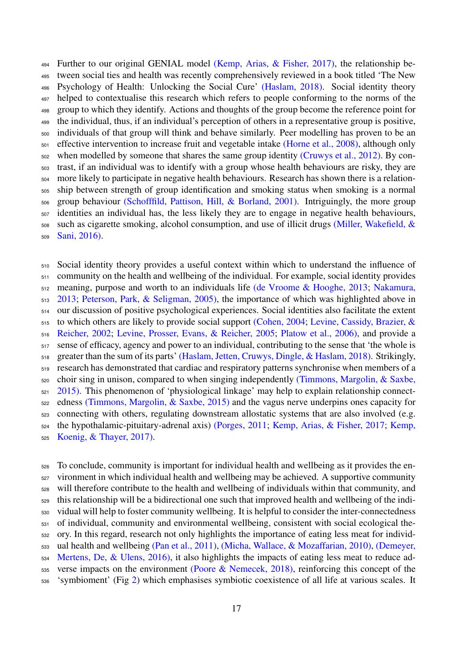Further to our original GENIAL model [\(Kemp, Arias, & Fisher, 2017\),](#page-42-0) the relationship be- tween social ties and health was recently comprehensively reviewed in a book titled 'The New Psychology of Health: Unlocking the Social Cure' [\(Haslam, 2018\).](#page-40-5) Social identity theory helped to contextualise this research which refers to people conforming to the norms of the group to which they identify. Actions and thoughts of the group become the reference point for the individual, thus, if an individual's perception of others in a representative group is positive, individuals of that group will think and behave similarly. Peer modelling has proven to be an effective intervention to increase fruit and vegetable intake [\(Horne et al., 2008\),](#page-41-6) although only <sub>502</sub> when modelled by someone that shares the same group identity [\(Cruwys et al., 2012\).](#page-37-3) By con- trast, if an individual was to identify with a group whose health behaviours are risky, they are more likely to participate in negative health behaviours. Research has shown there is a relation- ship between strength of group identification and smoking status when smoking is a normal group behaviour [\(Schofffild, Pattison, Hill, & Borland, 2001\).](#page-48-8) Intriguingly, the more group identities an individual has, the less likely they are to engage in negative health behaviours, [s](#page-45-8)uch as cigarette smoking, alcohol consumption, and use of illicit drugs [\(Miller, Wakefield, &](#page-45-8) [Sani, 2016\).](#page-45-8)

 Social identity theory provides a useful context within which to understand the influence of community on the health and wellbeing of the individual. For example, social identity provides [m](#page-45-9)eaning, purpose and worth to an individuals life [\(de Vroome & Hooghe, 2013;](#page-52-6) [Nakamura,](#page-45-9) [2013;](#page-45-9) [Peterson, Park, & Seligman, 2005\),](#page-46-6) the importance of which was highlighted above in our discussion of positive psychological experiences. Social identities also facilitate the extent [t](#page-44-4)o which others are likely to provide social support [\(Cohen, 2004;](#page-37-4) [Levine, Cassidy, Brazier, &](#page-44-4) [Reicher, 2002;](#page-44-4) [Levine, Prosser, Evans, & Reicher, 2005;](#page-44-5) [Platow et al., 2006\),](#page-47-11) and provide a sense of efficacy, agency and power to an individual, contributing to the sense that 'the whole is greater than the sum of its parts' [\(Haslam, Jetten, Cruwys, Dingle, & Haslam, 2018\).](#page-40-6) Strikingly, research has demonstrated that cardiac and respiratory patterns synchronise when members of a [c](#page-50-6)hoir sing in unison, compared to when singing independently [\(Timmons, Margolin, & Saxbe,](#page-50-6)  $521 \quad 2015$ ). This phenomenon of 'physiological linkage' may help to explain relationship connect- edness [\(Timmons, Margolin, & Saxbe, 2015\)](#page-50-6) and the vagus nerve underpins ones capacity for connecting with others, regulating downstream allostatic systems that are also involved (e.g. [t](#page-42-1)he hypothalamic-pituitary-adrenal axis) [\(Porges, 2011;](#page-47-4) [Kemp, Arias, & Fisher, 2017;](#page-42-0) [Kemp,](#page-42-1) [Koenig, & Thayer, 2017\).](#page-42-1)

 To conclude, community is important for individual health and wellbeing as it provides the en- vironment in which individual health and wellbeing may be achieved. A supportive community will therefore contribute to the health and wellbeing of individuals within that community, and this relationship will be a bidirectional one such that improved health and wellbeing of the indi- vidual will help to foster community wellbeing. It is helpful to consider the inter-connectedness of individual, community and environmental wellbeing, consistent with social ecological the- ory. In this regard, research not only highlights the importance of eating less meat for individ- [u](#page-38-6)al health and wellbeing [\(Pan et al., 2011\),](#page-46-7) [\(Micha, Wallace, & Mozaffarian, 2010\),](#page-45-10) [\(Demeyer,](#page-38-6) [Mertens, De, & Ulens, 2016\),](#page-38-6) it also highlights the impacts of eating less meat to reduce ad- verse impacts on the environment [\(Poore & Nemecek, 2018\),](#page-47-12) reinforcing this concept of the 'symbioment' (Fig [2\)](#page-6-1) which emphasises symbiotic coexistence of all life at various scales. It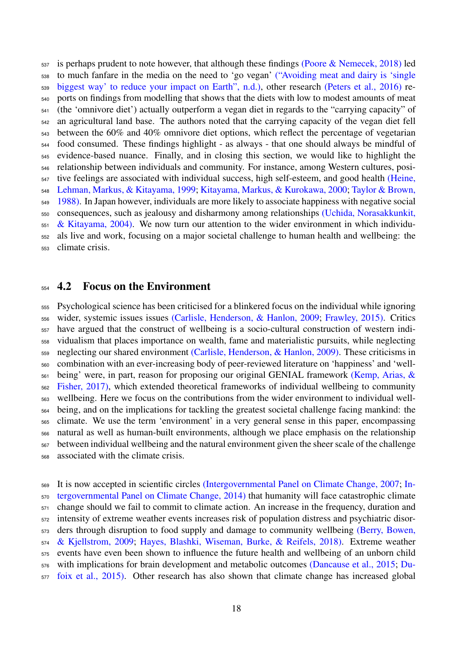is perhaps prudent to note however, that although these findings [\(Poore & Nemecek, 2018\)](#page-47-12) led [t](#page-34-7)o much fanfare in the media on the need to 'go vegan' [\("Avoiding meat and dairy is 'single](#page-34-7) [biggest way' to reduce your impact on Earth", n.d.\),](#page-34-7) other research [\(Peters et al., 2016\)](#page-46-8) re- ports on findings from modelling that shows that the diets with low to modest amounts of meat (the 'omnivore diet') actually outperform a vegan diet in regards to the "carrying capacity" of an agricultural land base. The authors noted that the carrying capacity of the vegan diet fell between the 60% and 40% omnivore diet options, which reflect the percentage of vegetarian food consumed. These findings highlight - as always - that one should always be mindful of evidence-based nuance. Finally, and in closing this section, we would like to highlight the relationship between individuals and community. For instance, among Western cultures, posi- [t](#page-41-7)ive feelings are associated with individual success, high self-esteem, and good health [\(Heine,](#page-41-7) [Lehman, Markus, & Kitayama, 1999;](#page-41-7) [Kitayama, Markus, & Kurokawa, 2000;](#page-42-10) [Taylor & Brown,](#page-50-7) [1988\).](#page-50-7) In Japan however, individuals are more likely to associate happiness with negative social [c](#page-51-7)onsequences, such as jealousy and disharmony among relationships [\(Uchida, Norasakkunkit,](#page-51-7)  $551 \& Kitavama, 2004$ . We now turn our attention to the wider environment in which individu- als live and work, focusing on a major societal challenge to human health and wellbeing: the climate crisis.

#### <span id="page-17-0"></span>4.2 Focus on the Environment

 Psychological science has been criticised for a blinkered focus on the individual while ignoring wider, systemic issues issues [\(Carlisle, Henderson, & Hanlon, 2009;](#page-36-2) [Frawley, 2015\).](#page-39-3) Critics have argued that the construct of wellbeing is a socio-cultural construction of western indi- vidualism that places importance on wealth, fame and materialistic pursuits, while neglecting neglecting our shared environment [\(Carlisle, Henderson, & Hanlon, 2009\).](#page-36-2) These criticisms in combination with an ever-increasing body of peer-reviewed literature on 'happiness' and 'well- [b](#page-42-0)eing' were, in part, reason for proposing our original GENIAL framework [\(Kemp, Arias, &](#page-42-0) [Fisher, 2017\),](#page-42-0) which extended theoretical frameworks of individual wellbeing to community wellbeing. Here we focus on the contributions from the wider environment to individual well- being, and on the implications for tackling the greatest societal challenge facing mankind: the climate. We use the term 'environment' in a very general sense in this paper, encompassing natural as well as human-built environments, although we place emphasis on the relationship between individual wellbeing and the natural environment given the sheer scale of the challenge associated with the climate crisis.

 [I](#page-52-8)t is now accepted in scientific circles [\(Intergovernmental Panel on Climate Change, 2007;](#page-52-7) [In-](#page-52-8) [tergovernmental Panel on Climate Change, 2014\)](#page-52-8) that humanity will face catastrophic climate change should we fail to commit to climate action. An increase in the frequency, duration and intensity of extreme weather events increases risk of population distress and psychiatric disor[d](#page-35-5)ers through disruption to food supply and damage to community wellbeing [\(Berry, Bowen,](#page-35-5) [& Kjellstrom, 2009;](#page-35-5) [Hayes, Blashki, Wiseman, Burke, & Reifels, 2018\).](#page-40-7) Extreme weather events have even been shown to influence the future health and wellbeing of an unborn child [w](#page-39-7)ith implications for brain development and metabolic outcomes [\(Dancause et al., 2015;](#page-37-5) [Du-](#page-39-7)[foix et al., 2015\).](#page-39-7) Other research has also shown that climate change has increased global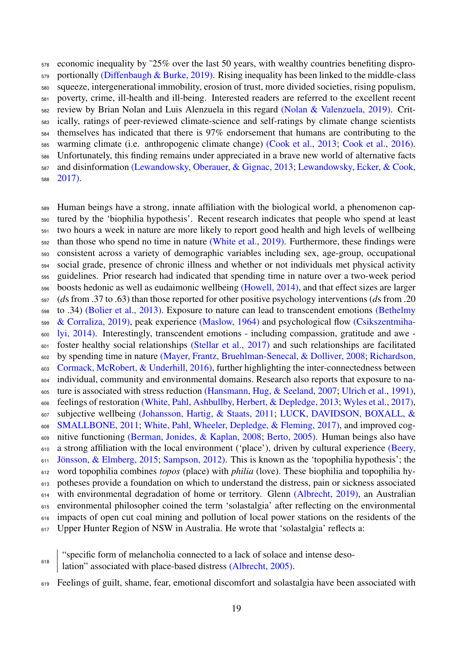economic inequality by ˜25% over the last 50 years, with wealthy countries benefiting dispro- portionally [\(Diffenbaugh & Burke, 2019\).](#page-38-7) Rising inequality has been linked to the middle-class squeeze, intergenerational immobility, erosion of trust, more divided societies, rising populism, poverty, crime, ill-health and ill-being. Interested readers are referred to the excellent recent review by Brian Nolan and Luis Alenzuela in this regard [\(Nolan & Valenzuela, 2019\).](#page-45-6) Crit- ically, ratings of peer-reviewed climate-science and self-ratings by climate change scientists themselves has indicated that there is 97% endorsement that humans are contributing to the warming climate (i.e. anthropogenic climate change) [\(Cook et al., 2013;](#page-37-6) [Cook et al., 2016\).](#page-37-7) Unfortunately, this finding remains under appreciated in a brave new world of alternative facts [a](#page-44-7)nd disinformation [\(Lewandowsky, Oberauer, & Gignac, 2013;](#page-44-6) [Lewandowsky, Ecker, & Cook,](#page-44-7) [2017\).](#page-44-7)

 Human beings have a strong, innate affiliation with the biological world, a phenomenon cap- tured by the 'biophilia hypothesis'. Recent research indicates that people who spend at least two hours a week in nature are more likely to report good health and high levels of wellbeing than those who spend no time in nature [\(White et al., 2019\).](#page-51-8) Furthermore, these findings were consistent across a variety of demographic variables including sex, age-group, occupational social grade, presence of chronic illness and whether or not individuals met physical activity guidelines. Prior research had indicated that spending time in nature over a two-week period boosts hedonic as well as eudaimonic wellbeing [\(Howell, 2014\),](#page-41-8) and that effect sizes are larger (*d*s from .37 to .63) than those reported for other positive psychology interventions (*d*s from .20 [t](#page-35-7)o .34) [\(Bolier et al., 2013\).](#page-35-6) Exposure to nature can lead to transcendent emotions [\(Bethelmy](#page-35-7) [& Corraliza, 2019\),](#page-35-7) peak experience [\(Maslow, 1964\)](#page-44-8) and psychological flow [\(Csikszentmiha](#page-37-8)[lyi, 2014\).](#page-37-8) Interestingly, transcendent emotions - including compassion, gratitude and awe - foster healthy social relationships [\(Stellar et al., 2017\)](#page-50-8) and such relationships are facilitated [b](#page-48-9)y spending time in nature [\(Mayer, Frantz, Bruehlman-Senecal, & Dolliver, 2008;](#page-45-11) [Richardson,](#page-48-9) [Cormack, McRobert, & Underhill, 2016\),](#page-48-9) further highlighting the inter-connectedness between individual, community and environmental domains. Research also reports that exposure to na-<sub>605</sub> ture is associated with stress reduction [\(Hansmann, Hug, & Seeland, 2007;](#page-40-8) [Ulrich et al., 1991\),](#page-51-9) feelings of restoration [\(White, Pahl, Ashbullby, Herbert, & Depledge, 2013;](#page-51-10) [Wyles et al., 2017\),](#page-52-9) [s](#page-43-10)ubjective wellbeing [\(Johansson, Hartig, & Staats, 2011;](#page-41-9) [LUCK, DAVIDSON, BOXALL, &](#page-43-10) [SMALLBONE, 2011;](#page-43-10) [White, Pahl, Wheeler, Depledge, & Fleming, 2017\),](#page-52-10) and improved cog- nitive functioning [\(Berman, Jonides, & Kaplan, 2008;](#page-35-8) [Berto, 2005\).](#page-35-9) Human beings also have [a](#page-35-4) strong affiliation with the local environment ('place'), driven by cultural experience [\(Beery,](#page-35-4) Jönsson, & Elmberg, 2015; [Sampson, 2012\).](#page-48-10) This is known as the 'topophilia hypothesis'; the word topophilia combines *topos* (place) with *philia* (love). These biophilia and topophilia hy- potheses provide a foundation on which to understand the distress, pain or sickness associated with environmental degradation of home or territory. Glenn [\(Albrecht, 2019\),](#page-34-1) an Australian environmental philosopher coined the term 'solastalgia' after reflecting on the environmental impacts of open cut coal mining and pollution of local power stations on the residents of the Upper Hunter Region of NSW in Australia. He wrote that 'solastalgia' reflects a:

"specific form of melancholia connected to a lack of solace and intense deso-

lation" associated with place-based distress [\(Albrecht, 2005\).](#page-34-8) 

Feelings of guilt, shame, fear, emotional discomfort and solastalgia have been associated with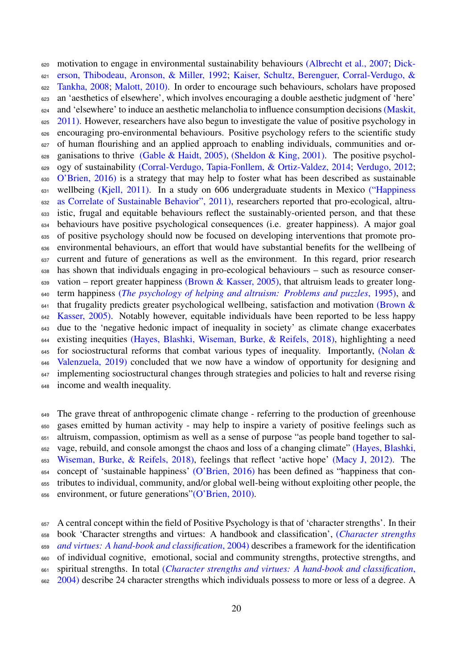[m](#page-38-8)otivation to engage in environmental sustainability behaviours [\(Albrecht et al., 2007;](#page-34-9) [Dick-](#page-38-8) [erson, Thibodeau, Aronson, & Miller, 1992;](#page-38-8) [Kaiser, Schultz, Berenguer, Corral-Verdugo, &](#page-41-10) [Tankha, 2008;](#page-41-10) [Malott, 2010\).](#page-44-9) In order to encourage such behaviours, scholars have proposed an 'aesthetics of elsewhere', which involves encouraging a double aesthetic judgment of 'here' [a](#page-44-10)nd 'elsewhere' to induce an aesthetic melancholia to influence consumption decisions [\(Maskit,](#page-44-10) [2011\).](#page-44-10) However, researchers have also begun to investigate the value of positive psychology in encouraging pro-environmental behaviours. Positive psychology refers to the scientific study of human flourishing and an applied approach to enabling individuals, communities and or-628 ganisations to thrive [\(Gable & Haidt, 2005\),](#page-40-9) [\(Sheldon & King, 2001\).](#page-49-7) The positive psychol- ogy of sustainability [\(Corral-Verdugo, Tapia-Fonllem, & Ortiz-Valdez, 2014;](#page-37-9) [Verdugo, 2012;](#page-51-2) [O'Brien, 2016\)](#page-45-3) is a strategy that may help to foster what has been described as sustainable [w](#page-34-10)ellbeing [\(Kjell, 2011\).](#page-43-1) In a study on 606 undergraduate students in Mexico [\("Happiness](#page-34-10)") [as Correlate of Sustainable Behavior", 2011\),](#page-34-10) researchers reported that pro-ecological, altru- istic, frugal and equitable behaviours reflect the sustainably-oriented person, and that these behaviours have positive psychological consequences (i.e. greater happiness). A major goal of positive psychology should now be focused on developing interventions that promote pro- environmental behaviours, an effort that would have substantial benefits for the wellbeing of current and future of generations as well as the environment. In this regard, prior research has shown that individuals engaging in pro-ecological behaviours – such as resource conser-639 vation – report greater happiness [\(Brown & Kasser, 2005\),](#page-36-8) that altruism leads to greater long- term happiness (*[The psychology of helping and altruism: Problems and puzzles](#page-34-11)*, 1995), and [t](#page-36-8)hat frugality predicts greater psychological wellbeing, satisfaction and motivation [\(Brown &](#page-36-8) <sup>642</sup> [Kasser, 2005\).](#page-36-8) Notably however, equitable individuals have been reported to be less happy due to the 'negative hedonic impact of inequality in society' as climate change exacerbates existing inequities [\(Hayes, Blashki, Wiseman, Burke, & Reifels, 2018\),](#page-40-7) highlighting a need [f](#page-45-6)or sociostructural reforms that combat various types of inequality. Importantly, [\(Nolan &](#page-45-6) [Valenzuela, 2019\)](#page-45-6) concluded that we now have a window of opportunity for designing and <sup>647</sup> implementing sociostructural changes through strategies and policies to halt and reverse rising income and wealth inequality.

 The grave threat of anthropogenic climate change - referring to the production of greenhouse gases emitted by human activity - may help to inspire a variety of positive feelings such as altruism, compassion, optimism as well as a sense of purpose "as people band together to sal- [v](#page-40-7)age, rebuild, and console amongst the chaos and loss of a changing climate" [\(Hayes, Blashki,](#page-40-7) [Wiseman, Burke, & Reifels, 2018\),](#page-40-7) feelings that reflect 'active hope' [\(Macy J, 2012\).](#page-44-11) The concept of 'sustainable happiness' [\(O'Brien, 2016\)](#page-45-12) has been defined as "happiness that con- tributes to individual, community, and/or global well-being without exploiting other people, the environment, or future generations["\(O'Brien, 2010\).](#page-45-13)

 A central concept within the field of Positive Psychology is that of 'character strengths'. In their [b](#page-34-12)ook 'Character strengths and virtues: A handbook and classification', (*[Character strengths](#page-34-12) [and virtues: A hand-book and classification](#page-34-12)*, 2004) describes a framework for the identification of individual cognitive, emotional, social and community strengths, protective strengths, and [s](#page-34-12)piritual strengths. In total (*[Character strengths and virtues: A hand-book and classification](#page-34-12)*, <sup>662</sup> [2004\)](#page-34-12) describe 24 character strengths which individuals possess to more or less of a degree. A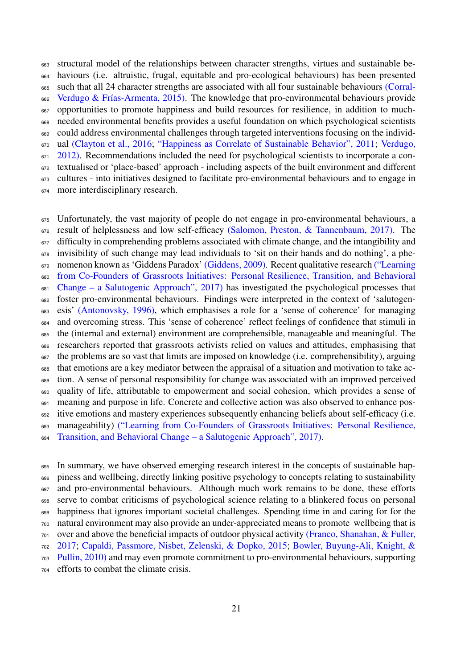structural model of the relationships between character strengths, virtues and sustainable be- haviours (i.e. altruistic, frugal, equitable and pro-ecological behaviours) has been presented [s](#page-37-0)uch that all 24 character strengths are associated with all four sustainable behaviours [\(Corral-](#page-37-0)666 Verdugo & Frías-Armenta, 2015). The knowledge that pro-environmental behaviours provide opportunities to promote happiness and build resources for resilience, in addition to much- needed environmental benefits provides a useful foundation on which psychological scientists could address environmental challenges through targeted interventions focusing on the individ- [u](#page-51-2)al [\(Clayton et al., 2016;](#page-37-10) ["Happiness as Correlate of Sustainable Behavior", 2011;](#page-34-10) [Verdugo,](#page-51-2) [2012\).](#page-51-2) Recommendations included the need for psychological scientists to incorporate a con- textualised or 'place-based' approach - including aspects of the built environment and different cultures - into initiatives designed to facilitate pro-environmental behaviours and to engage in more interdisciplinary research.

675 Unfortunately, the vast majority of people do not engage in pro-environmental behaviours, a 676 result of helplessness and low self-efficacy [\(Salomon, Preston, & Tannenbaum, 2017\).](#page-48-11) The difficulty in comprehending problems associated with climate change, and the intangibility and invisibility of such change may lead individuals to 'sit on their hands and do nothing', a phe- [n](#page-34-13)omenon known as 'Giddens Paradox' [\(Giddens, 2009\).](#page-40-10) Recent qualitative research [\("Learning](#page-34-13) [from Co-Founders of Grassroots Initiatives: Personal Resilience, Transition, and Behavioral](#page-34-13) [Change – a Salutogenic Approach", 2017\)](#page-34-13) has investigated the psychological processes that foster pro-environmental behaviours. Findings were interpreted in the context of 'salutogen- esis' [\(Antonovsky, 1996\),](#page-34-3) which emphasises a role for a 'sense of coherence' for managing and overcoming stress. This 'sense of coherence' reflect feelings of confidence that stimuli in the (internal and external) environment are comprehensible, manageable and meaningful. The researchers reported that grassroots activists relied on values and attitudes, emphasising that the problems are so vast that limits are imposed on knowledge (i.e. comprehensibility), arguing that emotions are a key mediator between the appraisal of a situation and motivation to take ac- tion. A sense of personal responsibility for change was associated with an improved perceived quality of life, attributable to empowerment and social cohesion, which provides a sense of meaning and purpose in life. Concrete and collective action was also observed to enhance pos- itive emotions and mastery experiences subsequently enhancing beliefs about self-efficacy (i.e. [m](#page-34-13)anageability) [\("Learning from Co-Founders of Grassroots Initiatives: Personal Resilience,](#page-34-13) [Transition, and Behavioral Change – a Salutogenic Approach", 2017\).](#page-34-13)

 In summary, we have observed emerging research interest in the concepts of sustainable hap- piness and wellbeing, directly linking positive psychology to concepts relating to sustainability and pro-environmental behaviours. Although much work remains to be done, these efforts serve to combat criticisms of psychological science relating to a blinkered focus on personal happiness that ignores important societal challenges. Spending time in and caring for for the natural environment may also provide an under-appreciated means to promote wellbeing that is [o](#page-39-8)ver and above the beneficial impacts of outdoor physical activity [\(Franco, Shanahan, & Fuller,](#page-39-8) [2017;](#page-39-8) [Capaldi, Passmore, Nisbet, Zelenski, & Dopko, 2015;](#page-36-9) [Bowler, Buyung-Ali, Knight, &](#page-35-10) [Pullin, 2010\)](#page-35-10) and may even promote commitment to pro-environmental behaviours, supporting

efforts to combat the climate crisis.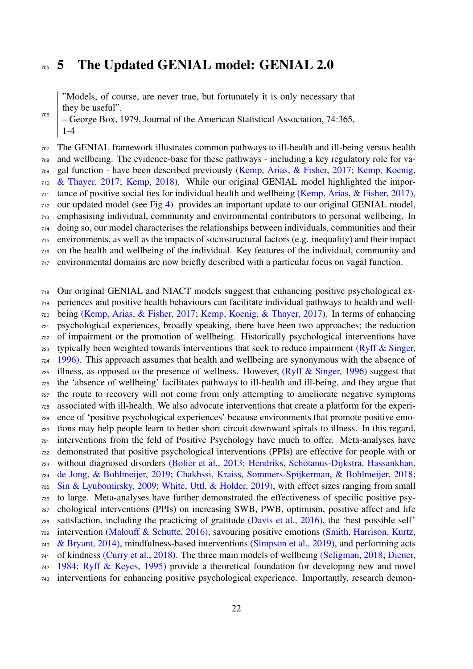## <span id="page-21-0"></span>5 The Updated GENIAL model: GENIAL 2.0

"Models, of course, are never true, but fortunately it is only necessary that they be useful".

– George Box, 1979, Journal of the American Statistical Association, 74:365, 1-4 

 The GENIAL framework illustrates common pathways to ill-health and ill-being versus health and wellbeing. The evidence-base for these pathways - including a key regulatory role for va- [g](#page-42-4)al function - have been described previously [\(Kemp, Arias, & Fisher, 2017;](#page-42-0) [Kemp, Koenig,](#page-42-4) [& Thayer, 2017;](#page-42-4) [Kemp, 2018\).](#page-42-3) While our original GENIAL model highlighted the impor- tance of positive social ties for individual health and wellbeing [\(Kemp, Arias, & Fisher, 2017\),](#page-42-0) our updated model (see Fig [4\)](#page-24-0) provides an important update to our original GENIAL model, emphasising individual, community and environmental contributors to personal wellbeing. In doing so, our model characterises the relationships between individuals, communities and their environments, as well as the impacts of sociostructural factors (e.g. inequality) and their impact on the health and wellbeing of the individual. Key features of the individual, community and environmental domains are now briefly described with a particular focus on vagal function.

 Our original GENIAL and NIACT models suggest that enhancing positive psychological ex- periences and positive health behaviours can facilitate individual pathways to health and well- being [\(Kemp, Arias, & Fisher, 2017;](#page-42-0) [Kemp, Koenig, & Thayer, 2017\).](#page-42-1) In terms of enhancing psychological experiences, broadly speaking, there have been two approaches; the reduction of impairment or the promotion of wellbeing. Historically psychological interventions have [t](#page-48-12)ypically been weighted towards interventions that seek to reduce impairment [\(Ryff & Singer,](#page-48-12) [1996\).](#page-48-12) This approach assumes that health and wellbeing are synonymous with the absence of illness, as opposed to the presence of wellness. However, [\(Ryff & Singer, 1996\)](#page-48-12) suggest that the 'absence of wellbeing' facilitates pathways to ill-health and ill-being, and they argue that the route to recovery will not come from only attempting to ameliorate negative symptoms associated with ill-health. We also advocate interventions that create a platform for the experi- ence of 'positive psychological experiences' because environments that promote positive emo- tions may help people learn to better short circuit downward spirals to illness. In this regard, interventions from the feld of Positive Psychology have much to offer. Meta-analyses have demonstrated that positive psychological interventions (PPIs) are effective for people with or [w](#page-41-11)ithout diagnosed disorders [\(Bolier et al., 2013;](#page-35-6) [Hendriks, Schotanus-Dijkstra, Hassankhan,](#page-41-11) [de Jong, & Bohlmeijer, 2019;](#page-41-11) [Chakhssi, Kraiss, Sommers-Spijkerman, & Bohlmeijer, 2018;](#page-36-10) [Sin & Lyubomirsky, 2009;](#page-49-8) [White, Uttl, & Holder, 2019\),](#page-51-11) with effect sizes ranging from small to large. Meta-analyses have further demonstrated the effectiveness of specific positive psy- chological interventions (PPIs) on increasing SWB, PWB, optimism, positive affect and life satisfaction, including the practicing of gratitude [\(Davis et al., 2016\),](#page-38-9) the 'best possible self' [i](#page-49-9)ntervention [\(Malouff & Schutte, 2016\),](#page-44-12) savouring positive emotions [\(Smith, Harrison, Kurtz,](#page-49-9) [& Bryant, 2014\),](#page-49-9) mindfulness-based interventions [\(Simpson et al., 2019\),](#page-49-10) and performing acts [o](#page-38-0)f kindness [\(Curry et al., 2018\).](#page-37-11) The three main models of wellbeing [\(Seligman, 2018;](#page-49-0) [Diener,](#page-38-0) [1984;](#page-38-0) [Ryff & Keyes, 1995\)](#page-48-1) provide a theoretical foundation for developing new and novel interventions for enhancing positive psychological experience. Importantly, research demon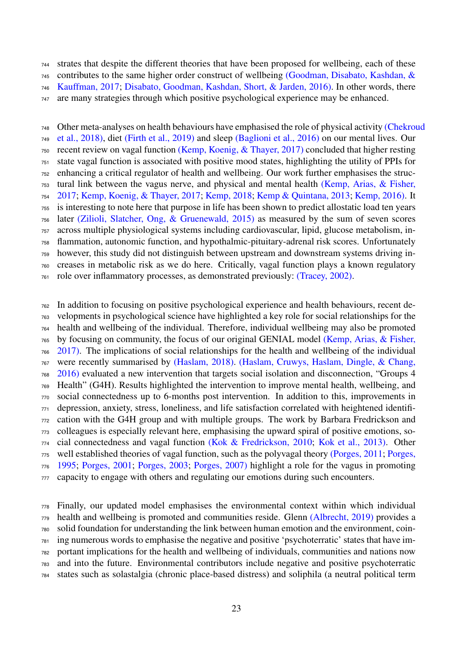strates that despite the different theories that have been proposed for wellbeing, each of these

 [c](#page-40-1)ontributes to the same higher order construct of wellbeing [\(Goodman, Disabato, Kashdan, &](#page-40-1) [Kauffman, 2017;](#page-40-1) [Disabato, Goodman, Kashdan, Short, & Jarden, 2016\).](#page-38-4) In other words, there

are many strategies through which positive psychological experience may be enhanced.

[O](#page-36-1)ther meta-analyses on health behaviours have emphasised the role of physical activity [\(Chekrou](#page-36-1)d [et al., 2018\),](#page-36-1) diet [\(Firth et al., 2019\)](#page-39-0) and sleep [\(Baglioni et al., 2016\)](#page-35-11) on our mental lives. Our recent review on vagal function [\(Kemp, Koenig, & Thayer, 2017\)](#page-42-1) concluded that higher resting state vagal function is associated with positive mood states, highlighting the utility of PPIs for enhancing a critical regulator of health and wellbeing. Our work further emphasises the struc- [t](#page-42-0)ural link between the vagus nerve, and physical and mental health [\(Kemp, Arias, & Fisher,](#page-42-0) [2017;](#page-42-0) [Kemp, Koenig, & Thayer, 2017;](#page-42-4) [Kemp, 2018;](#page-42-3) [Kemp & Quintana, 2013;](#page-42-5) [Kemp, 2016\).](#page-42-6) It is interesting to note here that purpose in life has been shown to predict allostatic load ten years later [\(Zilioli, Slatcher, Ong, & Gruenewald, 2015\)](#page-52-11) as measured by the sum of seven scores across multiple physiological systems including cardiovascular, lipid, glucose metabolism, in- flammation, autonomic function, and hypothalmic-pituitary-adrenal risk scores. Unfortunately however, this study did not distinguish between upstream and downstream systems driving in- creases in metabolic risk as we do here. Critically, vagal function plays a known regulatory role over inflammatory processes, as demonstrated previously: [\(Tracey, 2002\).](#page-51-3)

 In addition to focusing on positive psychological experience and health behaviours, recent de- velopments in psychological science have highlighted a key role for social relationships for the health and wellbeing of the individual. Therefore, individual wellbeing may also be promoted [b](#page-42-0)y focusing on community, the focus of our original GENIAL model [\(Kemp, Arias, & Fisher,](#page-42-0) [2017\).](#page-42-0) The implications of social relationships for the health and wellbeing of the individual [w](#page-40-11)ere recently summarised by [\(Haslam, 2018\).](#page-40-5) [\(Haslam, Cruwys, Haslam, Dingle, & Chang,](#page-40-11) [2016\)](#page-40-11) evaluated a new intervention that targets social isolation and disconnection, "Groups 4 Health" (G4H). Results highlighted the intervention to improve mental health, wellbeing, and social connectedness up to 6-months post intervention. In addition to this, improvements in depression, anxiety, stress, loneliness, and life satisfaction correlated with heightened identifi- cation with the G4H group and with multiple groups. The work by Barbara Fredrickson and colleagues is especially relevant here, emphasising the upward spiral of positive emotions, so- cial connectedness and vagal function [\(Kok & Fredrickson, 2010;](#page-43-5) [Kok et al., 2013\).](#page-43-6) Other [w](#page-47-5)ell established theories of vagal function, such as the polyvagal theory [\(Porges, 2011;](#page-47-4) [Porges,](#page-47-5) [1995;](#page-47-5) [Porges, 2001;](#page-47-6) [Porges, 2003;](#page-47-7) [Porges, 2007\)](#page-47-8) highlight a role for the vagus in promoting capacity to engage with others and regulating our emotions during such encounters.

 Finally, our updated model emphasises the environmental context within which individual health and wellbeing is promoted and communities reside. Glenn [\(Albrecht, 2019\)](#page-34-1) provides a solid foundation for understanding the link between human emotion and the environment, coin- ing numerous words to emphasise the negative and positive 'psychoterratic' states that have im- portant implications for the health and wellbeing of individuals, communities and nations now and into the future. Environmental contributors include negative and positive psychoterratic states such as solastalgia (chronic place-based distress) and soliphila (a neutral political term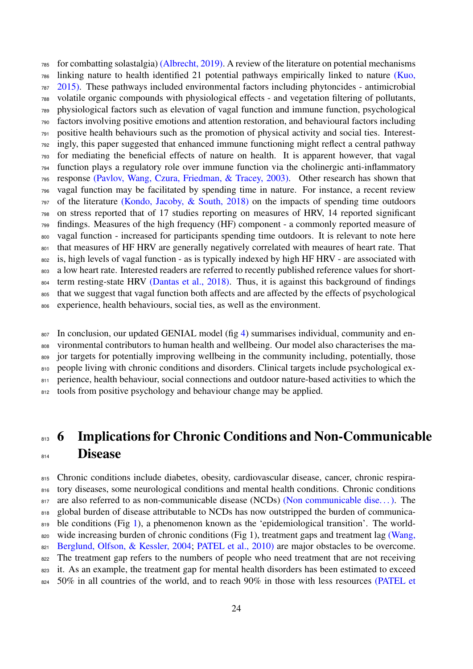for combatting solastalgia) [\(Albrecht, 2019\).](#page-34-1) A review of the literature on potential mechanisms [l](#page-43-11)inking nature to health identified 21 potential pathways empirically linked to nature [\(Kuo,](#page-43-11) [2015\).](#page-43-11) These pathways included environmental factors including phytoncides - antimicrobial volatile organic compounds with physiological effects - and vegetation filtering of pollutants, physiological factors such as elevation of vagal function and immune function, psychological factors involving positive emotions and attention restoration, and behavioural factors including positive health behaviours such as the promotion of physical activity and social ties. Interest- ingly, this paper suggested that enhanced immune functioning might reflect a central pathway for mediating the beneficial effects of nature on health. It is apparent however, that vagal function plays a regulatory role over immune function via the cholinergic anti-inflammatory response [\(Pavlov, Wang, Czura, Friedman, & Tracey, 2003\).](#page-46-2) Other research has shown that vagal function may be facilitated by spending time in nature. For instance, a recent review of the literature [\(Kondo, Jacoby, & South, 2018\)](#page-43-12) on the impacts of spending time outdoors on stress reported that of 17 studies reporting on measures of HRV, 14 reported significant findings. Measures of the high frequency (HF) component - a commonly reported measure of vagal function - increased for participants spending time outdoors. It is relevant to note here 801 that measures of HF HRV are generally negatively correlated with meaures of heart rate. That 802 is, high levels of vagal function - as is typically indexed by high HF HRV - are associated with 803 a low heart rate. Interested readers are referred to recently published reference values for short-804 term resting-state HRV [\(Dantas et al., 2018\).](#page-38-10) Thus, it is against this background of findings that we suggest that vagal function both affects and are affected by the effects of psychological experience, health behaviours, social ties, as well as the environment.

 In conclusion, our updated GENIAL model (fig [4\)](#page-24-0) summarises individual, community and en- vironmental contributors to human health and wellbeing. Our model also characterises the ma- jor targets for potentially improving wellbeing in the community including, potentially, those 810 people living with chronic conditions and disorders. Clinical targets include psychological ex-811 perience, health behaviour, social connections and outdoor nature-based activities to which the 812 tools from positive psychology and behaviour change may be applied.

## <span id="page-23-0"></span>813 6 Implications for Chronic Conditions and Non-Communicable **Disease**

815 Chronic conditions include diabetes, obesity, cardiovascular disease, cancer, chronic respira-816 tory diseases, some neurological conditions and mental health conditions. Chronic conditions 817 are also referred to as non-communicable disease (NCDs) (Non communicable dise...). The 818 global burden of disease attributable to NCDs has now outstripped the burden of communica-819 ble conditions (Fig [1\)](#page-0-0), a phenomenon known as the 'epidemiological transition'. The world[w](#page-51-12)ide increasing burden of chronic conditions (Fig 1), treatment gaps and treatment lag [\(Wang,](#page-51-12) [Berglund, Olfson, & Kessler, 2004;](#page-51-12) [PATEL et al., 2010\)](#page-46-9) are major obstacles to be overcome. <sup>822</sup> The treatment gap refers to the numbers of people who need treatment that are not receiving <sup>823</sup> it. As an example, the treatment gap for mental health disorders has been estimated to exceed [5](#page-46-9)0% in all countries of the world, and to reach 90% in those with less resources [\(PATEL et](#page-46-9)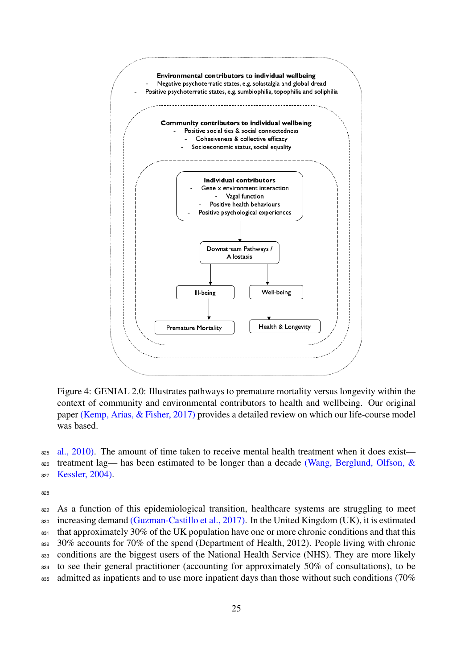

<span id="page-24-0"></span>Figure 4: GENIAL 2.0: Illustrates pathways to premature mortality versus longevity within the context of community and environmental contributors to health and wellbeing. Our original paper [\(Kemp, Arias, & Fisher, 2017\)](#page-42-0) provides a detailed review on which our life-course model was based.

 $\frac{1}{285}$  [al., 2010\).](#page-46-9) The amount of time taken to receive mental health treatment when it does exist 826 [t](#page-51-12)reatment lag— has been estimated to be longer than a decade [\(Wang, Berglund, Olfson, &](#page-51-12) 827 [Kessler, 2004\).](#page-51-12)

828

829 As a function of this epidemiological transition, healthcare systems are struggling to meet 830 increasing demand [\(Guzman-Castillo et al., 2017\).](#page-0-0) In the United Kingdom (UK), it is estimated 831 that approximately 30% of the UK population have one or more chronic conditions and that this 832 30% accounts for 70% of the spend (Department of Health, 2012). People living with chronic 833 conditions are the biggest users of the National Health Service (NHS). They are more likely <sup>834</sup> to see their general practitioner (accounting for approximately 50% of consultations), to be 835 admitted as inpatients and to use more inpatient days than those without such conditions (70%)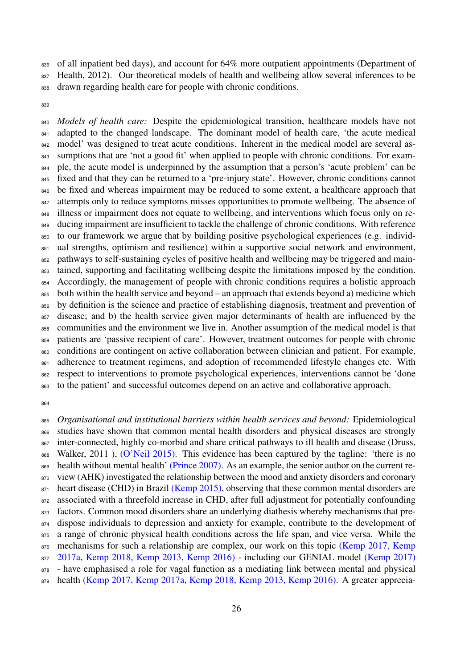836 of all inpatient bed days), and account for 64% more outpatient appointments (Department of 837 Health, 2012). Our theoretical models of health and wellbeing allow several inferences to be 838 drawn regarding health care for people with chronic conditions.

839

 *Models of health care:* Despite the epidemiological transition, healthcare models have not 841 adapted to the changed landscape. The dominant model of health care, 'the acute medical <sup>842</sup> model' was designed to treat acute conditions. Inherent in the medical model are several as- sumptions that are 'not a good fit' when applied to people with chronic conditions. For exam- ple, the acute model is underpinned by the assumption that a person's 'acute problem' can be 845 fixed and that they can be returned to a 'pre-injury state'. However, chronic conditions cannot 846 be fixed and whereas impairment may be reduced to some extent, a healthcare approach that <sup>847</sup> attempts only to reduce symptoms misses opportunities to promote wellbeing. The absence of illness or impairment does not equate to wellbeing, and interventions which focus only on re- ducing impairment are insufficient to tackle the challenge of chronic conditions. With reference to our framework we argue that by building positive psychological experiences (e.g. individ- ual strengths, optimism and resilience) within a supportive social network and environment, pathways to self-sustaining cycles of positive health and wellbeing may be triggered and main-853 tained, supporting and facilitating wellbeing despite the limitations imposed by the condition. 854 Accordingly, the management of people with chronic conditions requires a holistic approach both within the health service and beyond – an approach that extends beyond a) medicine which by definition is the science and practice of establishing diagnosis, treatment and prevention of disease; and b) the health service given major determinants of health are influenced by the communities and the environment we live in. Another assumption of the medical model is that patients are 'passive recipient of care'. However, treatment outcomes for people with chronic conditions are contingent on active collaboration between clinician and patient. For example, 861 adherence to treatment regimens, and adoption of recommended lifestyle changes etc. With respect to interventions to promote psychological experiences, interventions cannot be 'done to the patient' and successful outcomes depend on an active and collaborative approach.

864

<sup>865</sup> *Organisational and institutional barriers within health services and beyond:* Epidemiological <sup>866</sup> studies have shown that common mental health disorders and physical diseases are strongly <sup>867</sup> inter-connected, highly co-morbid and share critical pathways to ill health and disease (Druss, 868 Walker, 2011), [\(O'Neil 2015\).](#page-0-0) This evidence has been captured by the tagline: 'there is no 869 health without mental health' [\(Prince 2007\).](#page-0-0) As an example, the senior author on the current re-870 view (AHK) investigated the relationship between the mood and anxiety disorders and coronary  $871$  heart disease (CHD) in Brazil [\(Kemp 2015\),](#page-0-0) observing that these common mental disorders are 872 associated with a threefold increase in CHD, after full adjustment for potentially confounding 873 factors. Common mood disorders share an underlying diathesis whereby mechanisms that pre-874 dispose individuals to depression and anxiety for example, contribute to the development of <sup>875</sup> a range of chronic physical health conditions across the life span, and vice versa. While the 876 [m](#page-0-0)echanisms for such a relationship are complex, our work on this topic [\(Kemp 2017,](#page-0-0) [Kemp](#page-0-0) <sup>877</sup> [2017a,](#page-0-0) [Kemp 2018,](#page-0-0) [Kemp 2013,](#page-0-0) [Kemp 2016\)](#page-0-0) - including our GENIAL model [\(Kemp 2017\)](#page-0-0) 878 - have emphasised a role for vagal function as a mediating link between mental and physical <sup>879</sup> health [\(Kemp 2017,](#page-0-0) [Kemp 2017a,](#page-0-0) [Kemp 2018,](#page-0-0) [Kemp 2013,](#page-0-0) [Kemp 2016\).](#page-0-0) A greater apprecia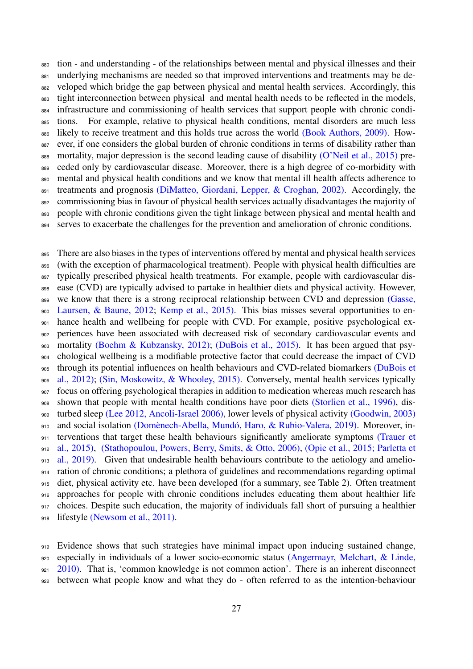tion - and understanding - of the relationships between mental and physical illnesses and their 881 underlying mechanisms are needed so that improved interventions and treatments may be de-882 veloped which bridge the gap between physical and mental health services. Accordingly, this 883 tight interconnection between physical and mental health needs to be reflected in the models, infrastructure and commissioning of health services that support people with chronic condi- tions. For example, relative to physical health conditions, mental disorders are much less 886 likely to receive treatment and this holds true across the world [\(Book Authors, 2009\).](#page-52-12) How-887 ever, if one considers the global burden of chronic conditions in terms of disability rather than 888 mortality, major depression is the second leading cause of disability [\(O'Neil et al., 2015\)](#page-46-10) pre-889 ceded only by cardiovascular disease. Moreover, there is a high degree of co-morbidity with mental and physical health conditions and we know that mental ill health affects adherence to 891 treatments and prognosis [\(DiMatteo, Giordani, Lepper, & Croghan, 2002\).](#page-38-11) Accordingly, the 892 commissioning bias in favour of physical health services actually disadvantages the majority of 893 people with chronic conditions given the tight linkage between physical and mental health and serves to exacerbate the challenges for the prevention and amelioration of chronic conditions.

 There are also biases in the types of interventions offered by mental and physical health services 896 (with the exception of pharmacological treatment). People with physical health difficulties are typically prescribed physical health treatments. For example, people with cardiovascular dis- ease (CVD) are typically advised to partake in healthier diets and physical activity. However, [w](#page-40-12)e know that there is a strong reciprocal relationship between CVD and depression [\(Gasse,](#page-40-12) [Laursen, & Baune, 2012;](#page-40-12) [Kemp et al., 2015\).](#page-42-11) This bias misses several opportunities to en- hance health and wellbeing for people with CVD. For example, positive psychological ex- periences have been associated with decreased risk of secondary cardiovascular events and mortality [\(Boehm & Kubzansky, 2012\);](#page-35-12) [\(DuBois et al., 2015\).](#page-39-9) It has been argued that psy- chological wellbeing is a modifiable protective factor that could decrease the impact of CVD [t](#page-38-2)hrough its potential influences on health behaviours and CVD-related biomarkers [\(DuBois et](#page-38-2) [al., 2012\);](#page-38-2) [\(Sin, Moskowitz, & Whooley, 2015\).](#page-49-11) Conversely, mental health services typically focus on offering psychological therapies in addition to medication whereas much research has shown that people with mental health conditions have poor diets [\(Storlien et al., 1996\),](#page-50-9) dis- turbed sleep [\(Lee 2012,](https://www.authorea.com/users/9886/articles/378536-rethinking-wellbeing-an-examination-of-individual-community-and-environmental-contributions-to-personal-wellbeing-with-application-to-chronic-conditions#Lee2012) [Ancoli-Israel 2006\),](https://www.authorea.com/users/9886/articles/378536-rethinking-wellbeing-an-examination-of-individual-community-and-environmental-contributions-to-personal-wellbeing-with-application-to-chronic-conditions#Ancoli__minus__Israel2006) lower levels of physical activity [\(Goodwin, 2003\)](#page-40-13) 910 and social isolation (Domènech-Abella, Mundó, Haro, & Rubio-Valera, 2019). Moreover, in[t](#page-0-0)erventions that target these health behaviours significantly ameliorate symptoms [\(Trauer et](#page-0-0) [al., 2015\),](#page-0-0) [\(Stathopoulou, Powers, Berry, Smits, & Otto, 2006\),](#page-50-10) [\(Opie et al., 2015;](https://www.authorea.com/users/9886/articles/378536-rethinking-wellbeing-an-examination-of-individual-community-and-environmental-contributions-to-personal-wellbeing-with-application-to-chronic-conditions#Opie2015) [Parletta et](https://www.authorea.com/users/9886/articles/378536-rethinking-wellbeing-an-examination-of-individual-community-and-environmental-contributions-to-personal-wellbeing-with-application-to-chronic-conditions#Parletta2019) [al., 2019\).](https://www.authorea.com/users/9886/articles/378536-rethinking-wellbeing-an-examination-of-individual-community-and-environmental-contributions-to-personal-wellbeing-with-application-to-chronic-conditions#Parletta2019) Given that undesirable health behaviours contribute to the aetiology and amelio- ration of chronic conditions; a plethora of guidelines and recommendations regarding optimal 915 diet, physical activity etc. have been developed (for a summary, see Table 2). Often treatment approaches for people with chronic conditions includes educating them about healthier life 917 choices. Despite such education, the majority of individuals fall short of pursuing a healthier 918 lifestyle [\(Newsom et al., 2011\).](#page-45-14)

 Evidence shows that such strategies have minimal impact upon inducing sustained change, [e](#page-34-14)specially in individuals of a lower socio-economic status [\(Angermayr, Melchart, & Linde,](#page-34-14) [2010\).](#page-34-14) That is, 'common knowledge is not common action'. There is an inherent disconnect between what people know and what they do - often referred to as the intention-behaviour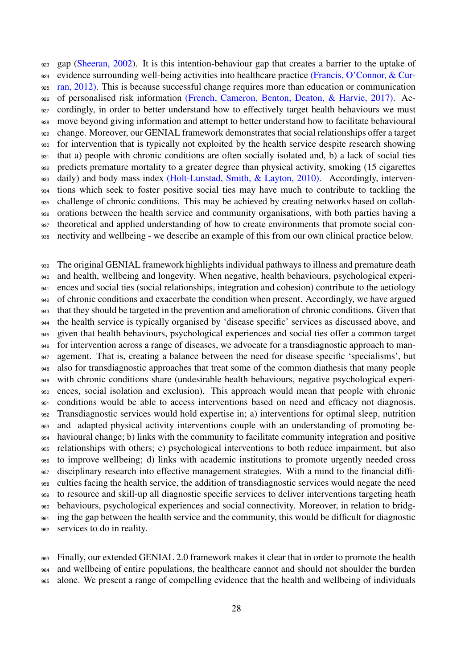gap [\(Sheeran, 2002\)](https://www.ncbi.nlm.nih.gov/pmc/articles/PMC5682236/#R84). It is this intention-behaviour gap that creates a barrier to the uptake of [e](#page-39-10)vidence surrounding well-being activities into healthcare practice [\(Francis, O'Connor, & Cur-](#page-39-10) [ran, 2012\).](#page-39-10) This is because successful change requires more than education or communication of personalised risk information [\(French, Cameron, Benton, Deaton, & Harvie, 2017\).](#page-39-11) Ac-927 cordingly, in order to better understand how to effectively target health behaviours we must move beyond giving information and attempt to better understand how to facilitate behavioural change. Moreover, our GENIAL framework demonstrates that social relationships offer a target for intervention that is typically not exploited by the health service despite research showing that a) people with chronic conditions are often socially isolated and, b) a lack of social ties predicts premature mortality to a greater degree than physical activity, smoking (15 cigarettes daily) and body mass index [\(Holt-Lunstad, Smith, & Layton, 2010\).](#page-41-3) Accordingly, interven- tions which seek to foster positive social ties may have much to contribute to tackling the challenge of chronic conditions. This may be achieved by creating networks based on collab- orations between the health service and community organisations, with both parties having a theoretical and applied understanding of how to create environments that promote social con-nectivity and wellbeing - we describe an example of this from our own clinical practice below.

939 The original GENIAL framework highlights individual pathways to illness and premature death and health, wellbeing and longevity. When negative, health behaviours, psychological experi- ences and social ties (social relationships, integration and cohesion) contribute to the aetiology 942 of chronic conditions and exacerbate the condition when present. Accordingly, we have argued that they should be targeted in the prevention and amelioration of chronic conditions. Given that the health service is typically organised by 'disease specific' services as discussed above, and given that health behaviours, psychological experiences and social ties offer a common target for intervention across a range of diseases, we advocate for a transdiagnostic approach to man-947 agement. That is, creating a balance between the need for disease specific 'specialisms', but also for transdiagnostic approaches that treat some of the common diathesis that many people with chronic conditions share (undesirable health behaviours, negative psychological experi- ences, social isolation and exclusion). This approach would mean that people with chronic 951 conditions would be able to access interventions based on need and efficacy not diagnosis. Transdiagnostic services would hold expertise in; a) interventions for optimal sleep, nutrition and adapted physical activity interventions couple with an understanding of promoting be- havioural change; b) links with the community to facilitate community integration and positive relationships with others; c) psychological interventions to both reduce impairment, but also to improve wellbeing; d) links with academic institutions to promote urgently needed cross disciplinary research into effective management strategies. With a mind to the financial diffi- culties facing the health service, the addition of transdiagnostic services would negate the need to resource and skill-up all diagnostic specific services to deliver interventions targeting heath behaviours, psychological experiences and social connectivity. Moreover, in relation to bridg-961 ing the gap between the health service and the community, this would be difficult for diagnostic services to do in reality.

 Finally, our extended GENIAL 2.0 framework makes it clear that in order to promote the health and wellbeing of entire populations, the healthcare cannot and should not shoulder the burden alone. We present a range of compelling evidence that the health and wellbeing of individuals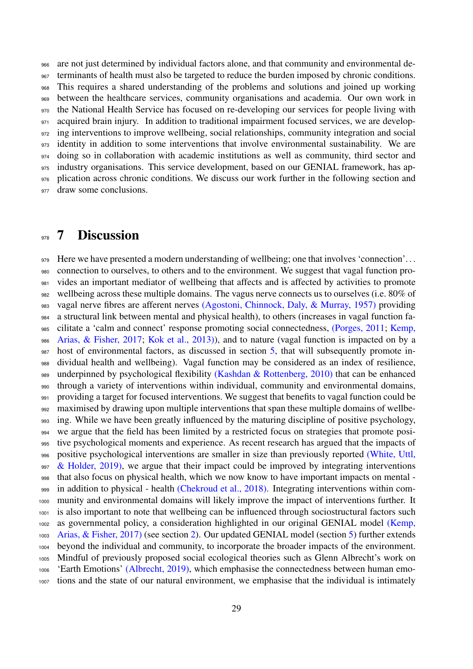are not just determined by individual factors alone, and that community and environmental de-967 terminants of health must also be targeted to reduce the burden imposed by chronic conditions. This requires a shared understanding of the problems and solutions and joined up working between the healthcare services, community organisations and academia. Our own work in the National Health Service has focused on re-developing our services for people living with 971 acquired brain injury. In addition to traditional impairment focused services, we are develop- ing interventions to improve wellbeing, social relationships, community integration and social identity in addition to some interventions that involve environmental sustainability. We are doing so in collaboration with academic institutions as well as community, third sector and industry organisations. This service development, based on our GENIAL framework, has ap- plication across chronic conditions. We discuss our work further in the following section and 977 draw some conclusions.

### <span id="page-28-0"></span><sub>978</sub> 7 Discussion

979 Here we have presented a modern understanding of wellbeing; one that involves 'connection'... connection to ourselves, to others and to the environment. We suggest that vagal function pro-981 vides an important mediator of wellbeing that affects and is affected by activities to promote wellbeing across these multiple domains. The vagus nerve connects us to ourselves (i.e. 80% of vagal nerve fibres are afferent nerves [\(Agostoni, Chinnock, Daly, & Murray, 1957\)](#page-34-15) providing a structural link between mental and physical health), to others (increases in vagal function fa- [c](#page-42-0)ilitate a 'calm and connect' response promoting social connectedness, [\(Porges, 2011;](#page-47-4) [Kemp,](#page-42-0) [Arias, & Fisher, 2017;](#page-42-0) [Kok et al., 2013\)\)](#page-43-6), and to nature (vagal function is impacted on by a 987 host of environmental factors, as discussed in section [5,](#page-21-0) that will subsequently promote in- dividual health and wellbeing). Vagal function may be considered as an index of resilience, 989 underpinned by psychological flexibility [\(Kashdan & Rottenberg, 2010\)](#page-42-7) that can be enhanced through a variety of interventions within individual, community and environmental domains, providing a target for focused interventions. We suggest that benefits to vagal function could be maximised by drawing upon multiple interventions that span these multiple domains of wellbe-993 ing. While we have been greatly influenced by the maturing discipline of positive psychology, we argue that the field has been limited by a restricted focus on strategies that promote posi- tive psychological moments and experience. As recent research has argued that the impacts of [p](#page-51-11)ositive psychological interventions are smaller in size than previously reported [\(White, Uttl,](#page-51-11)  $\&$  Holder, 2019), we argue that their impact could be improved by integrating interventions that also focus on physical health, which we now know to have important impacts on mental - in addition to physical - health [\(Chekroud et al., 2018\).](#page-36-1) Integrating interventions within com- munity and environmental domains will likely improve the impact of interventions further. It is also important to note that wellbeing can be influenced through sociostructural factors such [a](#page-42-0)s governmental policy, a consideration highlighted in our original GENIAL model [\(Kemp,](#page-42-0) [Arias, & Fisher, 2017\)](#page-42-0) (see section [2\)](#page-6-0). Our updated GENIAL model (section [5\)](#page-21-0) further extends beyond the individual and community, to incorporate the broader impacts of the environment. Mindful of previously proposed social ecological theories such as Glenn Albrecht's work on 'Earth Emotions' [\(Albrecht, 2019\),](#page-34-1) which emphasise the connectedness between human emo-tions and the state of our natural environment, we emphasise that the individual is intimately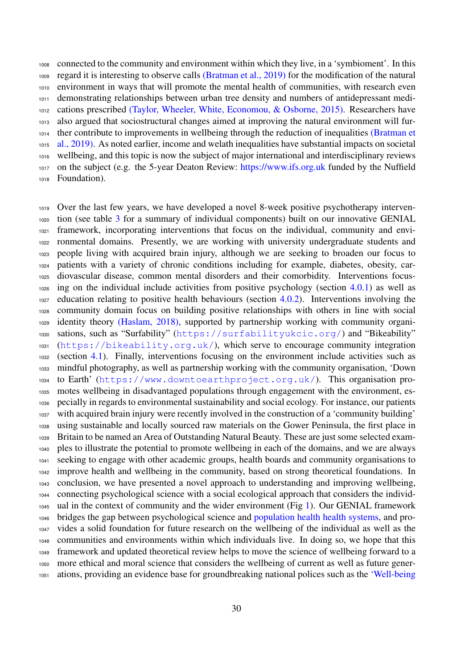connected to the community and environment within which they live, in a 'symbioment'. In this regard it is interesting to observe calls [\(Bratman et al., 2019\)](#page-36-11) for the modification of the natural environment in ways that will promote the mental health of communities, with research even demonstrating relationships between urban tree density and numbers of antidepressant medi- cations prescribed [\(Taylor, Wheeler, White, Economou, & Osborne, 2015\).](#page-50-11) Researchers have also argued that sociostructural changes aimed at improving the natural environment will fur- [t](#page-36-11)her contribute to improvements in wellbeing through the reduction of inequalities [\(Bratman et](#page-36-11) [al., 2019\).](#page-36-11) As noted earlier, income and welath inequalities have substantial impacts on societal wellbeing, and this topic is now the subject of major international and interdisciplinary reviews on the subject (e.g. the 5-year Deaton Review: [https://www.ifs.org.uk](https://www.ifs.org.uk/) funded by the Nuffield Foundation).

 Over the last few years, we have developed a novel 8-week positive psychotherapy interven- tion (see table [3](#page-33-0) for a summary of individual components) built on our innovative GENIAL framework, incorporating interventions that focus on the individual, community and envi- ronmental domains. Presently, we are working with university undergraduate students and people living with acquired brain injury, although we are seeking to broaden our focus to patients with a variety of chronic conditions including for example, diabetes, obesity, car- diovascular disease, common mental disorders and their comorbidity. Interventions focus- ing on the individual include activities from positive psychology (section [4.0.1\)](#page-9-0) as well as education relating to positive health behaviours (section [4.0.2\)](#page-11-0). Interventions involving the community domain focus on building positive relationships with others in line with social identity theory [\(Haslam, 2018\),](#page-40-5) supported by partnership working with community organi- sations, such as "Surfability" (<https://surfabilityukcic.org/>) and "Bikeability" (<https://bikeability.org.uk/>), which serve to encourage community integration (section [4.1\)](#page-14-0). Finally, interventions focusing on the environment include activities such as mindful photography, as well as partnership working with the community organisation, 'Down to Earth' (<https://www.downtoearthproject.org.uk/>). This organisation pro- motes wellbeing in disadvantaged populations through engagement with the environment, es- pecially in regards to environmental sustainability and social ecology. For instance, our patients with acquired brain injury were recently involved in the construction of a 'community building' using sustainable and locally sourced raw materials on the Gower Peninsula, the first place in Britain to be named an Area of Outstanding Natural Beauty. These are just some selected exam- ples to illustrate the potential to promote wellbeing in each of the domains, and we are always seeking to engage with other academic groups, health boards and community organisations to improve health and wellbeing in the community, based on strong theoretical foundations. In conclusion, we have presented a novel approach to understanding and improving wellbeing, connecting psychological science with a social ecological approach that considers the individ- ual in the context of community and the wider environment (Fig [1\)](#page-5-0). Our GENIAL framework bridges the gap between psychological science and [population health health systems,](https://www.kingsfund.org.uk/sites/default/files/field/field_publication_file/population-health-systems-kingsfund-feb15.pdf) and pro- vides a solid foundation for future research on the wellbeing of the individual as well as the communities and environments within which individuals live. In doing so, we hope that this framework and updated theoretical review helps to move the science of wellbeing forward to a more ethical and moral science that considers the wellbeing of current as well as future gener-[a](https://futuregenerations.wales/about-us/future-generations-act/)tions, providing an evidence base for groundbreaking national polices such as the ['Well-being](https://futuregenerations.wales/about-us/future-generations-act/)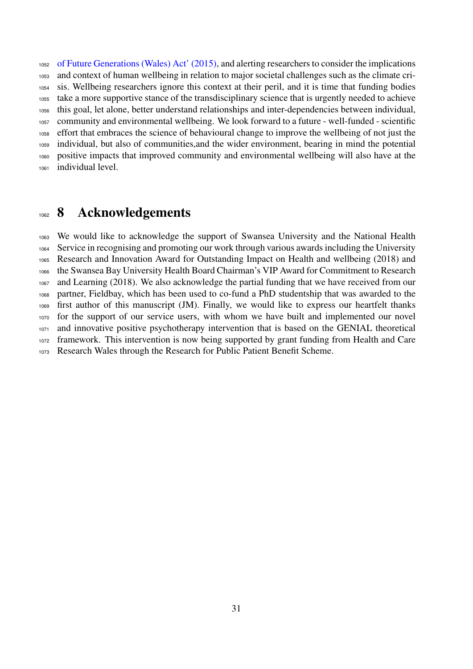[of Future Generations \(Wales\) Act' \(2015\),](https://futuregenerations.wales/about-us/future-generations-act/) and alerting researchers to consider the implications and context of human wellbeing in relation to major societal challenges such as the climate cri- sis. Wellbeing researchers ignore this context at their peril, and it is time that funding bodies take a more supportive stance of the transdisciplinary science that is urgently needed to achieve this goal, let alone, better understand relationships and inter-dependencies between individual, community and environmental wellbeing. We look forward to a future - well-funded - scientific effort that embraces the science of behavioural change to improve the wellbeing of not just the individual, but also of communities,and the wider environment, bearing in mind the potential positive impacts that improved community and environmental wellbeing will also have at the individual level.

### <span id="page-30-0"></span>1062 8 Acknowledgements

 We would like to acknowledge the support of Swansea University and the National Health Service in recognising and promoting our work through various awards including the University Research and Innovation Award for Outstanding Impact on Health and wellbeing (2018) and the Swansea Bay University Health Board Chairman's VIP Award for Commitment to Research and Learning (2018). We also acknowledge the partial funding that we have received from our partner, Fieldbay, which has been used to co-fund a PhD studentship that was awarded to the first author of this manuscript (JM). Finally, we would like to express our heartfelt thanks for the support of our service users, with whom we have built and implemented our novel and innovative positive psychotherapy intervention that is based on the GENIAL theoretical framework. This intervention is now being supported by grant funding from Health and Care Research Wales through the Research for Public Patient Benefit Scheme.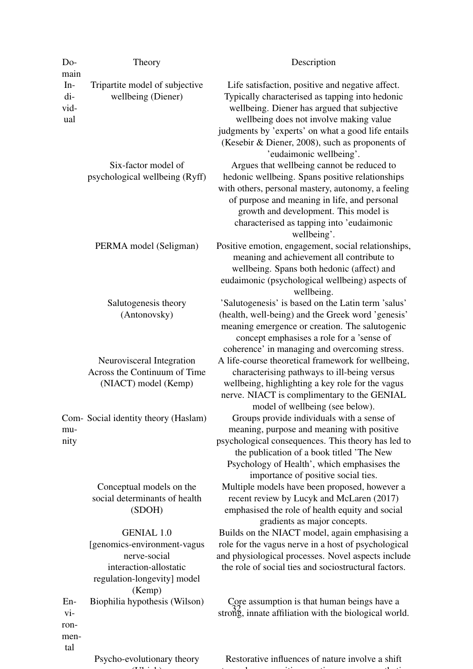<span id="page-31-0"></span>

| Do-                                               | Theory                                                                                                                               | Description                                                                                                                                                                                                                                                                               |
|---------------------------------------------------|--------------------------------------------------------------------------------------------------------------------------------------|-------------------------------------------------------------------------------------------------------------------------------------------------------------------------------------------------------------------------------------------------------------------------------------------|
| main<br>$In-$<br>di-<br>vid-<br>ual               | Tripartite model of subjective<br>wellbeing (Diener)                                                                                 | Life satisfaction, positive and negative affect.<br>Typically characterised as tapping into hedonic<br>wellbeing. Diener has argued that subjective                                                                                                                                       |
|                                                   |                                                                                                                                      | wellbeing does not involve making value<br>judgments by 'experts' on what a good life entails<br>(Kesebir & Diener, 2008), such as proponents of<br>'eudaimonic wellbeing'.                                                                                                               |
|                                                   | Six-factor model of<br>psychological wellbeing (Ryff)                                                                                | Argues that wellbeing cannot be reduced to<br>hedonic wellbeing. Spans positive relationships<br>with others, personal mastery, autonomy, a feeling<br>of purpose and meaning in life, and personal<br>growth and development. This model is<br>characterised as tapping into 'eudaimonic |
|                                                   | PERMA model (Seligman)                                                                                                               | wellbeing'.<br>Positive emotion, engagement, social relationships,<br>meaning and achievement all contribute to<br>wellbeing. Spans both hedonic (affect) and<br>eudaimonic (psychological wellbeing) aspects of<br>wellbeing.                                                            |
|                                                   | Salutogenesis theory<br>(Antonovsky)                                                                                                 | 'Salutogenesis' is based on the Latin term 'salus'<br>(health, well-being) and the Greek word 'genesis'<br>meaning emergence or creation. The salutogenic<br>concept emphasises a role for a 'sense of<br>coherence' in managing and overcoming stress.                                   |
|                                                   | Neurovisceral Integration<br>Across the Continuum of Time<br>(NIACT) model (Kemp)                                                    | A life-course theoretical framework for wellbeing,<br>characterising pathways to ill-being versus<br>wellbeing, highlighting a key role for the vagus<br>nerve. NIACT is complimentary to the GENIAL<br>model of wellbeing (see below).                                                   |
| mu-<br>nity                                       | Com-Social identity theory (Haslam)                                                                                                  | Groups provide individuals with a sense of<br>meaning, purpose and meaning with positive<br>psychological consequences. This theory has led to<br>the publication of a book titled 'The New<br>Psychology of Health', which emphasises the<br>importance of positive social ties.         |
|                                                   | Conceptual models on the<br>social determinants of health<br>(SDOH)                                                                  | Multiple models have been proposed, however a<br>recent review by Lucyk and McLaren (2017)<br>emphasised the role of health equity and social<br>gradients as major concepts.                                                                                                             |
|                                                   | <b>GENIAL 1.0</b><br>[genomics-environment-vagus]<br>nerve-social<br>interaction-allostatic<br>regulation-longevity] model<br>(Kemp) | Builds on the NIACT model, again emphasising a<br>role for the vagus nerve in a host of psychological<br>and physiological processes. Novel aspects include<br>the role of social ties and sociostructural factors.                                                                       |
| $En-$<br>$\overline{vi}$ -<br>ron-<br>men-<br>tal | Biophilia hypothesis (Wilson)                                                                                                        | Core assumption is that human beings have a<br>strong, innate affiliation with the biological world.                                                                                                                                                                                      |
|                                                   | Psycho-evolutionary theory                                                                                                           | Restorative influences of nature involve a shift                                                                                                                                                                                                                                          |
|                                                   |                                                                                                                                      |                                                                                                                                                                                                                                                                                           |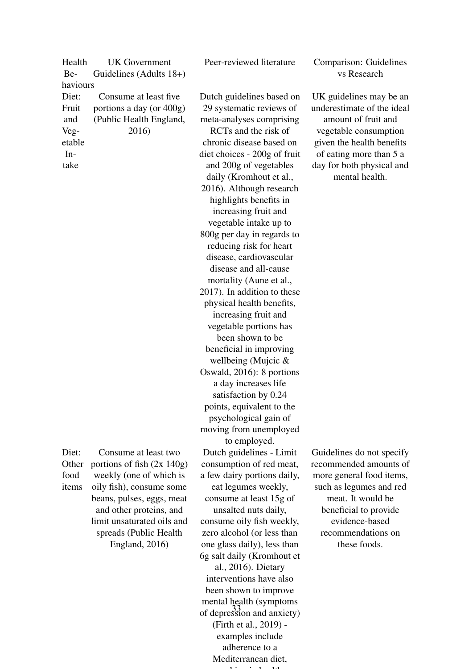Health Behaviours UK Government Guidelines (Adults 18+) Diet: Fruit and Vegetable In-Consume at least five portions a day (or 400g) (Public Health England, 2016)

take

Diet:

food

**Other** items Consume at least two portions of fish (2x 140g) weekly (one of which is oily fish), consume some beans, pulses, eggs, meat and other proteins, and limit unsaturated oils and spreads (Public Health England, 2016)

Dutch guidelines based on 29 systematic reviews of meta-analyses comprising RCTs and the risk of chronic disease based on diet choices - 200g of fruit and 200g of vegetables daily (Kromhout et al., 2016). Although research highlights benefits in increasing fruit and vegetable intake up to 800g per day in regards to reducing risk for heart disease, cardiovascular disease and all-cause mortality (Aune et al., 2017). In addition to these physical health benefits, increasing fruit and vegetable portions has been shown to be beneficial in improving wellbeing (Mujcic & Oswald, 2016): 8 portions a day increases life satisfaction by 0.24 points, equivalent to the psychological gain of moving from unemployed to employed. Dutch guidelines - Limit consumption of red meat, a few dairy portions daily, eat legumes weekly, consume at least 15g of unsalted nuts daily, consume oily fish weekly, zero alcohol (or less than one glass daily), less than 6g salt daily (Kromhout et al., 2016). Dietary interventions have also been shown to improve mental health (symptoms of depression and anxiety) (Firth et al., 2019) examples include adherence to a

> <span id="page-32-0"></span>Mediterranean diet, coaching in the first state of the state of the state of the state of the state of the state of the state of the state of the state of the state of the state of the state of the state of the state of the state of the state

Peer-reviewed literature Comparison: Guidelines vs Research

> UK guidelines may be an underestimate of the ideal amount of fruit and vegetable consumption given the health benefits of eating more than 5 a day for both physical and mental health.

> Guidelines do not specify recommended amounts of more general food items, such as legumes and red meat. It would be beneficial to provide evidence-based recommendations on these foods.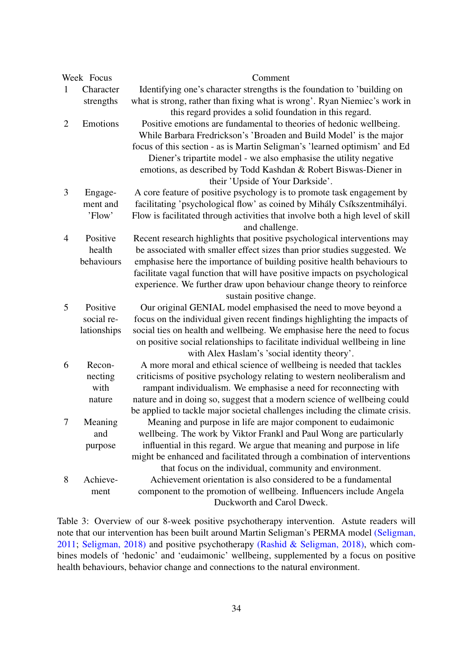| Week Focus     |             | Comment                                                                                                                                      |
|----------------|-------------|----------------------------------------------------------------------------------------------------------------------------------------------|
| 1              | Character   | Identifying one's character strengths is the foundation to 'building on                                                                      |
|                | strengths   | what is strong, rather than fixing what is wrong'. Ryan Niemiec's work in                                                                    |
|                |             | this regard provides a solid foundation in this regard.                                                                                      |
| $\overline{2}$ | Emotions    | Positive emotions are fundamental to theories of hedonic wellbeing.                                                                          |
|                |             | While Barbara Fredrickson's 'Broaden and Build Model' is the major                                                                           |
|                |             | focus of this section - as is Martin Seligman's 'learned optimism' and Ed                                                                    |
|                |             | Diener's tripartite model - we also emphasise the utility negative                                                                           |
|                |             | emotions, as described by Todd Kashdan & Robert Biswas-Diener in                                                                             |
|                |             | their 'Upside of Your Darkside'.                                                                                                             |
| 3              | Engage-     | A core feature of positive psychology is to promote task engagement by                                                                       |
|                | ment and    | facilitating 'psychological flow' as coined by Mihály Csíkszentmihályi.                                                                      |
|                | 'Flow'      | Flow is facilitated through activities that involve both a high level of skill                                                               |
|                |             | and challenge.                                                                                                                               |
| $\overline{4}$ | Positive    | Recent research highlights that positive psychological interventions may                                                                     |
|                | health      | be associated with smaller effect sizes than prior studies suggested. We                                                                     |
|                | behaviours  | emphasise here the importance of building positive health behaviours to                                                                      |
|                |             | facilitate vagal function that will have positive impacts on psychological                                                                   |
|                |             | experience. We further draw upon behaviour change theory to reinforce                                                                        |
|                |             | sustain positive change.                                                                                                                     |
| 5              | Positive    | Our original GENIAL model emphasised the need to move beyond a                                                                               |
|                | social re-  | focus on the individual given recent findings highlighting the impacts of                                                                    |
|                | lationships | social ties on health and wellbeing. We emphasise here the need to focus                                                                     |
|                |             | on positive social relationships to facilitate individual wellbeing in line                                                                  |
|                |             | with Alex Haslam's 'social identity theory'.                                                                                                 |
| 6              | Recon-      | A more moral and ethical science of wellbeing is needed that tackles                                                                         |
|                | necting     | criticisms of positive psychology relating to western neoliberalism and                                                                      |
|                | with        | rampant individualism. We emphasise a need for reconnecting with                                                                             |
|                | nature      | nature and in doing so, suggest that a modern science of wellbeing could                                                                     |
| 7              |             | be applied to tackle major societal challenges including the climate crisis.                                                                 |
|                | Meaning     | Meaning and purpose in life are major component to eudaimonic                                                                                |
|                | and         | wellbeing. The work by Viktor Frankl and Paul Wong are particularly<br>influential in this regard. We argue that meaning and purpose in life |
|                | purpose     | might be enhanced and facilitated through a combination of interventions                                                                     |
|                |             | that focus on the individual, community and environment.                                                                                     |
| 8              | Achieve-    | Achievement orientation is also considered to be a fundamental                                                                               |
|                | ment        | component to the promotion of wellbeing. Influencers include Angela                                                                          |
|                |             | Duckworth and Carol Dweck.                                                                                                                   |
|                |             |                                                                                                                                              |

<span id="page-33-0"></span>Table 3: Overview of our 8-week positive psychotherapy intervention. Astute readers will note that our intervention has been built around Martin Seligman's PERMA model [\(Seligman,](#page-48-0) [2011;](#page-48-0) [Seligman, 2018\)](#page-49-0) and positive psychotherapy [\(Rashid & Seligman, 2018\),](#page-47-1) which combines models of 'hedonic' and 'eudaimonic' wellbeing, supplemented by a focus on positive health behaviours, behavior change and connections to the natural environment.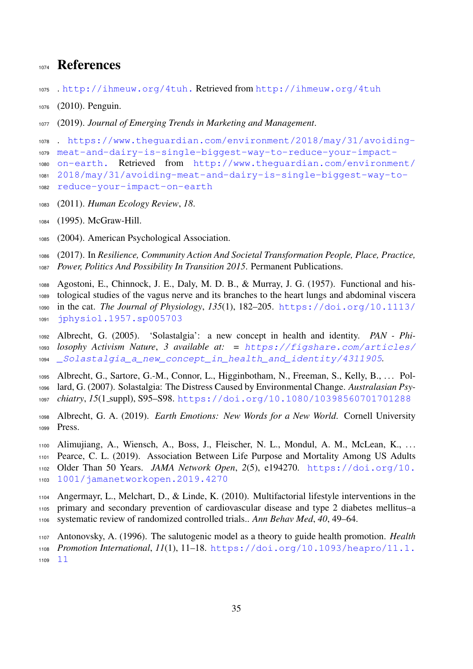## 1074 References

- <span id="page-34-5"></span><span id="page-34-0"></span>. <http://ihmeuw.org/4tuh.> Retrieved from <http://ihmeuw.org/4tuh>
- (2010). Penguin.
- <span id="page-34-7"></span><span id="page-34-6"></span>(2019). *Journal of Emerging Trends in Marketing and Management*.

```
1078 . https://www.theguardian.com/environment/2018/may/31/avoiding-
1079 meat-and-dairy-is-single-biggest-way-to-reduce-your-impact-
1080 on-earth. Retrieved from http://www.theguardian.com/environment/
1081 2018/may/31/avoiding-meat-and-dairy-is-single-biggest-way-to-
1082 reduce-your-impact-on-earth
```
- <span id="page-34-11"></span><span id="page-34-10"></span>(2011). *Human Ecology Review*, *18*.
- <span id="page-34-12"></span>(1995). McGraw-Hill.
- <span id="page-34-13"></span>(2004). American Psychological Association.

 (2017). In *Resilience, Community Action And Societal Transformation People, Place, Practice, Power, Politics And Possibility In Transition 2015*. Permanent Publications.

- <span id="page-34-15"></span> Agostoni, E., Chinnock, J. E., Daly, M. D. B., & Murray, J. G. (1957). Functional and his- tological studies of the vagus nerve and its branches to the heart lungs and abdominal viscera [i](https://doi.org/10.1113/jphysiol.1957.sp005703)n the cat. *The Journal of Physiology*, *135*(1), 182–205. [https://doi.org/10.1113/](https://doi.org/10.1113/jphysiol.1957.sp005703)
- <span id="page-34-8"></span>[jphysiol.1957.sp005703](https://doi.org/10.1113/jphysiol.1957.sp005703)

 Albrecht, G. (2005). 'Solastalgia': a new concept in health and identity. *PAN - Phi- [l](https://figshare.com/articles/_Solastalgia_a_new_concept_in_health_and_identity/4311905)osophy Activism Nature*, *3 available at: =* [https://figshare.com/articles/](https://figshare.com/articles/_Solastalgia_a_new_concept_in_health_and_identity/4311905) [\\_Solastalgia\\_a\\_new\\_concept\\_in\\_health\\_and\\_identity/4311905](https://figshare.com/articles/_Solastalgia_a_new_concept_in_health_and_identity/4311905)*.*

- <span id="page-34-9"></span>1095 Albrecht, G., Sartore, G.-M., Connor, L., Higginbotham, N., Freeman, S., Kelly, B., ... Pol-
- lard, G. (2007). Solastalgia: The Distress Caused by Environmental Change. *Australasian Psy-*
- <span id="page-34-1"></span>*chiatry*, *15*(1 suppl), S95–S98. <https://doi.org/10.1080/10398560701701288>
- Albrecht, G. A. (2019). *Earth Emotions: New Words for a New World*. Cornell University Press.
- <span id="page-34-4"></span>Alimujiang, A., Wiensch, A., Boss, J., Fleischer, N. L., Mondul, A. M., McLean, K., . . .
- Pearce, C. L. (2019). Association Between Life Purpose and Mortality Among US Adults
- [O](https://doi.org/10.1001/jamanetworkopen.2019.4270)lder Than 50 Years. *JAMA Network Open*, *2*(5), e194270. [https://doi.org/10.](https://doi.org/10.1001/jamanetworkopen.2019.4270)
- [1001/jamanetworkopen.2019.4270](https://doi.org/10.1001/jamanetworkopen.2019.4270)
- <span id="page-34-14"></span>Angermayr, L., Melchart, D., & Linde, K. (2010). Multifactorial lifestyle interventions in the
- primary and secondary prevention of cardiovascular disease and type 2 diabetes mellitus–a systematic review of randomized controlled trials.. *Ann Behav Med*, *40*, 49–64.
- <span id="page-34-3"></span>Antonovsky, A. (1996). The salutogenic model as a theory to guide health promotion. *Health*
- *[P](https://doi.org/10.1093/heapro/11.1.11)romotion International*, *11*(1), 11–18. [https://doi.org/10.1093/heapro/11.1.](https://doi.org/10.1093/heapro/11.1.11)
- <span id="page-34-2"></span>[11](https://doi.org/10.1093/heapro/11.1.11)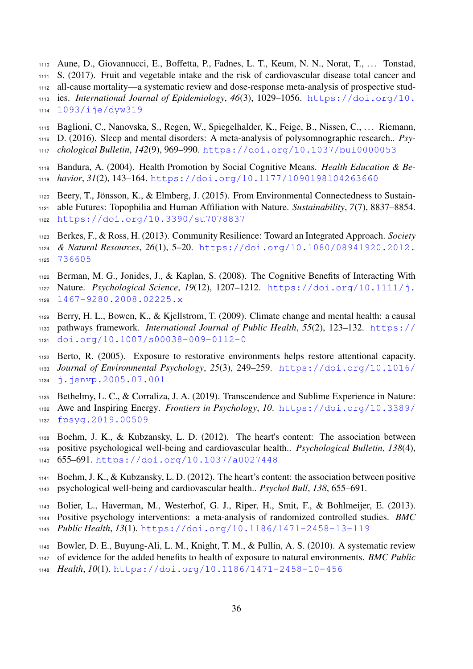- Aune, D., Giovannucci, E., Boffetta, P., Fadnes, L. T., Keum, N. N., Norat, T., . . . Tonstad, S. (2017). Fruit and vegetable intake and the risk of cardiovascular disease total cancer and all-cause mortality—a systematic review and dose-response meta-analysis of prospective stud-[i](https://doi.org/10.1093/ije/dyw319)es. *International Journal of Epidemiology*, *46*(3), 1029–1056. [https://doi.org/10.](https://doi.org/10.1093/ije/dyw319)
- <span id="page-35-11"></span>[1093/ije/dyw319](https://doi.org/10.1093/ije/dyw319)
- Baglioni, C., Nanovska, S., Regen, W., Spiegelhalder, K., Feige, B., Nissen, C., . . . Riemann,
- D. (2016). Sleep and mental disorders: A meta-analysis of polysomnographic research.. *Psy-*
- *chological Bulletin*, *142*(9), 969–990. <https://doi.org/10.1037/bul0000053>
- <span id="page-35-0"></span>Bandura, A. (2004). Health Promotion by Social Cognitive Means. *Health Education & Be-*
- <span id="page-35-4"></span>*havior*, *31*(2), 143–164. <https://doi.org/10.1177/1090198104263660>
- 1120 Beery, T., Jönsson, K., & Elmberg, J. (2015). From Environmental Connectedness to Sustain- able Futures: Topophilia and Human Affiliation with Nature. *Sustainability*, *7*(7), 8837–8854. <https://doi.org/10.3390/su7078837>
- <span id="page-35-3"></span>Berkes, F., & Ross, H. (2013). Community Resilience: Toward an Integrated Approach. *Society*
- *[&](https://doi.org/10.1080/08941920.2012.736605) Natural Resources*, *26*(1), 5–20. [https://doi.org/10.1080/08941920.2012.](https://doi.org/10.1080/08941920.2012.736605) [736605](https://doi.org/10.1080/08941920.2012.736605)
- <span id="page-35-8"></span>Berman, M. G., Jonides, J., & Kaplan, S. (2008). The Cognitive Benefits of Interacting With
- [N](https://doi.org/10.1111/j.1467-9280.2008.02225.x)ature. *Psychological Science*, *19*(12), 1207–1212. [https://doi.org/10.1111/j.](https://doi.org/10.1111/j.1467-9280.2008.02225.x)
- <span id="page-35-5"></span>[1467-9280.2008.02225.x](https://doi.org/10.1111/j.1467-9280.2008.02225.x)
- Berry, H. L., Bowen, K., & Kjellstrom, T. (2009). Climate change and mental health: a causal [p](https://doi.org/10.1007/s00038-009-0112-0)athways framework. *International Journal of Public Health*, *55*(2), 123–132. [https://](https://doi.org/10.1007/s00038-009-0112-0) [doi.org/10.1007/s00038-009-0112-0](https://doi.org/10.1007/s00038-009-0112-0)
- <span id="page-35-9"></span> Berto, R. (2005). Exposure to restorative environments helps restore attentional capacity. *[J](https://doi.org/10.1016/j.jenvp.2005.07.001)ournal of Environmental Psychology*, *25*(3), 249–259. [https://doi.org/10.1016/](https://doi.org/10.1016/j.jenvp.2005.07.001) [j.jenvp.2005.07.001](https://doi.org/10.1016/j.jenvp.2005.07.001)
- <span id="page-35-7"></span> Bethelmy, L. C., & Corraliza, J. A. (2019). Transcendence and Sublime Experience in Nature: [A](https://doi.org/10.3389/fpsyg.2019.00509)we and Inspiring Energy. *Frontiers in Psychology*, *10*. [https://doi.org/10.3389/](https://doi.org/10.3389/fpsyg.2019.00509)
- <span id="page-35-1"></span>[fpsyg.2019.00509](https://doi.org/10.3389/fpsyg.2019.00509)
- Boehm, J. K., & Kubzansky, L. D. (2012). The heart's content: The association between positive psychological well-being and cardiovascular health.. *Psychological Bulletin*, *138*(4),
- <span id="page-35-12"></span>655–691. <https://doi.org/10.1037/a0027448>
- Boehm, J. K., & Kubzansky, L. D. (2012). The heart's content: the association between positive psychological well-being and cardiovascular health.. *Psychol Bull*, *138*, 655–691.
- <span id="page-35-6"></span>Bolier, L., Haverman, M., Westerhof, G. J., Riper, H., Smit, F., & Bohlmeijer, E. (2013).
- Positive psychology interventions: a meta-analysis of randomized controlled studies. *BMC*
- <span id="page-35-10"></span>*Public Health*, *13*(1). <https://doi.org/10.1186/1471-2458-13-119>
- Bowler, D. E., Buyung-Ali, L. M., Knight, T. M., & Pullin, A. S. (2010). A systematic review
- of evidence for the added benefits to health of exposure to natural environments. *BMC Public*
- <span id="page-35-2"></span>*Health*, *10*(1). <https://doi.org/10.1186/1471-2458-10-456>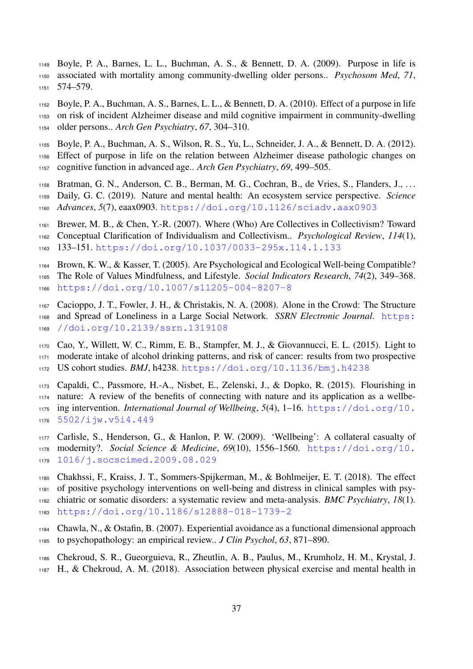Boyle, P. A., Barnes, L. L., Buchman, A. S., & Bennett, D. A. (2009). Purpose in life is associated with mortality among community-dwelling older persons.. *Psychosom Med*, *71*, 574–579.

<span id="page-36-3"></span> Boyle, P. A., Buchman, A. S., Barnes, L. L., & Bennett, D. A. (2010). Effect of a purpose in life on risk of incident Alzheimer disease and mild cognitive impairment in community-dwelling older persons.. *Arch Gen Psychiatry*, *67*, 304–310.

<span id="page-36-4"></span> Boyle, P. A., Buchman, A. S., Wilson, R. S., Yu, L., Schneider, J. A., & Bennett, D. A. (2012). Effect of purpose in life on the relation between Alzheimer disease pathologic changes on cognitive function in advanced age.. *Arch Gen Psychiatry*, *69*, 499–505.

<span id="page-36-11"></span> Bratman, G. N., Anderson, C. B., Berman, M. G., Cochran, B., de Vries, S., Flanders, J., . . . Daily, G. C. (2019). Nature and mental health: An ecosystem service perspective. *Science Advances*, *5*(7), eaax0903. <https://doi.org/10.1126/sciadv.aax0903>

<span id="page-36-6"></span>Brewer, M. B., & Chen, Y.-R. (2007). Where (Who) Are Collectives in Collectivism? Toward

- Conceptual Clarification of Individualism and Collectivism.. *Psychological Review*, *114*(1), 133–151. <https://doi.org/10.1037/0033-295x.114.1.133>
- <span id="page-36-8"></span>Brown, K. W., & Kasser, T. (2005). Are Psychological and Ecological Well-being Compatible?

 The Role of Values Mindfulness, and Lifestyle. *Social Indicators Research*, *74*(2), 349–368. <https://doi.org/10.1007/s11205-004-8207-8>

- <span id="page-36-7"></span> Cacioppo, J. T., Fowler, J. H., & Christakis, N. A. (2008). Alone in the Crowd: The Structure [a](https://doi.org/10.2139/ssrn.1319108)nd Spread of Loneliness in a Large Social Network. *SSRN Electronic Journal*. [https:](https://doi.org/10.2139/ssrn.1319108) [//doi.org/10.2139/ssrn.1319108](https://doi.org/10.2139/ssrn.1319108)
- <span id="page-36-0"></span> Cao, Y., Willett, W. C., Rimm, E. B., Stampfer, M. J., & Giovannucci, E. L. (2015). Light to moderate intake of alcohol drinking patterns, and risk of cancer: results from two prospective US cohort studies. *BMJ*, h4238. <https://doi.org/10.1136/bmj.h4238>
- <span id="page-36-9"></span>Capaldi, C., Passmore, H.-A., Nisbet, E., Zelenski, J., & Dopko, R. (2015). Flourishing in
- nature: A review of the benefits of connecting with nature and its application as a wellbe-
- [i](https://doi.org/10.5502/ijw.v5i4.449)ng intervention. *International Journal of Wellbeing*, *5*(4), 1–16. [https://doi.org/10.](https://doi.org/10.5502/ijw.v5i4.449)
- <span id="page-36-2"></span>[5502/ijw.v5i4.449](https://doi.org/10.5502/ijw.v5i4.449)
- Carlisle, S., Henderson, G., & Hanlon, P. W. (2009). 'Wellbeing': A collateral casualty of [m](https://doi.org/10.1016/j.socscimed.2009.08.029)odernity?. *Social Science & Medicine*, *69*(10), 1556–1560. [https://doi.org/10.](https://doi.org/10.1016/j.socscimed.2009.08.029) [1016/j.socscimed.2009.08.029](https://doi.org/10.1016/j.socscimed.2009.08.029)
- <span id="page-36-10"></span> Chakhssi, F., Kraiss, J. T., Sommers-Spijkerman, M., & Bohlmeijer, E. T. (2018). The effect of positive psychology interventions on well-being and distress in clinical samples with psy- chiatric or somatic disorders: a systematic review and meta-analysis. *BMC Psychiatry*, *18*(1). <https://doi.org/10.1186/s12888-018-1739-2>
- <span id="page-36-5"></span> Chawla, N., & Ostafin, B. (2007). Experiential avoidance as a functional dimensional approach to psychopathology: an empirical review.. *J Clin Psychol*, *63*, 871–890.
- <span id="page-36-1"></span>Chekroud, S. R., Gueorguieva, R., Zheutlin, A. B., Paulus, M., Krumholz, H. M., Krystal, J.
- H., & Chekroud, A. M. (2018). Association between physical exercise and mental health in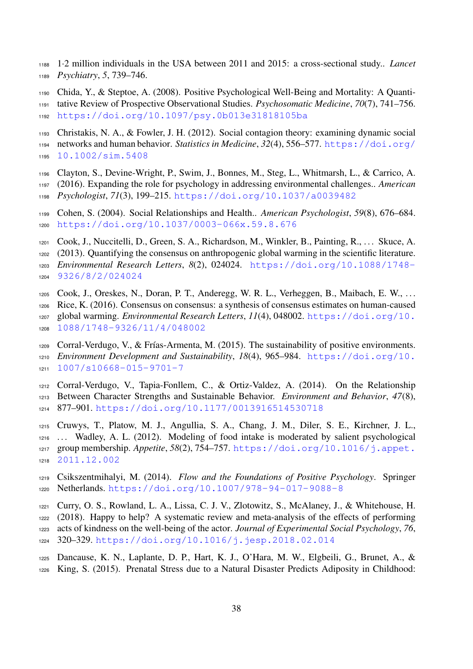- 1·2 million individuals in the USA between 2011 and 2015: a cross-sectional study.. *Lancet Psychiatry*, *5*, 739–746.
- <span id="page-37-1"></span> Chida, Y., & Steptoe, A. (2008). Positive Psychological Well-Being and Mortality: A Quanti-tative Review of Prospective Observational Studies. *Psychosomatic Medicine*, *70*(7), 741–756.
- <span id="page-37-2"></span><https://doi.org/10.1097/psy.0b013e31818105ba>
- Christakis, N. A., & Fowler, J. H. (2012). Social contagion theory: examining dynamic social [n](https://doi.org/10.1002/sim.5408)etworks and human behavior. *Statistics in Medicine*, *32*(4), 556–577. [https://doi.org/](https://doi.org/10.1002/sim.5408) [10.1002/sim.5408](https://doi.org/10.1002/sim.5408)
- <span id="page-37-10"></span>Clayton, S., Devine-Wright, P., Swim, J., Bonnes, M., Steg, L., Whitmarsh, L., & Carrico, A.
- (2016). Expanding the role for psychology in addressing environmental challenges.. *American Psychologist*, *71*(3), 199–215. <https://doi.org/10.1037/a0039482>
- <span id="page-37-4"></span> Cohen, S. (2004). Social Relationships and Health.. *American Psychologist*, *59*(8), 676–684. <https://doi.org/10.1037/0003-066x.59.8.676>
- <span id="page-37-6"></span>Cook, J., Nuccitelli, D., Green, S. A., Richardson, M., Winkler, B., Painting, R., . . . Skuce, A.
- (2013). Quantifying the consensus on anthropogenic global warming in the scientific literature.
- *[E](https://doi.org/10.1088/1748-9326/8/2/024024)nvironmental Research Letters*, *8*(2), 024024. [https://doi.org/10.1088/1748-](https://doi.org/10.1088/1748-9326/8/2/024024)
- <span id="page-37-7"></span>[9326/8/2/024024](https://doi.org/10.1088/1748-9326/8/2/024024)
- Cook, J., Oreskes, N., Doran, P. T., Anderegg, W. R. L., Verheggen, B., Maibach, E. W., . . .
- Rice, K. (2016). Consensus on consensus: a synthesis of consensus estimates on human-caused
- [g](https://doi.org/10.1088/1748-9326/11/4/048002)lobal warming. *Environmental Research Letters*, *11*(4), 048002. [https://doi.org/10.](https://doi.org/10.1088/1748-9326/11/4/048002) [1088/1748-9326/11/4/048002](https://doi.org/10.1088/1748-9326/11/4/048002)
- <span id="page-37-0"></span>1209 Corral-Verdugo, V., & Frías-Armenta, M. (2015). The sustainability of positive environments. *[E](https://doi.org/10.1007/s10668-015-9701-7)nvironment Development and Sustainability*, *18*(4), 965–984. [https://doi.org/10.](https://doi.org/10.1007/s10668-015-9701-7) [1007/s10668-015-9701-7](https://doi.org/10.1007/s10668-015-9701-7)
- <span id="page-37-9"></span>Corral-Verdugo, V., Tapia-Fonllem, C., & Ortiz-Valdez, A. (2014). On the Relationship
- Between Character Strengths and Sustainable Behavior. *Environment and Behavior*, *47*(8),
- <span id="page-37-3"></span>877–901. <https://doi.org/10.1177/0013916514530718>
- Cruwys, T., Platow, M. J., Angullia, S. A., Chang, J. M., Diler, S. E., Kirchner, J. L., . . . Wadley, A. L. (2012). Modeling of food intake is moderated by salient psychological [g](https://doi.org/10.1016/j.appet.2011.12.002)roup membership. *Appetite*, *58*(2), 754–757. [https://doi.org/10.1016/j.appet.](https://doi.org/10.1016/j.appet.2011.12.002)
- <span id="page-37-8"></span>[2011.12.002](https://doi.org/10.1016/j.appet.2011.12.002)
- Csikszentmihalyi, M. (2014). *Flow and the Foundations of Positive Psychology*. Springer Netherlands. <https://doi.org/10.1007/978-94-017-9088-8>
- <span id="page-37-11"></span> Curry, O. S., Rowland, L. A., Lissa, C. J. V., Zlotowitz, S., McAlaney, J., & Whitehouse, H. (2018). Happy to help? A systematic review and meta-analysis of the effects of performing
- acts of kindness on the well-being of the actor. *Journal of Experimental Social Psychology*, *76*, 320–329. <https://doi.org/10.1016/j.jesp.2018.02.014>
- <span id="page-37-5"></span> Dancause, K. N., Laplante, D. P., Hart, K. J., O'Hara, M. W., Elgbeili, G., Brunet, A., & King, S. (2015). Prenatal Stress due to a Natural Disaster Predicts Adiposity in Childhood: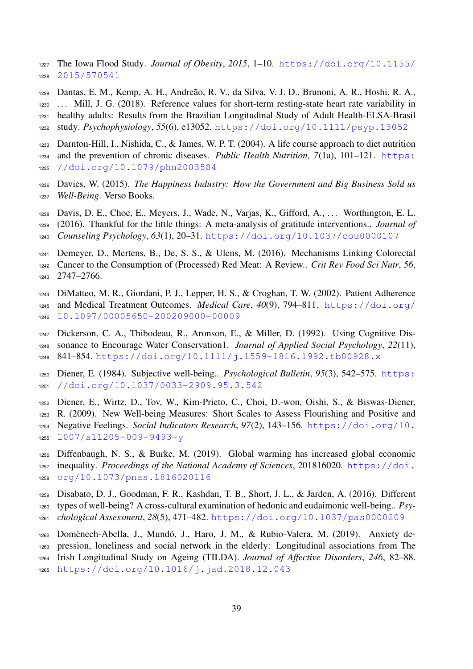[T](https://doi.org/10.1155/2015/570541)he Iowa Flood Study. *Journal of Obesity*, *2015*, 1–10. [https://doi.org/10.1155/](https://doi.org/10.1155/2015/570541) [2015/570541](https://doi.org/10.1155/2015/570541)

<span id="page-38-10"></span> Dantas, E. M., Kemp, A. H., Andreao, R. V., da Silva, V. J. D., Brunoni, A. R., Hoshi, R. A., ˜ . . . Mill, J. G. (2018). Reference values for short-term resting-state heart rate variability in healthy adults: Results from the Brazilian Longitudinal Study of Adult Health-ELSA-Brasil study. *Psychophysiology*, *55*(6), e13052. <https://doi.org/10.1111/psyp.13052>

<span id="page-38-5"></span> Darnton-Hill, I., Nishida, C., & James, W. P. T. (2004). A life course approach to diet nutrition [a](https://doi.org/10.1079/phn2003584)nd the prevention of chronic diseases. *Public Health Nutrition*, *7*(1a), 101–121. [https:](https://doi.org/10.1079/phn2003584) [//doi.org/10.1079/phn2003584](https://doi.org/10.1079/phn2003584)

- <span id="page-38-3"></span> Davies, W. (2015). *The Happiness Industry: How the Government and Big Business Sold us Well-Being*. Verso Books.
- <span id="page-38-9"></span> Davis, D. E., Choe, E., Meyers, J., Wade, N., Varjas, K., Gifford, A., . . . Worthington, E. L. (2016). Thankful for the little things: A meta-analysis of gratitude interventions.. *Journal of Counseling Psychology*, *63*(1), 20–31. <https://doi.org/10.1037/cou0000107>
- <span id="page-38-6"></span> Demeyer, D., Mertens, B., De, S. S., & Ulens, M. (2016). Mechanisms Linking Colorectal Cancer to the Consumption of (Processed) Red Meat: A Review.. *Crit Rev Food Sci Nutr*, *56*, 2747–2766.
- <span id="page-38-11"></span>DiMatteo, M. R., Giordani, P. J., Lepper, H. S., & Croghan, T. W. (2002). Patient Adherence
- [a](https://doi.org/10.1097/00005650-200209000-00009)nd Medical Treatment Outcomes. *Medical Care*, *40*(9), 794–811. [https://doi.org/](https://doi.org/10.1097/00005650-200209000-00009) [10.1097/00005650-200209000-00009](https://doi.org/10.1097/00005650-200209000-00009)
- <span id="page-38-8"></span> Dickerson, C. A., Thibodeau, R., Aronson, E., & Miller, D. (1992). Using Cognitive Dis- sonance to Encourage Water Conservation1. *Journal of Applied Social Psychology*, *22*(11), 841–854. <https://doi.org/10.1111/j.1559-1816.1992.tb00928.x>
- <span id="page-38-0"></span> [D](https://doi.org/10.1037/0033-2909.95.3.542)iener, E. (1984). Subjective well-being.. *Psychological Bulletin*, *95*(3), 542–575. [https:](https://doi.org/10.1037/0033-2909.95.3.542) [//doi.org/10.1037/0033-2909.95.3.542](https://doi.org/10.1037/0033-2909.95.3.542)
- <span id="page-38-1"></span>Diener, E., Wirtz, D., Tov, W., Kim-Prieto, C., Choi, D.-won, Oishi, S., & Biswas-Diener,
- R. (2009). New Well-being Measures: Short Scales to Assess Flourishing and Positive and
- [N](https://doi.org/10.1007/s11205-009-9493-y)egative Feelings. *Social Indicators Research*, *97*(2), 143–156. [https://doi.org/10.](https://doi.org/10.1007/s11205-009-9493-y) [1007/s11205-009-9493-y](https://doi.org/10.1007/s11205-009-9493-y)
- <span id="page-38-7"></span> Diffenbaugh, N. S., & Burke, M. (2019). Global warming has increased global economic [i](https://doi.org/10.1073/pnas.1816020116)nequality. *Proceedings of the National Academy of Sciences*, 201816020. [https://doi.](https://doi.org/10.1073/pnas.1816020116) [org/10.1073/pnas.1816020116](https://doi.org/10.1073/pnas.1816020116)
- <span id="page-38-4"></span> Disabato, D. J., Goodman, F. R., Kashdan, T. B., Short, J. L., & Jarden, A. (2016). Different types of well-being? A cross-cultural examination of hedonic and eudaimonic well-being.. *Psy-chological Assessment*, *28*(5), 471–482. <https://doi.org/10.1037/pas0000209>
- <span id="page-38-12"></span>1262 Domènech-Abella, J., Mundó, J., Haro, J. M., & Rubio-Valera, M. (2019). Anxiety de-
- <span id="page-38-2"></span> pression, loneliness and social network in the elderly: Longitudinal associations from The Irish Longitudinal Study on Ageing (TILDA). *Journal of Affective Disorders*, *246*, 82–88. <https://doi.org/10.1016/j.jad.2018.12.043>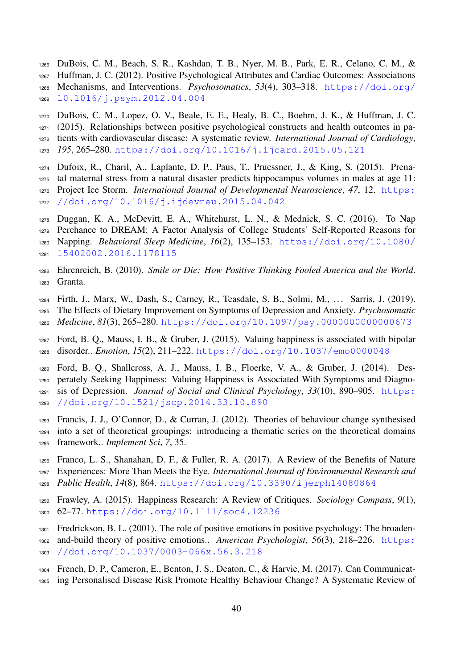- DuBois, C. M., Beach, S. R., Kashdan, T. B., Nyer, M. B., Park, E. R., Celano, C. M., &
- Huffman, J. C. (2012). Positive Psychological Attributes and Cardiac Outcomes: Associations [M](https://doi.org/10.1016/j.psym.2012.04.004)echanisms, and Interventions. *Psychosomatics*, *53*(4), 303–318. [https://doi.org/](https://doi.org/10.1016/j.psym.2012.04.004) [10.1016/j.psym.2012.04.004](https://doi.org/10.1016/j.psym.2012.04.004)
- <span id="page-39-9"></span> DuBois, C. M., Lopez, O. V., Beale, E. E., Healy, B. C., Boehm, J. K., & Huffman, J. C. (2015). Relationships between positive psychological constructs and health outcomes in pa- tients with cardiovascular disease: A systematic review. *International Journal of Cardiology*, *195*, 265–280. <https://doi.org/10.1016/j.ijcard.2015.05.121>
- <span id="page-39-7"></span>Dufoix, R., Charil, A., Laplante, D. P., Paus, T., Pruessner, J., & King, S. (2015). Prena-
- tal maternal stress from a natural disaster predicts hippocampus volumes in males at age 11:
- [P](https://doi.org/10.1016/j.ijdevneu.2015.04.042)roject Ice Storm. *International Journal of Developmental Neuroscience*, *47*, 12. [https:](https://doi.org/10.1016/j.ijdevneu.2015.04.042)
- [//doi.org/10.1016/j.ijdevneu.2015.04.042](https://doi.org/10.1016/j.ijdevneu.2015.04.042)
- <span id="page-39-1"></span>Duggan, K. A., McDevitt, E. A., Whitehurst, L. N., & Mednick, S. C. (2016). To Nap
- Perchance to DREAM: A Factor Analysis of College Students' Self-Reported Reasons for [N](https://doi.org/10.1080/15402002.2016.1178115)apping. *Behavioral Sleep Medicine*, *16*(2), 135–153. [https://doi.org/10.1080/](https://doi.org/10.1080/15402002.2016.1178115)
- <span id="page-39-2"></span>[15402002.2016.1178115](https://doi.org/10.1080/15402002.2016.1178115)
- Ehrenreich, B. (2010). *Smile or Die: How Positive Thinking Fooled America and the World*. Granta.
- <span id="page-39-0"></span>Firth, J., Marx, W., Dash, S., Carney, R., Teasdale, S. B., Solmi, M., . . . Sarris, J. (2019).
- The Effects of Dietary Improvement on Symptoms of Depression and Anxiety. *Psychosomatic*
- <span id="page-39-6"></span>*Medicine*, *81*(3), 265–280. <https://doi.org/10.1097/psy.0000000000000673>
- Ford, B. Q., Mauss, I. B., & Gruber, J. (2015). Valuing happiness is associated with bipolar disorder.. *Emotion*, *15*(2), 211–222. <https://doi.org/10.1037/emo0000048>
- <span id="page-39-5"></span> Ford, B. Q., Shallcross, A. J., Mauss, I. B., Floerke, V. A., & Gruber, J. (2014). Des- perately Seeking Happiness: Valuing Happiness is Associated With Symptoms and Diagno- [s](https://doi.org/10.1521/jscp.2014.33.10.890)is of Depression. *Journal of Social and Clinical Psychology*, *33*(10), 890–905. [https:](https://doi.org/10.1521/jscp.2014.33.10.890) [//doi.org/10.1521/jscp.2014.33.10.890](https://doi.org/10.1521/jscp.2014.33.10.890)
- <span id="page-39-10"></span> Francis, J. J., O'Connor, D., & Curran, J. (2012). Theories of behaviour change synthesised into a set of theoretical groupings: introducing a thematic series on the theoretical domains framework.. *Implement Sci*, *7*, 35.
- <span id="page-39-8"></span> Franco, L. S., Shanahan, D. F., & Fuller, R. A. (2017). A Review of the Benefits of Nature Experiences: More Than Meets the Eye. *International Journal of Environmental Research and Public Health*, *14*(8), 864. <https://doi.org/10.3390/ijerph14080864>
- <span id="page-39-3"></span> Frawley, A. (2015). Happiness Research: A Review of Critiques. *Sociology Compass*, *9*(1), 62–77. <https://doi.org/10.1111/soc4.12236>
- <span id="page-39-4"></span>Fredrickson, B. L. (2001). The role of positive emotions in positive psychology: The broaden-
- [a](https://doi.org/10.1037/0003-066x.56.3.218)nd-build theory of positive emotions.. American Psychologist, 56(3), 218–226. [https:](https://doi.org/10.1037/0003-066x.56.3.218)
- [//doi.org/10.1037/0003-066x.56.3.218](https://doi.org/10.1037/0003-066x.56.3.218)
- <span id="page-39-11"></span>French, D. P., Cameron, E., Benton, J. S., Deaton, C., & Harvie, M. (2017). Can Communicat-
- ing Personalised Disease Risk Promote Healthy Behaviour Change? A Systematic Review of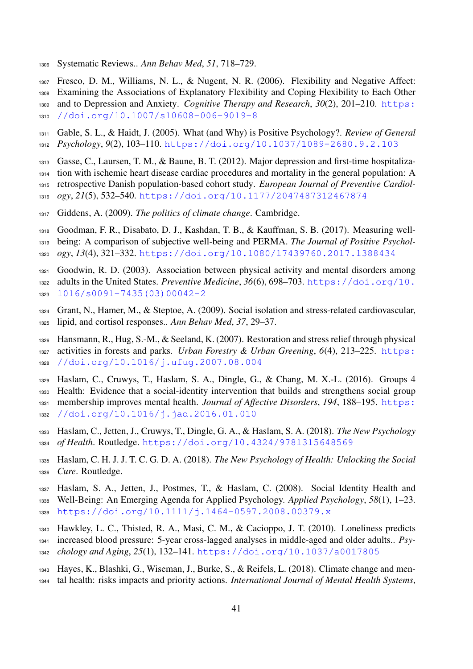- Systematic Reviews.. *Ann Behav Med*, *51*, 718–729.
- <span id="page-40-2"></span>Fresco, D. M., Williams, N. L., & Nugent, N. R. (2006). Flexibility and Negative Affect:

Examining the Associations of Explanatory Flexibility and Coping Flexibility to Each Other

 [a](https://doi.org/10.1007/s10608-006-9019-8)nd to Depression and Anxiety. *Cognitive Therapy and Research*, *30*(2), 201–210. [https:](https://doi.org/10.1007/s10608-006-9019-8) [//doi.org/10.1007/s10608-006-9019-8](https://doi.org/10.1007/s10608-006-9019-8)

<span id="page-40-9"></span> Gable, S. L., & Haidt, J. (2005). What (and Why) is Positive Psychology?. *Review of General Psychology*, *9*(2), 103–110. <https://doi.org/10.1037/1089-2680.9.2.103>

- <span id="page-40-12"></span>Gasse, C., Laursen, T. M., & Baune, B. T. (2012). Major depression and first-time hospitaliza-
- tion with ischemic heart disease cardiac procedures and mortality in the general population: A
- retrospective Danish population-based cohort study. *European Journal of Preventive Cardiol-*
- *ogy*, *21*(5), 532–540. <https://doi.org/10.1177/2047487312467874>
- <span id="page-40-10"></span>Giddens, A. (2009). *The politics of climate change*. Cambridge.

<span id="page-40-1"></span> Goodman, F. R., Disabato, D. J., Kashdan, T. B., & Kauffman, S. B. (2017). Measuring well- being: A comparison of subjective well-being and PERMA. *The Journal of Positive Psychol-ogy*, *13*(4), 321–332. <https://doi.org/10.1080/17439760.2017.1388434>

<span id="page-40-13"></span> Goodwin, R. D. (2003). Association between physical activity and mental disorders among [a](https://doi.org/10.1016/s0091-7435(03)00042-2)dults in the United States. *Preventive Medicine*, *36*(6), 698–703. [https://doi.org/10.](https://doi.org/10.1016/s0091-7435(03)00042-2) [1016/s0091-7435\(03\)00042-2](https://doi.org/10.1016/s0091-7435(03)00042-2)

- <span id="page-40-3"></span> Grant, N., Hamer, M., & Steptoe, A. (2009). Social isolation and stress-related cardiovascular, lipid, and cortisol responses.. *Ann Behav Med*, *37*, 29–37.
- <span id="page-40-8"></span> Hansmann, R., Hug, S.-M., & Seeland, K. (2007). Restoration and stress relief through physical [a](https://doi.org/10.1016/j.ufug.2007.08.004)ctivities in forests and parks. *Urban Forestry & Urban Greening*, 6(4), 213–225. [https:](https://doi.org/10.1016/j.ufug.2007.08.004) [//doi.org/10.1016/j.ufug.2007.08.004](https://doi.org/10.1016/j.ufug.2007.08.004)
- <span id="page-40-11"></span>Haslam, C., Cruwys, T., Haslam, S. A., Dingle, G., & Chang, M. X.-L. (2016). Groups 4
- Health: Evidence that a social-identity intervention that builds and strengthens social group [m](https://doi.org/10.1016/j.jad.2016.01.010)embership improves mental health. *Journal of Affective Disorders*, *194*, 188–195. [https:](https://doi.org/10.1016/j.jad.2016.01.010)
- [//doi.org/10.1016/j.jad.2016.01.010](https://doi.org/10.1016/j.jad.2016.01.010)
- <span id="page-40-6"></span> Haslam, C., Jetten, J., Cruwys, T., Dingle, G. A., & Haslam, S. A. (2018). *The New Psychology of Health*. Routledge. <https://doi.org/10.4324/9781315648569>
- <span id="page-40-5"></span> Haslam, C. H. J. J. T. C. G. D. A. (2018). *The New Psychology of Health: Unlocking the Social Cure*. Routledge.
- <span id="page-40-0"></span>Haslam, S. A., Jetten, J., Postmes, T., & Haslam, C. (2008). Social Identity Health and
- Well-Being: An Emerging Agenda for Applied Psychology. *Applied Psychology*, *58*(1), 1–23. <https://doi.org/10.1111/j.1464-0597.2008.00379.x>
- <span id="page-40-4"></span>Hawkley, L. C., Thisted, R. A., Masi, C. M., & Cacioppo, J. T. (2010). Loneliness predicts
- increased blood pressure: 5-year cross-lagged analyses in middle-aged and older adults.. *Psy-*
- *chology and Aging*, *25*(1), 132–141. <https://doi.org/10.1037/a0017805>
- <span id="page-40-7"></span> Hayes, K., Blashki, G., Wiseman, J., Burke, S., & Reifels, L. (2018). Climate change and men-tal health: risks impacts and priority actions. *International Journal of Mental Health Systems*,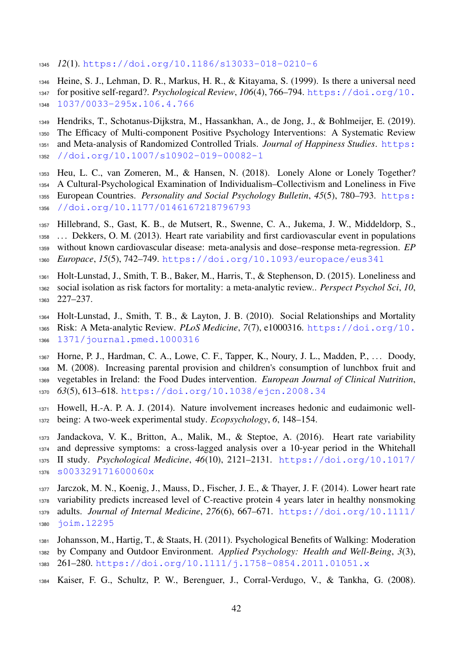- *12*(1). <https://doi.org/10.1186/s13033-018-0210-6>
- <span id="page-41-7"></span>Heine, S. J., Lehman, D. R., Markus, H. R., & Kitayama, S. (1999). Is there a universal need
- [f](https://doi.org/10.1037/0033-295x.106.4.766)or positive self-regard?. *Psychological Review*, *106*(4), 766–794. [https://doi.org/10.](https://doi.org/10.1037/0033-295x.106.4.766) [1037/0033-295x.106.4.766](https://doi.org/10.1037/0033-295x.106.4.766)
- <span id="page-41-11"></span>Hendriks, T., Schotanus-Dijkstra, M., Hassankhan, A., de Jong, J., & Bohlmeijer, E. (2019).
- The Efficacy of Multi-component Positive Psychology Interventions: A Systematic Review [a](https://doi.org/10.1007/s10902-019-00082-1)nd Meta-analysis of Randomized Controlled Trials. *Journal of Happiness Studies*. [https:](https://doi.org/10.1007/s10902-019-00082-1)
- [//doi.org/10.1007/s10902-019-00082-1](https://doi.org/10.1007/s10902-019-00082-1)
- <span id="page-41-4"></span>Heu, L. C., van Zomeren, M., & Hansen, N. (2018). Lonely Alone or Lonely Together?
- A Cultural-Psychological Examination of Individualism–Collectivism and Loneliness in Five [E](https://doi.org/10.1177/0146167218796793)uropean Countries. *Personality and Social Psychology Bulletin*, *45*(5), 780–793. [https:](https://doi.org/10.1177/0146167218796793) [//doi.org/10.1177/0146167218796793](https://doi.org/10.1177/0146167218796793)
- <span id="page-41-2"></span>Hillebrand, S., Gast, K. B., de Mutsert, R., Swenne, C. A., Jukema, J. W., Middeldorp, S.,
- . . . Dekkers, O. M. (2013). Heart rate variability and first cardiovascular event in populations
- without known cardiovascular disease: meta-analysis and dose–response meta-regression. *EP*
- *Europace*, *15*(5), 742–749. <https://doi.org/10.1093/europace/eus341>
- <span id="page-41-5"></span> Holt-Lunstad, J., Smith, T. B., Baker, M., Harris, T., & Stephenson, D. (2015). Loneliness and social isolation as risk factors for mortality: a meta-analytic review.. *Perspect Psychol Sci*, *10*, 227–237.
- <span id="page-41-3"></span> Holt-Lunstad, J., Smith, T. B., & Layton, J. B. (2010). Social Relationships and Mortality [R](https://doi.org/10.1371/journal.pmed.1000316)isk: A Meta-analytic Review. *PLoS Medicine*, *7*(7), e1000316. [https://doi.org/10.](https://doi.org/10.1371/journal.pmed.1000316) [1371/journal.pmed.1000316](https://doi.org/10.1371/journal.pmed.1000316)
- <span id="page-41-6"></span> Horne, P. J., Hardman, C. A., Lowe, C. F., Tapper, K., Noury, J. L., Madden, P., . . . Doody, M. (2008). Increasing parental provision and children's consumption of lunchbox fruit and vegetables in Ireland: the Food Dudes intervention. *European Journal of Clinical Nutrition*, *63*(5), 613–618. <https://doi.org/10.1038/ejcn.2008.34>
- <span id="page-41-8"></span> Howell, H.-A. P. A. J. (2014). Nature involvement increases hedonic and eudaimonic well-being: A two-week experimental study. *Ecopsychology*, *6*, 148–154.
- <span id="page-41-1"></span> Jandackova, V. K., Britton, A., Malik, M., & Steptoe, A. (2016). Heart rate variability and depressive symptoms: a cross-lagged analysis over a 10-year period in the Whitehall [I](https://doi.org/10.1017/s003329171600060x)I study. *Psychological Medicine*, *46*(10), 2121–2131. [https://doi.org/10.1017/](https://doi.org/10.1017/s003329171600060x) [s003329171600060x](https://doi.org/10.1017/s003329171600060x)
- <span id="page-41-0"></span>Jarczok, M. N., Koenig, J., Mauss, D., Fischer, J. E., & Thayer, J. F. (2014). Lower heart rate
- variability predicts increased level of C-reactive protein 4 years later in healthy nonsmoking
- [a](https://doi.org/10.1111/joim.12295)dults. *Journal of Internal Medicine*, *276*(6), 667–671. [https://doi.org/10.1111/](https://doi.org/10.1111/joim.12295) [joim.12295](https://doi.org/10.1111/joim.12295)
- <span id="page-41-9"></span>Johansson, M., Hartig, T., & Staats, H. (2011). Psychological Benefits of Walking: Moderation
- by Company and Outdoor Environment. *Applied Psychology: Health and Well-Being*, *3*(3),
- 261–280. <https://doi.org/10.1111/j.1758-0854.2011.01051.x>
- <span id="page-41-10"></span>Kaiser, F. G., Schultz, P. W., Berenguer, J., Corral-Verdugo, V., & Tankha, G. (2008).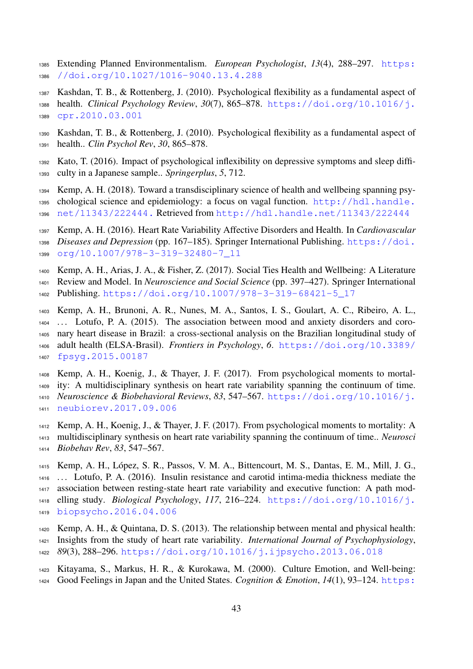- [E](https://doi.org/10.1027/1016-9040.13.4.288)xtending Planned Environmentalism. *European Psychologist*, *13*(4), 288–297. [https:](https://doi.org/10.1027/1016-9040.13.4.288) [//doi.org/10.1027/1016-9040.13.4.288](https://doi.org/10.1027/1016-9040.13.4.288)
- <span id="page-42-7"></span> Kashdan, T. B., & Rottenberg, J. (2010). Psychological flexibility as a fundamental aspect of [h](https://doi.org/10.1016/j.cpr.2010.03.001)ealth. *Clinical Psychology Review*, *30*(7), 865–878. [https://doi.org/10.1016/j.](https://doi.org/10.1016/j.cpr.2010.03.001) [cpr.2010.03.001](https://doi.org/10.1016/j.cpr.2010.03.001)
- <span id="page-42-8"></span> Kashdan, T. B., & Rottenberg, J. (2010). Psychological flexibility as a fundamental aspect of health.. *Clin Psychol Rev*, *30*, 865–878.
- <span id="page-42-9"></span> Kato, T. (2016). Impact of psychological inflexibility on depressive symptoms and sleep diffi-culty in a Japanese sample.. *Springerplus*, *5*, 712.
- <span id="page-42-3"></span> Kemp, A. H. (2018). Toward a transdisciplinary science of health and wellbeing spanning psy- [c](http://hdl.handle.net/11343/222444.)hological science and epidemiology: a focus on vagal function. [http://hdl.handle.](http://hdl.handle.net/11343/222444.) [net/11343/222444.](http://hdl.handle.net/11343/222444.) Retrieved from <http://hdl.handle.net/11343/222444>
- <span id="page-42-6"></span> Kemp, A. H. (2016). Heart Rate Variability Affective Disorders and Health. In *Cardiovascular [D](https://doi.org/10.1007/978-3-319-32480-7_11)iseases and Depression* (pp. 167–185). Springer International Publishing. [https://doi.](https://doi.org/10.1007/978-3-319-32480-7_11) [org/10.1007/978-3-319-32480-7\\_11](https://doi.org/10.1007/978-3-319-32480-7_11)
- <span id="page-42-0"></span>Kemp, A. H., Arias, J. A., & Fisher, Z. (2017). Social Ties Health and Wellbeing: A Literature
- Review and Model. In *Neuroscience and Social Science* (pp. 397–427). Springer International
- <span id="page-42-11"></span>Publishing. [https://doi.org/10.1007/978-3-319-68421-5\\_17](https://doi.org/10.1007/978-3-319-68421-5_17)
- Kemp, A. H., Brunoni, A. R., Nunes, M. A., Santos, I. S., Goulart, A. C., Ribeiro, A. L., . . . Lotufo, P. A. (2015). The association between mood and anxiety disorders and coro- nary heart disease in Brazil: a cross-sectional analysis on the Brazilian longitudinal study of [a](https://doi.org/10.3389/fpsyg.2015.00187)dult health (ELSA-Brasil). *Frontiers in Psychology*, *6*. [https://doi.org/10.3389/](https://doi.org/10.3389/fpsyg.2015.00187) [fpsyg.2015.00187](https://doi.org/10.3389/fpsyg.2015.00187)
- <span id="page-42-1"></span>Kemp, A. H., Koenig, J., & Thayer, J. F. (2017). From psychological moments to mortal-
- ity: A multidisciplinary synthesis on heart rate variability spanning the continuum of time. *[N](https://doi.org/10.1016/j.neubiorev.2017.09.006)euroscience & Biobehavioral Reviews*, *83*, 547–567. [https://doi.org/10.1016/j.](https://doi.org/10.1016/j.neubiorev.2017.09.006) [neubiorev.2017.09.006](https://doi.org/10.1016/j.neubiorev.2017.09.006)
- <span id="page-42-4"></span> Kemp, A. H., Koenig, J., & Thayer, J. F. (2017). From psychological moments to mortality: A multidisciplinary synthesis on heart rate variability spanning the continuum of time.. *Neurosci Biobehav Rev*, *83*, 547–567.
- <span id="page-42-2"></span>1415 Kemp, A. H., López, S. R., Passos, V. M. A., Bittencourt, M. S., Dantas, E. M., Mill, J. G., . . . Lotufo, P. A. (2016). Insulin resistance and carotid intima-media thickness mediate the association between resting-state heart rate variability and executive function: A path mod- [e](https://doi.org/10.1016/j.biopsycho.2016.04.006)lling study. *Biological Psychology*, *117*, 216–224. [https://doi.org/10.1016/j.](https://doi.org/10.1016/j.biopsycho.2016.04.006) [biopsycho.2016.04.006](https://doi.org/10.1016/j.biopsycho.2016.04.006)
- <span id="page-42-5"></span>Kemp, A. H., & Quintana, D. S. (2013). The relationship between mental and physical health:
- Insights from the study of heart rate variability. *International Journal of Psychophysiology*,
- *89*(3), 288–296. <https://doi.org/10.1016/j.ijpsycho.2013.06.018>
- <span id="page-42-10"></span> Kitayama, S., Markus, H. R., & Kurokawa, M. (2000). Culture Emotion, and Well-being: [G](https://doi.org/10.1080/026999300379003)ood Feelings in Japan and the United States. *Cognition & Emotion*, *14*(1), 93–124. [https:](https://doi.org/10.1080/026999300379003)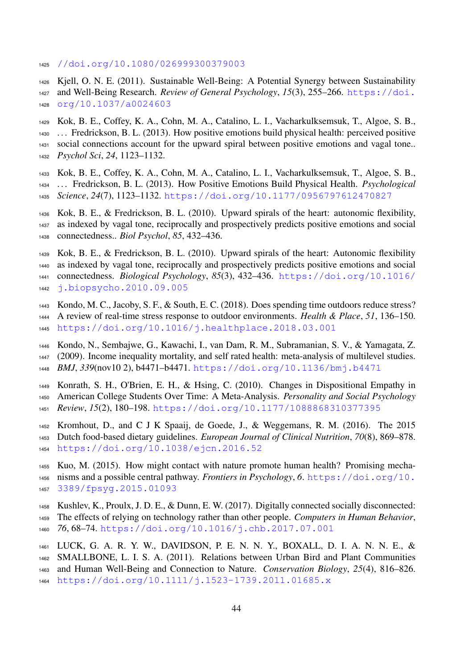- <span id="page-43-1"></span>[//doi.org/10.1080/026999300379003](https://doi.org/10.1080/026999300379003)
- Kjell, O. N. E. (2011). Sustainable Well-Being: A Potential Synergy between Sustainability [a](https://doi.org/10.1037/a0024603)nd Well-Being Research. *Review of General Psychology*, *15*(3), 255–266. [https://doi.](https://doi.org/10.1037/a0024603) [org/10.1037/a0024603](https://doi.org/10.1037/a0024603)
- <span id="page-43-4"></span>Kok, B. E., Coffey, K. A., Cohn, M. A., Catalino, L. I., Vacharkulksemsuk, T., Algoe, S. B.,
- . . . Fredrickson, B. L. (2013). How positive emotions build physical health: perceived positive social connections account for the upward spiral between positive emotions and vagal tone..
- <span id="page-43-6"></span><span id="page-43-3"></span> *Psychol Sci*, *24*, 1123–1132.
	- Kok, B. E., Coffey, K. A., Cohn, M. A., Catalino, L. I., Vacharkulksemsuk, T., Algoe, S. B., . . . Fredrickson, B. L. (2013). How Positive Emotions Build Physical Health. *Psychological Science*, *24*(7), 1123–1132. <https://doi.org/10.1177/0956797612470827>
	- Kok, B. E., & Fredrickson, B. L. (2010). Upward spirals of the heart: autonomic flexibility, as indexed by vagal tone, reciprocally and prospectively predicts positive emotions and social connectedness.. *Biol Psychol*, *85*, 432–436.
	- Kok, B. E., & Fredrickson, B. L. (2010). Upward spirals of the heart: Autonomic flexibility as indexed by vagal tone, reciprocally and prospectively predicts positive emotions and social [c](https://doi.org/10.1016/j.biopsycho.2010.09.005)onnectedness. *Biological Psychology*, *85*(3), 432–436. [https://doi.org/10.1016/](https://doi.org/10.1016/j.biopsycho.2010.09.005) [j.biopsycho.2010.09.005](https://doi.org/10.1016/j.biopsycho.2010.09.005)
	- Kondo, M. C., Jacoby, S. F., & South, E. C. (2018). Does spending time outdoors reduce stress?
- <span id="page-43-12"></span><span id="page-43-5"></span> A review of real-time stress response to outdoor environments. *Health & Place*, *51*, 136–150. <https://doi.org/10.1016/j.healthplace.2018.03.001>
- <span id="page-43-2"></span> Kondo, N., Sembajwe, G., Kawachi, I., van Dam, R. M., Subramanian, S. V., & Yamagata, Z. (2009). Income inequality mortality, and self rated health: meta-analysis of multilevel studies. *BMJ*, *339*(nov10 2), b4471–b4471. <https://doi.org/10.1136/bmj.b4471>
- <span id="page-43-9"></span>Konrath, S. H., O'Brien, E. H., & Hsing, C. (2010). Changes in Dispositional Empathy in
- American College Students Over Time: A Meta-Analysis. *Personality and Social Psychology*
- <span id="page-43-0"></span>*Review*, *15*(2), 180–198. <https://doi.org/10.1177/1088868310377395>
- Kromhout, D., and C J K Spaaij, de Goede, J., & Weggemans, R. M. (2016). The 2015 Dutch food-based dietary guidelines. *European Journal of Clinical Nutrition*, *70*(8), 869–878. <https://doi.org/10.1038/ejcn.2016.52>
- <span id="page-43-11"></span> Kuo, M. (2015). How might contact with nature promote human health? Promising mecha- [n](https://doi.org/10.3389/fpsyg.2015.01093)isms and a possible central pathway. *Frontiers in Psychology*, *6*. [https://doi.org/10.](https://doi.org/10.3389/fpsyg.2015.01093) [3389/fpsyg.2015.01093](https://doi.org/10.3389/fpsyg.2015.01093)
- <span id="page-43-8"></span>Kushlev, K., Proulx, J. D. E., & Dunn, E. W. (2017). Digitally connected socially disconnected:
- The effects of relying on technology rather than other people. *Computers in Human Behavior*,
- <span id="page-43-10"></span>*76*, 68–74. <https://doi.org/10.1016/j.chb.2017.07.001>
- LUCK, G. A. R. Y. W., DAVIDSON, P. E. N. N. Y., BOXALL, D. I. A. N. N. E., &
- SMALLBONE, L. I. S. A. (2011). Relations between Urban Bird and Plant Communities
- and Human Well-Being and Connection to Nature. *Conservation Biology*, *25*(4), 816–826.
- <span id="page-43-7"></span><https://doi.org/10.1111/j.1523-1739.2011.01685.x>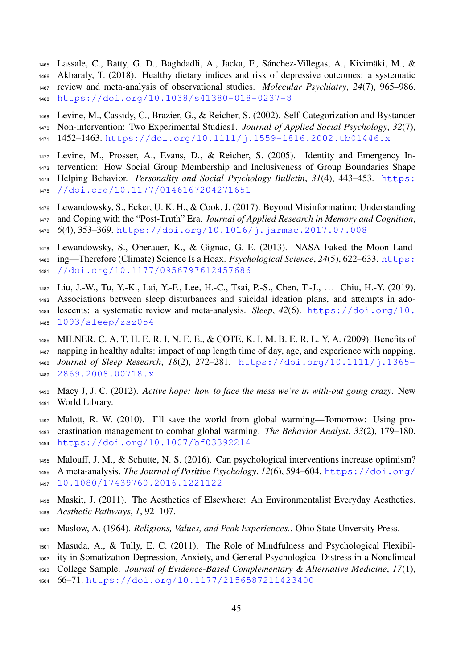- 1465 Lassale, C., Batty, G. D., Baghdadli, A., Jacka, F., Sánchez-Villegas, A., Kivimäki, M., &
- Akbaraly, T. (2018). Healthy dietary indices and risk of depressive outcomes: a systematic review and meta-analysis of observational studies. *Molecular Psychiatry*, *24*(7), 965–986.
- <span id="page-44-4"></span><https://doi.org/10.1038/s41380-018-0237-8>
- Levine, M., Cassidy, C., Brazier, G., & Reicher, S. (2002). Self-Categorization and Bystander Non-intervention: Two Experimental Studies1. *Journal of Applied Social Psychology*, *32*(7), 1452–1463. <https://doi.org/10.1111/j.1559-1816.2002.tb01446.x>
- <span id="page-44-5"></span>Levine, M., Prosser, A., Evans, D., & Reicher, S. (2005). Identity and Emergency In-
- tervention: How Social Group Membership and Inclusiveness of Group Boundaries Shape
- [H](https://doi.org/10.1177/0146167204271651)elping Behavior. *Personality and Social Psychology Bulletin*, *31*(4), 443–453. [https:](https://doi.org/10.1177/0146167204271651)
- [//doi.org/10.1177/0146167204271651](https://doi.org/10.1177/0146167204271651)
- <span id="page-44-7"></span>Lewandowsky, S., Ecker, U. K. H., & Cook, J. (2017). Beyond Misinformation: Understanding
- and Coping with the "Post-Truth" Era. *Journal of Applied Research in Memory and Cognition*,
- *6*(4), 353–369. <https://doi.org/10.1016/j.jarmac.2017.07.008>
- <span id="page-44-6"></span> Lewandowsky, S., Oberauer, K., & Gignac, G. E. (2013). NASA Faked the Moon Land[i](https://doi.org/10.1177/0956797612457686)ng—Therefore (Climate) Science Is a Hoax. *Psychological Science*, 24(5), 622–633. [https:](https://doi.org/10.1177/0956797612457686)
- [//doi.org/10.1177/0956797612457686](https://doi.org/10.1177/0956797612457686)
- <span id="page-44-3"></span>Liu, J.-W., Tu, Y.-K., Lai, Y.-F., Lee, H.-C., Tsai, P.-S., Chen, T.-J., . . . Chiu, H.-Y. (2019).
- Associations between sleep disturbances and suicidal ideation plans, and attempts in ado- [l](https://doi.org/10.1093/sleep/zsz054)escents: a systematic review and meta-analysis. *Sleep*, *42*(6). [https://doi.org/10.](https://doi.org/10.1093/sleep/zsz054) [1093/sleep/zsz054](https://doi.org/10.1093/sleep/zsz054)
- <span id="page-44-0"></span> MILNER, C. A. T. H. E. R. I. N. E. E., & COTE, K. I. M. B. E. R. L. Y. A. (2009). Benefits of napping in healthy adults: impact of nap length time of day, age, and experience with napping. *[J](https://doi.org/10.1111/j.1365-2869.2008.00718.x)ournal of Sleep Research*, *18*(2), 272–281. [https://doi.org/10.1111/j.1365-](https://doi.org/10.1111/j.1365-2869.2008.00718.x) [2869.2008.00718.x](https://doi.org/10.1111/j.1365-2869.2008.00718.x)
- <span id="page-44-11"></span> Macy J, J. C. (2012). *Active hope: how to face the mess we're in with-out going crazy*. New World Library.
- <span id="page-44-9"></span> Malott, R. W. (2010). I'll save the world from global warming—Tomorrow: Using pro- crastination management to combat global warming. *The Behavior Analyst*, *33*(2), 179–180. <https://doi.org/10.1007/bf03392214>
- <span id="page-44-12"></span> Malouff, J. M., & Schutte, N. S. (2016). Can psychological interventions increase optimism? [A](https://doi.org/10.1080/17439760.2016.1221122) meta-analysis. *The Journal of Positive Psychology*, *12*(6), 594–604. [https://doi.org/](https://doi.org/10.1080/17439760.2016.1221122) [10.1080/17439760.2016.1221122](https://doi.org/10.1080/17439760.2016.1221122)
- <span id="page-44-10"></span> Maskit, J. (2011). The Aesthetics of Elsewhere: An Environmentalist Everyday Aesthetics. *Aesthetic Pathways*, *1*, 92–107.
- <span id="page-44-8"></span>Maslow, A. (1964). *Religions, Values, and Peak Experiences.*. Ohio State Unversity Press.
- <span id="page-44-2"></span>Masuda, A., & Tully, E. C. (2011). The Role of Mindfulness and Psychological Flexibil-
- ity in Somatization Depression, Anxiety, and General Psychological Distress in a Nonclinical
- College Sample. *Journal of Evidence-Based Complementary & Alternative Medicine*, *17*(1),
- <span id="page-44-1"></span>66–71. <https://doi.org/10.1177/2156587211423400>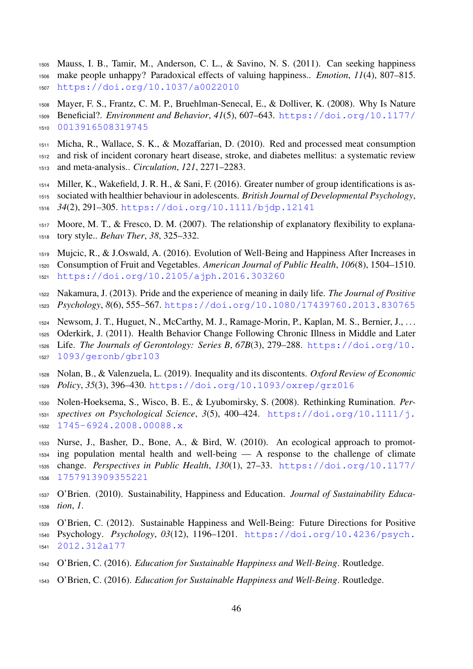- Mauss, I. B., Tamir, M., Anderson, C. L., & Savino, N. S. (2011). Can seeking happiness make people unhappy? Paradoxical effects of valuing happiness.. *Emotion*, *11*(4), 807–815. <https://doi.org/10.1037/a0022010>
- <span id="page-45-11"></span> Mayer, F. S., Frantz, C. M. P., Bruehlman-Senecal, E., & Dolliver, K. (2008). Why Is Nature [B](https://doi.org/10.1177/0013916508319745)eneficial?. *Environment and Behavior*, *41*(5), 607–643. [https://doi.org/10.1177/](https://doi.org/10.1177/0013916508319745) [0013916508319745](https://doi.org/10.1177/0013916508319745)
- <span id="page-45-10"></span> Micha, R., Wallace, S. K., & Mozaffarian, D. (2010). Red and processed meat consumption and risk of incident coronary heart disease, stroke, and diabetes mellitus: a systematic review and meta-analysis.. *Circulation*, *121*, 2271–2283.
- <span id="page-45-8"></span> Miller, K., Wakefield, J. R. H., & Sani, F. (2016). Greater number of group identifications is as- sociated with healthier behaviour in adolescents. *British Journal of Developmental Psychology*, *34*(2), 291–305. <https://doi.org/10.1111/bjdp.12141>
- <span id="page-45-5"></span> Moore, M. T., & Fresco, D. M. (2007). The relationship of explanatory flexibility to explana-tory style.. *Behav Ther*, *38*, 325–332.
- <span id="page-45-0"></span>Mujcic, R., & J.Oswald, A. (2016). Evolution of Well-Being and Happiness After Increases in
- Consumption of Fruit and Vegetables. *American Journal of Public Health*, *106*(8), 1504–1510. <https://doi.org/10.2105/ajph.2016.303260>
- <span id="page-45-9"></span> Nakamura, J. (2013). Pride and the experience of meaning in daily life. *The Journal of Positive Psychology*, *8*(6), 555–567. <https://doi.org/10.1080/17439760.2013.830765>
- <span id="page-45-14"></span>Newsom, J. T., Huguet, N., McCarthy, M. J., Ramage-Morin, P., Kaplan, M. S., Bernier, J., . . .
- Oderkirk, J. (2011). Health Behavior Change Following Chronic Illness in Middle and Later
- [L](https://doi.org/10.1093/geronb/gbr103)ife. *The Journals of Gerontology: Series B*, *67B*(3), 279–288. [https://doi.org/10.](https://doi.org/10.1093/geronb/gbr103) [1093/geronb/gbr103](https://doi.org/10.1093/geronb/gbr103)
- <span id="page-45-6"></span> Nolan, B., & Valenzuela, L. (2019). Inequality and its discontents. *Oxford Review of Economic Policy*, *35*(3), 396–430. <https://doi.org/10.1093/oxrep/grz016>
- <span id="page-45-4"></span> Nolen-Hoeksema, S., Wisco, B. E., & Lyubomirsky, S. (2008). Rethinking Rumination. *Per- [s](https://doi.org/10.1111/j.1745-6924.2008.00088.x)pectives on Psychological Science*, *3*(5), 400–424. [https://doi.org/10.1111/j.](https://doi.org/10.1111/j.1745-6924.2008.00088.x) [1745-6924.2008.00088.x](https://doi.org/10.1111/j.1745-6924.2008.00088.x)
- <span id="page-45-7"></span> Nurse, J., Basher, D., Bone, A., & Bird, W. (2010). An ecological approach to promot- ing population mental health and well-being — A response to the challenge of climate [c](https://doi.org/10.1177/1757913909355221)hange. *Perspectives in Public Health*, *130*(1), 27–33. [https://doi.org/10.1177/](https://doi.org/10.1177/1757913909355221) [1757913909355221](https://doi.org/10.1177/1757913909355221)
- <span id="page-45-13"></span> O'Brien. (2010). Sustainability, Happiness and Education. *Journal of Sustainability Educa-tion*, *1*.
- <span id="page-45-2"></span> O'Brien, C. (2012). Sustainable Happiness and Well-Being: Future Directions for Positive [P](https://doi.org/10.4236/psych.2012.312a177)sychology. *Psychology*, *03*(12), 1196–1201. [https://doi.org/10.4236/psych.](https://doi.org/10.4236/psych.2012.312a177) [2012.312a177](https://doi.org/10.4236/psych.2012.312a177)
- <span id="page-45-3"></span>O'Brien, C. (2016). *Education for Sustainable Happiness and Well-Being*. Routledge.
- <span id="page-45-12"></span><span id="page-45-1"></span>O'Brien, C. (2016). *Education for Sustainable Happiness and Well-Being*. Routledge.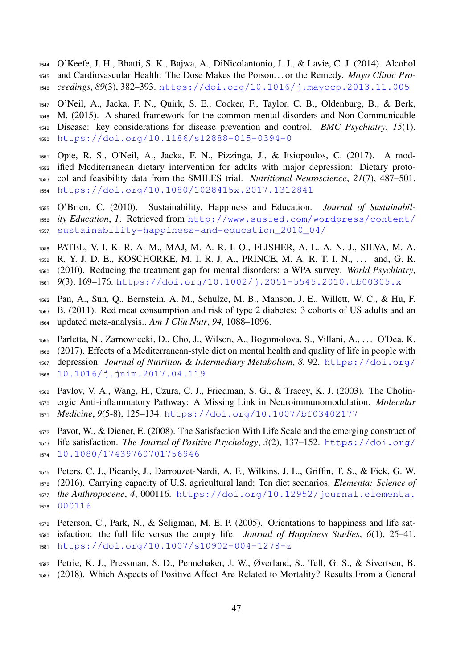O'Keefe, J. H., Bhatti, S. K., Bajwa, A., DiNicolantonio, J. J., & Lavie, C. J. (2014). Alcohol and Cardiovascular Health: The Dose Makes the Poison. . . or the Remedy. *Mayo Clinic Pro-ceedings*, *89*(3), 382–393. <https://doi.org/10.1016/j.mayocp.2013.11.005>

<span id="page-46-10"></span> O'Neil, A., Jacka, F. N., Quirk, S. E., Cocker, F., Taylor, C. B., Oldenburg, B., & Berk, M. (2015). A shared framework for the common mental disorders and Non-Communicable Disease: key considerations for disease prevention and control. *BMC Psychiatry*, *15*(1). <https://doi.org/10.1186/s12888-015-0394-0>

- <span id="page-46-5"></span> Opie, R. S., O'Neil, A., Jacka, F. N., Pizzinga, J., & Itsiopoulos, C. (2017). A mod- ified Mediterranean dietary intervention for adults with major depression: Dietary proto- col and feasibility data from the SMILES trial. *Nutritional Neuroscience*, *21*(7), 487–501. <https://doi.org/10.1080/1028415x.2017.1312841>
- <span id="page-46-1"></span> O'Brien, C. (2010). Sustainability, Happiness and Education. *Journal of Sustainabil- [i](http://www.susted.com/wordpress/content/sustainability-happiness-and-education_2010_04/)ty Education*, *1*. Retrieved from [http://www.susted.com/wordpress/content/](http://www.susted.com/wordpress/content/sustainability-happiness-and-education_2010_04/) [sustainability-happiness-and-education\\_2010\\_04/](http://www.susted.com/wordpress/content/sustainability-happiness-and-education_2010_04/)
- <span id="page-46-9"></span>PATEL, V. I. K. R. A. M., MAJ, M. A. R. I. O., FLISHER, A. L. A. N. J., SILVA, M. A.
- 1559 R. Y. J. D. E., KOSCHORKE, M. I. R. J. A., PRINCE, M. A. R. T. I. N., ... and, G. R.
- (2010). Reducing the treatment gap for mental disorders: a WPA survey. *World Psychiatry*,
- <span id="page-46-7"></span>*9*(3), 169–176. <https://doi.org/10.1002/j.2051-5545.2010.tb00305.x>
- Pan, A., Sun, Q., Bernstein, A. M., Schulze, M. B., Manson, J. E., Willett, W. C., & Hu, F. B. (2011). Red meat consumption and risk of type 2 diabetes: 3 cohorts of US adults and an updated meta-analysis.. *Am J Clin Nutr*, *94*, 1088–1096.
- <span id="page-46-4"></span> Parletta, N., Zarnowiecki, D., Cho, J., Wilson, A., Bogomolova, S., Villani, A., . . . O'Dea, K. (2017). Effects of a Mediterranean-style diet on mental health and quality of life in people with [d](https://doi.org/10.1016/j.jnim.2017.04.119)epression. *Journal of Nutrition & Intermediary Metabolism*, *8*, 92. [https://doi.org/](https://doi.org/10.1016/j.jnim.2017.04.119) [10.1016/j.jnim.2017.04.119](https://doi.org/10.1016/j.jnim.2017.04.119)
- <span id="page-46-2"></span> Pavlov, V. A., Wang, H., Czura, C. J., Friedman, S. G., & Tracey, K. J. (2003). The Cholin- ergic Anti-inflammatory Pathway: A Missing Link in Neuroimmunomodulation. *Molecular Medicine*, *9*(5-8), 125–134. <https://doi.org/10.1007/bf03402177>
- <span id="page-46-0"></span> Pavot, W., & Diener, E. (2008). The Satisfaction With Life Scale and the emerging construct of [l](https://doi.org/10.1080/17439760701756946)ife satisfaction. *The Journal of Positive Psychology*, *3*(2), 137–152. [https://doi.org/](https://doi.org/10.1080/17439760701756946) [10.1080/17439760701756946](https://doi.org/10.1080/17439760701756946)
- <span id="page-46-8"></span> Peters, C. J., Picardy, J., Darrouzet-Nardi, A. F., Wilkins, J. L., Griffin, T. S., & Fick, G. W. (2016). Carrying capacity of U.S. agricultural land: Ten diet scenarios. *Elementa: Science of [t](https://doi.org/10.12952/journal.elementa.000116)he Anthropocene*, *4*, 000116. [https://doi.org/10.12952/journal.elementa.](https://doi.org/10.12952/journal.elementa.000116)
- <span id="page-46-6"></span>[000116](https://doi.org/10.12952/journal.elementa.000116)
- Peterson, C., Park, N., & Seligman, M. E. P. (2005). Orientations to happiness and life sat- isfaction: the full life versus the empty life. *Journal of Happiness Studies*, *6*(1), 25–41. <https://doi.org/10.1007/s10902-004-1278-z>
- <span id="page-46-3"></span> Petrie, K. J., Pressman, S. D., Pennebaker, J. W., Øverland, S., Tell, G. S., & Sivertsen, B. (2018). Which Aspects of Positive Affect Are Related to Mortality? Results From a General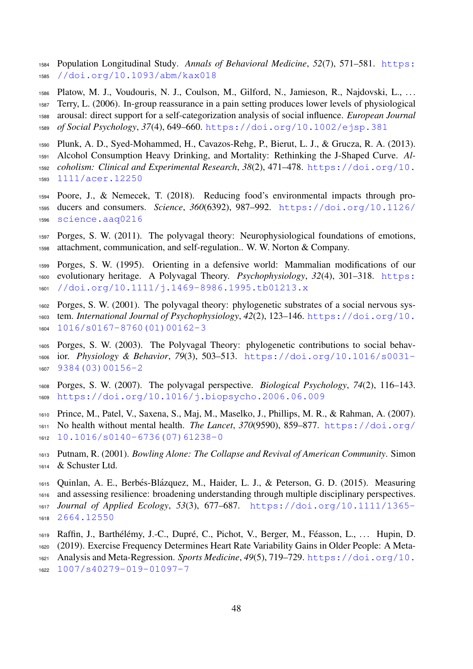[P](https://doi.org/10.1093/abm/kax018)opulation Longitudinal Study. *Annals of Behavioral Medicine*, *52*(7), 571–581. [https:](https://doi.org/10.1093/abm/kax018) [//doi.org/10.1093/abm/kax018](https://doi.org/10.1093/abm/kax018)

<span id="page-47-11"></span> Platow, M. J., Voudouris, N. J., Coulson, M., Gilford, N., Jamieson, R., Najdovski, L., . . . Terry, L. (2006). In-group reassurance in a pain setting produces lower levels of physiological arousal: direct support for a self-categorization analysis of social influence. *European Journal of Social Psychology*, *37*(4), 649–660. <https://doi.org/10.1002/ejsp.381>

- <span id="page-47-0"></span> Plunk, A. D., Syed-Mohammed, H., Cavazos-Rehg, P., Bierut, L. J., & Grucza, R. A. (2013). Alcohol Consumption Heavy Drinking, and Mortality: Rethinking the J-Shaped Curve. *Al-[c](https://doi.org/10.1111/acer.12250)oholism: Clinical and Experimental Research*, *38*(2), 471–478. [https://doi.org/10.](https://doi.org/10.1111/acer.12250)
- <span id="page-47-12"></span>[1111/acer.12250](https://doi.org/10.1111/acer.12250)
- Poore, J., & Nemecek, T. (2018). Reducing food's environmental impacts through pro- [d](https://doi.org/10.1126/science.aaq0216)ucers and consumers. *Science*, *360*(6392), 987–992. [https://doi.org/10.1126/](https://doi.org/10.1126/science.aaq0216) [science.aaq0216](https://doi.org/10.1126/science.aaq0216)
- <span id="page-47-4"></span> Porges, S. W. (2011). The polyvagal theory: Neurophysiological foundations of emotions, attachment, communication, and self-regulation.. W. W. Norton & Company.
- <span id="page-47-5"></span> Porges, S. W. (1995). Orienting in a defensive world: Mammalian modifications of our [e](https://doi.org/10.1111/j.1469-8986.1995.tb01213.x)volutionary heritage. A Polyvagal Theory. *Psychophysiology*, *32*(4), 301–318. [https:](https://doi.org/10.1111/j.1469-8986.1995.tb01213.x) [//doi.org/10.1111/j.1469-8986.1995.tb01213.x](https://doi.org/10.1111/j.1469-8986.1995.tb01213.x)
- <span id="page-47-6"></span> Porges, S. W. (2001). The polyvagal theory: phylogenetic substrates of a social nervous sys- [t](https://doi.org/10.1016/s0167-8760(01)00162-3)em. *International Journal of Psychophysiology*, *42*(2), 123–146. [https://doi.org/10.](https://doi.org/10.1016/s0167-8760(01)00162-3) [1016/s0167-8760\(01\)00162-3](https://doi.org/10.1016/s0167-8760(01)00162-3)
- <span id="page-47-7"></span> Porges, S. W. (2003). The Polyvagal Theory: phylogenetic contributions to social behav- [i](https://doi.org/10.1016/s0031-9384(03)00156-2)or. *Physiology & Behavior*, *79*(3), 503–513. [https://doi.org/10.1016/s0031-](https://doi.org/10.1016/s0031-9384(03)00156-2) [9384\(03\)00156-2](https://doi.org/10.1016/s0031-9384(03)00156-2)
- <span id="page-47-8"></span> Porges, S. W. (2007). The polyvagal perspective. *Biological Psychology*, *74*(2), 116–143. <https://doi.org/10.1016/j.biopsycho.2006.06.009>
- <span id="page-47-2"></span> Prince, M., Patel, V., Saxena, S., Maj, M., Maselko, J., Phillips, M. R., & Rahman, A. (2007). [N](https://doi.org/10.1016/s0140-6736(07)61238-0)o health without mental health. *The Lancet*, *370*(9590), 859–877. [https://doi.org/](https://doi.org/10.1016/s0140-6736(07)61238-0) [10.1016/s0140-6736\(07\)61238-0](https://doi.org/10.1016/s0140-6736(07)61238-0)
- <span id="page-47-10"></span> Putnam, R. (2001). *Bowling Alone: The Collapse and Revival of American Community*. Simon & Schuster Ltd.
- <span id="page-47-3"></span>1615 Quinlan, A. E., Berbés-Blázquez, M., Haider, L. J., & Peterson, G. D. (2015). Measuring and assessing resilience: broadening understanding through multiple disciplinary perspectives. *[J](https://doi.org/10.1111/1365-2664.12550)ournal of Applied Ecology*, *53*(3), 677–687. [https://doi.org/10.1111/1365-](https://doi.org/10.1111/1365-2664.12550) [2664.12550](https://doi.org/10.1111/1365-2664.12550)
- <span id="page-47-9"></span>1619 Raffin, J., Barthélémy, J.-C., Dupré, C., Pichot, V., Berger, M., Féasson, L., ... Hupin, D.
- (2019). Exercise Frequency Determines Heart Rate Variability Gains in Older People: A Meta-
- [A](https://doi.org/10.1007/s40279-019-01097-7)nalysis and Meta-Regression. *Sports Medicine*, *49*(5), 719–729. [https://doi.org/10.](https://doi.org/10.1007/s40279-019-01097-7)
- <span id="page-47-1"></span>[1007/s40279-019-01097-7](https://doi.org/10.1007/s40279-019-01097-7)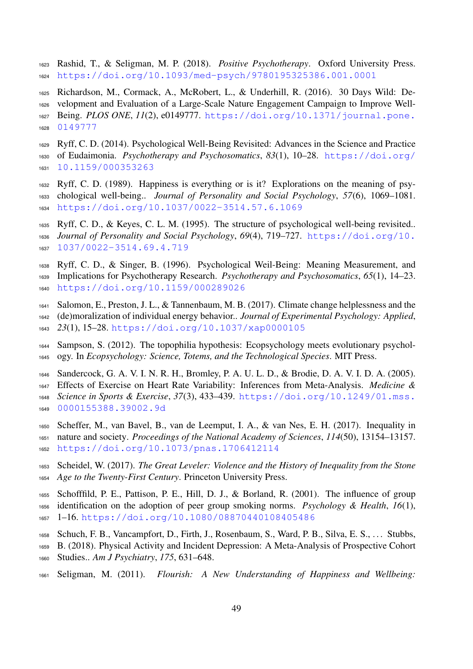- Rashid, T., & Seligman, M. P. (2018). *Positive Psychotherapy*. Oxford University Press. <https://doi.org/10.1093/med-psych/9780195325386.001.0001>
- <span id="page-48-9"></span> Richardson, M., Cormack, A., McRobert, L., & Underhill, R. (2016). 30 Days Wild: De- velopment and Evaluation of a Large-Scale Nature Engagement Campaign to Improve Well- [B](https://doi.org/10.1371/journal.pone.0149777)eing. *PLOS ONE*, *11*(2), e0149777. [https://doi.org/10.1371/journal.pone.](https://doi.org/10.1371/journal.pone.0149777) [0149777](https://doi.org/10.1371/journal.pone.0149777)
- <span id="page-48-2"></span> Ryff, C. D. (2014). Psychological Well-Being Revisited: Advances in the Science and Practice [o](https://doi.org/10.1159/000353263)f Eudaimonia. *Psychotherapy and Psychosomatics*, *83*(1), 10–28. [https://doi.org/](https://doi.org/10.1159/000353263) [10.1159/000353263](https://doi.org/10.1159/000353263)
- <span id="page-48-3"></span> Ryff, C. D. (1989). Happiness is everything or is it? Explorations on the meaning of psy- chological well-being.. *Journal of Personality and Social Psychology*, *57*(6), 1069–1081. <https://doi.org/10.1037/0022-3514.57.6.1069>
- <span id="page-48-1"></span> Ryff, C. D., & Keyes, C. L. M. (1995). The structure of psychological well-being revisited.. *[J](https://doi.org/10.1037/0022-3514.69.4.719)ournal of Personality and Social Psychology*, *69*(4), 719–727. [https://doi.org/10.](https://doi.org/10.1037/0022-3514.69.4.719) [1037/0022-3514.69.4.719](https://doi.org/10.1037/0022-3514.69.4.719)
- <span id="page-48-12"></span> Ryff, C. D., & Singer, B. (1996). Psychological Weil-Being: Meaning Measurement, and Implications for Psychotherapy Research. *Psychotherapy and Psychosomatics*, *65*(1), 14–23. <https://doi.org/10.1159/000289026>
- <span id="page-48-11"></span>Salomon, E., Preston, J. L., & Tannenbaum, M. B. (2017). Climate change helplessness and the
- (de)moralization of individual energy behavior.. *Journal of Experimental Psychology: Applied*,
- *23*(1), 15–28. <https://doi.org/10.1037/xap0000105>
- <span id="page-48-10"></span>1644 Sampson, S. (2012). The topophilia hypothesis: Ecopsychology meets evolutionary psychol-ogy. In *Ecopsychology: Science, Totems, and the Technological Species*. MIT Press.
- <span id="page-48-5"></span>Sandercock, G. A. V. I. N. R. H., Bromley, P. A. U. L. D., & Brodie, D. A. V. I. D. A. (2005).
- Effects of Exercise on Heart Rate Variability: Inferences from Meta-Analysis. *Medicine & [S](https://doi.org/10.1249/01.mss.0000155388.39002.9d)cience in Sports & Exercise*, *37*(3), 433–439. [https://doi.org/10.1249/01.mss.](https://doi.org/10.1249/01.mss.0000155388.39002.9d) [0000155388.39002.9d](https://doi.org/10.1249/01.mss.0000155388.39002.9d)
- <span id="page-48-6"></span> Scheffer, M., van Bavel, B., van de Leemput, I. A., & van Nes, E. H. (2017). Inequality in nature and society. *Proceedings of the National Academy of Sciences*, *114*(50), 13154–13157.
- <span id="page-48-7"></span><https://doi.org/10.1073/pnas.1706412114>
- Scheidel, W. (2017). *The Great Leveler: Violence and the History of Inequality from the Stone Age to the Twenty-First Century*. Princeton University Press.
- <span id="page-48-8"></span> Schofffild, P. E., Pattison, P. E., Hill, D. J., & Borland, R. (2001). The influence of group identification on the adoption of peer group smoking norms. *Psychology & Health*, *16*(1), 1–16. <https://doi.org/10.1080/08870440108405486>
- <span id="page-48-4"></span>Schuch, F. B., Vancampfort, D., Firth, J., Rosenbaum, S., Ward, P. B., Silva, E. S., . . . Stubbs,
- B. (2018). Physical Activity and Incident Depression: A Meta-Analysis of Prospective Cohort
- Studies.. *Am J Psychiatry*, *175*, 631–648.
- <span id="page-48-0"></span>Seligman, M. (2011). *Flourish: A New Understanding of Happiness and Wellbeing:*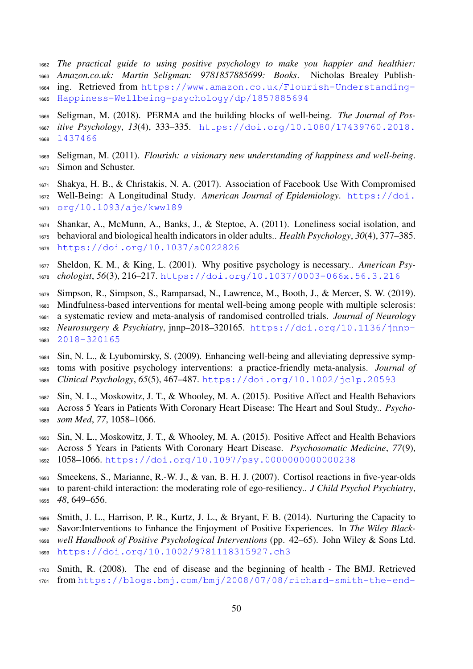- *The practical guide to using positive psychology to make you happier and healthier: Amazon.co.uk: Martin Seligman: 9781857885699: Books*. Nicholas Brealey Publish- [i](https://www.amazon.co.uk/Flourish-Understanding-Happiness-Wellbeing-psychology/dp/1857885694)ng. Retrieved from [https://www.amazon.co.uk/Flourish-Understanding-](https://www.amazon.co.uk/Flourish-Understanding-Happiness-Wellbeing-psychology/dp/1857885694)[Happiness-Wellbeing-psychology/dp/1857885694](https://www.amazon.co.uk/Flourish-Understanding-Happiness-Wellbeing-psychology/dp/1857885694)
- <span id="page-49-0"></span> Seligman, M. (2018). PERMA and the building blocks of well-being. *The Journal of Pos- [i](https://doi.org/10.1080/17439760.2018.1437466)tive Psychology*, *13*(4), 333–335. [https://doi.org/10.1080/17439760.2018.](https://doi.org/10.1080/17439760.2018.1437466) [1437466](https://doi.org/10.1080/17439760.2018.1437466)
- <span id="page-49-4"></span> Seligman, M. (2011). *Flourish: a visionary new understanding of happiness and well-being*. Simon and Schuster.
- <span id="page-49-5"></span> Shakya, H. B., & Christakis, N. A. (2017). Association of Facebook Use With Compromised [W](https://doi.org/10.1093/aje/kww189)ell-Being: A Longitudinal Study. *American Journal of Epidemiology*. [https://doi.](https://doi.org/10.1093/aje/kww189) [org/10.1093/aje/kww189](https://doi.org/10.1093/aje/kww189)
- <span id="page-49-6"></span> Shankar, A., McMunn, A., Banks, J., & Steptoe, A. (2011). Loneliness social isolation, and behavioral and biological health indicators in older adults.. *Health Psychology*, *30*(4), 377–385. <https://doi.org/10.1037/a0022826>
- <span id="page-49-7"></span> Sheldon, K. M., & King, L. (2001). Why positive psychology is necessary.. *American Psy-chologist*, *56*(3), 216–217. <https://doi.org/10.1037/0003-066x.56.3.216>
- <span id="page-49-10"></span> Simpson, R., Simpson, S., Ramparsad, N., Lawrence, M., Booth, J., & Mercer, S. W. (2019). Mindfulness-based interventions for mental well-being among people with multiple sclerosis: a systematic review and meta-analysis of randomised controlled trials. *Journal of Neurology [N](https://doi.org/10.1136/jnnp-2018-320165)eurosurgery & Psychiatry*, jnnp–2018–320165. [https://doi.org/10.1136/jnnp-](https://doi.org/10.1136/jnnp-2018-320165)[2018-320165](https://doi.org/10.1136/jnnp-2018-320165)
- <span id="page-49-8"></span> Sin, N. L., & Lyubomirsky, S. (2009). Enhancing well-being and alleviating depressive symp- toms with positive psychology interventions: a practice-friendly meta-analysis. *Journal of Clinical Psychology*, *65*(5), 467–487. <https://doi.org/10.1002/jclp.20593>
- <span id="page-49-2"></span> Sin, N. L., Moskowitz, J. T., & Whooley, M. A. (2015). Positive Affect and Health Behaviors Across 5 Years in Patients With Coronary Heart Disease: The Heart and Soul Study.. *Psycho-som Med*, *77*, 1058–1066.
- <span id="page-49-11"></span> Sin, N. L., Moskowitz, J. T., & Whooley, M. A. (2015). Positive Affect and Health Behaviors Across 5 Years in Patients With Coronary Heart Disease. *Psychosomatic Medicine*, *77*(9), 1058–1066. <https://doi.org/10.1097/psy.0000000000000238>
- <span id="page-49-3"></span> Smeekens, S., Marianne, R.-W. J., & van, B. H. J. (2007). Cortisol reactions in five-year-olds to parent-child interaction: the moderating role of ego-resiliency.. *J Child Psychol Psychiatry*, *48*, 649–656.
- <span id="page-49-9"></span> Smith, J. L., Harrison, P. R., Kurtz, J. L., & Bryant, F. B. (2014). Nurturing the Capacity to Savor:Interventions to Enhance the Enjoyment of Positive Experiences. In *The Wiley Black- well Handbook of Positive Psychological Interventions* (pp. 42–65). John Wiley & Sons Ltd. <https://doi.org/10.1002/9781118315927.ch3>
- <span id="page-49-1"></span> Smith, R. (2008). The end of disease and the beginning of health - The BMJ. Retrieved [f](https://blogs.bmj.com/bmj/2008/07/08/richard-smith-the-end-of-disease-and-the-beginning-of-health/)rom [https://blogs.bmj.com/bmj/2008/07/08/richard-smith-the-end-](https://blogs.bmj.com/bmj/2008/07/08/richard-smith-the-end-of-disease-and-the-beginning-of-health/)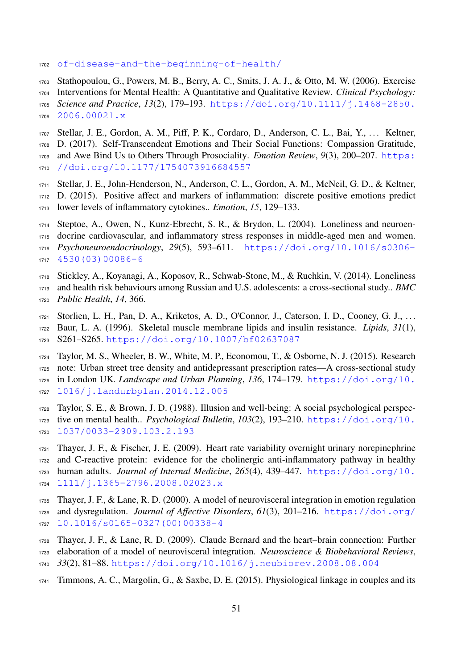- <span id="page-50-10"></span>[of-disease-and-the-beginning-of-health/](https://blogs.bmj.com/bmj/2008/07/08/richard-smith-the-end-of-disease-and-the-beginning-of-health/)
- Stathopoulou, G., Powers, M. B., Berry, A. C., Smits, J. A. J., & Otto, M. W. (2006). Exercise Interventions for Mental Health: A Quantitative and Qualitative Review. *Clinical Psychology: [S](https://doi.org/10.1111/j.1468-2850.2006.00021.x)cience and Practice*, *13*(2), 179–193. [https://doi.org/10.1111/j.1468-2850.](https://doi.org/10.1111/j.1468-2850.2006.00021.x)
- [2006.00021.x](https://doi.org/10.1111/j.1468-2850.2006.00021.x)
- <span id="page-50-8"></span> Stellar, J. E., Gordon, A. M., Piff, P. K., Cordaro, D., Anderson, C. L., Bai, Y., . . . Keltner, D. (2017). Self-Transcendent Emotions and Their Social Functions: Compassion Gratitude, [a](https://doi.org/10.1177/1754073916684557)nd Awe Bind Us to Others Through Prosociality. *Emotion Review*, *9*(3), 200–207. [https:](https://doi.org/10.1177/1754073916684557) [//doi.org/10.1177/1754073916684557](https://doi.org/10.1177/1754073916684557)
- <span id="page-50-3"></span> Stellar, J. E., John-Henderson, N., Anderson, C. L., Gordon, A. M., McNeil, G. D., & Keltner, D. (2015). Positive affect and markers of inflammation: discrete positive emotions predict lower levels of inflammatory cytokines.. *Emotion*, *15*, 129–133.
- <span id="page-50-5"></span>Steptoe, A., Owen, N., Kunz-Ebrecht, S. R., & Brydon, L. (2004). Loneliness and neuroen-
- docrine cardiovascular, and inflammatory stress responses in middle-aged men and women. *[P](https://doi.org/10.1016/s0306-4530(03)00086-6)sychoneuroendocrinology*, *29*(5), 593–611. [https://doi.org/10.1016/s0306-](https://doi.org/10.1016/s0306-4530(03)00086-6)
- <span id="page-50-4"></span>[4530\(03\)00086-6](https://doi.org/10.1016/s0306-4530(03)00086-6)
- Stickley, A., Koyanagi, A., Koposov, R., Schwab-Stone, M., & Ruchkin, V. (2014). Loneliness
- and health risk behaviours among Russian and U.S. adolescents: a cross-sectional study.. *BMC*
- <span id="page-50-9"></span>*Public Health*, *14*, 366.
- Storlien, L. H., Pan, D. A., Kriketos, A. D., O'Connor, J., Caterson, I. D., Cooney, G. J., . . .
- Baur, L. A. (1996). Skeletal muscle membrane lipids and insulin resistance. *Lipids*, *31*(1), S261–S265. <https://doi.org/10.1007/bf02637087>
- <span id="page-50-11"></span> Taylor, M. S., Wheeler, B. W., White, M. P., Economou, T., & Osborne, N. J. (2015). Research note: Urban street tree density and antidepressant prescription rates—A cross-sectional study [i](https://doi.org/10.1016/j.landurbplan.2014.12.005)n London UK. *Landscape and Urban Planning*, *136*, 174–179. [https://doi.org/10.](https://doi.org/10.1016/j.landurbplan.2014.12.005) [1016/j.landurbplan.2014.12.005](https://doi.org/10.1016/j.landurbplan.2014.12.005)
- <span id="page-50-7"></span> Taylor, S. E., & Brown, J. D. (1988). Illusion and well-being: A social psychological perspec- [t](https://doi.org/10.1037/0033-2909.103.2.193)ive on mental health.. *Psychological Bulletin*, *103*(2), 193–210. [https://doi.org/10.](https://doi.org/10.1037/0033-2909.103.2.193) [1037/0033-2909.103.2.193](https://doi.org/10.1037/0033-2909.103.2.193)
- <span id="page-50-1"></span> Thayer, J. F., & Fischer, J. E. (2009). Heart rate variability overnight urinary norepinephrine and C-reactive protein: evidence for the cholinergic anti-inflammatory pathway in healthy [h](https://doi.org/10.1111/j.1365-2796.2008.02023.x)uman adults. *Journal of Internal Medicine*, *265*(4), 439–447. [https://doi.org/10.](https://doi.org/10.1111/j.1365-2796.2008.02023.x) [1111/j.1365-2796.2008.02023.x](https://doi.org/10.1111/j.1365-2796.2008.02023.x)
- <span id="page-50-0"></span> Thayer, J. F., & Lane, R. D. (2000). A model of neurovisceral integration in emotion regulation [a](https://doi.org/10.1016/s0165-0327(00)00338-4)nd dysregulation. *Journal of Affective Disorders*, *61*(3), 201–216. [https://doi.org/](https://doi.org/10.1016/s0165-0327(00)00338-4) [10.1016/s0165-0327\(00\)00338-4](https://doi.org/10.1016/s0165-0327(00)00338-4)
- <span id="page-50-2"></span>Thayer, J. F., & Lane, R. D. (2009). Claude Bernard and the heart–brain connection: Further
- elaboration of a model of neurovisceral integration. *Neuroscience & Biobehavioral Reviews*, *33*(2), 81–88. <https://doi.org/10.1016/j.neubiorev.2008.08.004>
- <span id="page-50-6"></span>Timmons, A. C., Margolin, G., & Saxbe, D. E. (2015). Physiological linkage in couples and its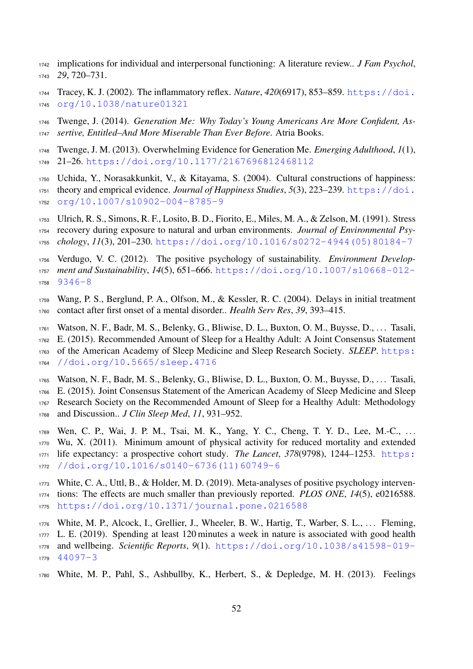- implications for individual and interpersonal functioning: A literature review.. *J Fam Psychol*, *29*, 720–731.
- <span id="page-51-3"></span> [T](https://doi.org/10.1038/nature01321)racey, K. J. (2002). The inflammatory reflex. *Nature*, *420*(6917), 853–859. [https://doi.](https://doi.org/10.1038/nature01321) [org/10.1038/nature01321](https://doi.org/10.1038/nature01321)
- <span id="page-51-6"></span> Twenge, J. (2014). *Generation Me: Why Today's Young Americans Are More Confident, As-sertive, Entitled–And More Miserable Than Ever Before*. Atria Books.
- <span id="page-51-5"></span> Twenge, J. M. (2013). Overwhelming Evidence for Generation Me. *Emerging Adulthood*, *1*(1), 21–26. <https://doi.org/10.1177/2167696812468112>
- <span id="page-51-7"></span> Uchida, Y., Norasakkunkit, V., & Kitayama, S. (2004). Cultural constructions of happiness: [t](https://doi.org/10.1007/s10902-004-8785-9)heory and emprical evidence. *Journal of Happiness Studies*, *5*(3), 223–239. [https://doi.](https://doi.org/10.1007/s10902-004-8785-9) [org/10.1007/s10902-004-8785-9](https://doi.org/10.1007/s10902-004-8785-9)
- <span id="page-51-9"></span> Ulrich, R. S., Simons, R. F., Losito, B. D., Fiorito, E., Miles, M. A., & Zelson, M. (1991). Stress recovery during exposure to natural and urban environments. *Journal of Environmental Psy-chology*, *11*(3), 201–230. [https://doi.org/10.1016/s0272-4944\(05\)80184-7](https://doi.org/10.1016/s0272-4944(05)80184-7)
- <span id="page-51-2"></span> Verdugo, V. C. (2012). The positive psychology of sustainability. *Environment Develop- [m](https://doi.org/10.1007/s10668-012-9346-8)ent and Sustainability*, *14*(5), 651–666. [https://doi.org/10.1007/s10668-012-](https://doi.org/10.1007/s10668-012-9346-8) [9346-8](https://doi.org/10.1007/s10668-012-9346-8)
- <span id="page-51-12"></span> Wang, P. S., Berglund, P. A., Olfson, M., & Kessler, R. C. (2004). Delays in initial treatment contact after first onset of a mental disorder.. *Health Serv Res*, *39*, 393–415.
- <span id="page-51-1"></span>Watson, N. F., Badr, M. S., Belenky, G., Bliwise, D. L., Buxton, O. M., Buysse, D., . . . Tasali,
- E. (2015). Recommended Amount of Sleep for a Healthy Adult: A Joint Consensus Statement [o](https://doi.org/10.5665/sleep.4716)f the American Academy of Sleep Medicine and Sleep Research Society. *SLEEP*. [https:](https://doi.org/10.5665/sleep.4716) [//doi.org/10.5665/sleep.4716](https://doi.org/10.5665/sleep.4716)
- <span id="page-51-4"></span>Watson, N. F., Badr, M. S., Belenky, G., Bliwise, D. L., Buxton, O. M., Buysse, D., . . . Tasali,
- E. (2015). Joint Consensus Statement of the American Academy of Sleep Medicine and Sleep
- Research Society on the Recommended Amount of Sleep for a Healthy Adult: Methodology
- and Discussion.. *J Clin Sleep Med*, *11*, 931–952.
- <span id="page-51-0"></span>Wen, C. P., Wai, J. P. M., Tsai, M. K., Yang, Y. C., Cheng, T. Y. D., Lee, M.-C., . . .
- Wu, X. (2011). Minimum amount of physical activity for reduced mortality and extended [l](https://doi.org/10.1016/s0140-6736(11)60749-6)ife expectancy: a prospective cohort study. *The Lancet*, *378*(9798), 1244–1253. [https:](https://doi.org/10.1016/s0140-6736(11)60749-6)
- [//doi.org/10.1016/s0140-6736\(11\)60749-6](https://doi.org/10.1016/s0140-6736(11)60749-6)
- <span id="page-51-11"></span> White, C. A., Uttl, B., & Holder, M. D. (2019). Meta-analyses of positive psychology interven- tions: The effects are much smaller than previously reported. *PLOS ONE*, *14*(5), e0216588. <https://doi.org/10.1371/journal.pone.0216588>
- <span id="page-51-8"></span>White, M. P., Alcock, I., Grellier, J., Wheeler, B. W., Hartig, T., Warber, S. L., . . . Fleming,
- L. E. (2019). Spending at least 120 minutes a week in nature is associated with good health
- [a](https://doi.org/10.1038/s41598-019-44097-3)nd wellbeing. *Scientific Reports*, *9*(1). [https://doi.org/10.1038/s41598-019-](https://doi.org/10.1038/s41598-019-44097-3)
- <span id="page-51-10"></span>[44097-3](https://doi.org/10.1038/s41598-019-44097-3)
- White, M. P., Pahl, S., Ashbullby, K., Herbert, S., & Depledge, M. H. (2013). Feelings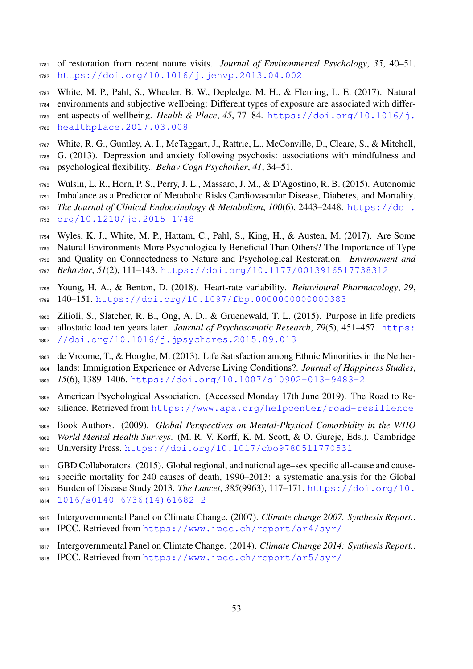- of restoration from recent nature visits. *Journal of Environmental Psychology*, *35*, 40–51. <https://doi.org/10.1016/j.jenvp.2013.04.002>
- <span id="page-52-10"></span> White, M. P., Pahl, S., Wheeler, B. W., Depledge, M. H., & Fleming, L. E. (2017). Natural environments and subjective wellbeing: Different types of exposure are associated with differ- [e](https://doi.org/10.1016/j.healthplace.2017.03.008)nt aspects of wellbeing. *Health & Place*, *45*, 77–84. [https://doi.org/10.1016/j.](https://doi.org/10.1016/j.healthplace.2017.03.008) [healthplace.2017.03.008](https://doi.org/10.1016/j.healthplace.2017.03.008)
- <span id="page-52-4"></span> White, R. G., Gumley, A. I., McTaggart, J., Rattrie, L., McConville, D., Cleare, S., & Mitchell, G. (2013). Depression and anxiety following psychosis: associations with mindfulness and psychological flexibility.. *Behav Cogn Psychother*, *41*, 34–51.
- <span id="page-52-3"></span>Wulsin, L. R., Horn, P. S., Perry, J. L., Massaro, J. M., & D'Agostino, R. B. (2015). Autonomic
- Imbalance as a Predictor of Metabolic Risks Cardiovascular Disease, Diabetes, and Mortality.
- *[T](https://doi.org/10.1210/jc.2015-1748)he Journal of Clinical Endocrinology & Metabolism*, *100*(6), 2443–2448. [https://doi.](https://doi.org/10.1210/jc.2015-1748) [org/10.1210/jc.2015-1748](https://doi.org/10.1210/jc.2015-1748)
- <span id="page-52-9"></span>Wyles, K. J., White, M. P., Hattam, C., Pahl, S., King, H., & Austen, M. (2017). Are Some
- Natural Environments More Psychologically Beneficial Than Others? The Importance of Type
- and Quality on Connectedness to Nature and Psychological Restoration. *Environment and*
- <span id="page-52-5"></span>*Behavior*, *51*(2), 111–143. <https://doi.org/10.1177/0013916517738312>
- Young, H. A., & Benton, D. (2018). Heart-rate variability. *Behavioural Pharmacology*, *29*, 140–151. <https://doi.org/10.1097/fbp.0000000000000383>
- <span id="page-52-11"></span> Zilioli, S., Slatcher, R. B., Ong, A. D., & Gruenewald, T. L. (2015). Purpose in life predicts [a](https://doi.org/10.1016/j.jpsychores.2015.09.013)llostatic load ten years later. *Journal of Psychosomatic Research*, *79*(5), 451–457. [https:](https://doi.org/10.1016/j.jpsychores.2015.09.013) [//doi.org/10.1016/j.jpsychores.2015.09.013](https://doi.org/10.1016/j.jpsychores.2015.09.013)
- <span id="page-52-6"></span> de Vroome, T., & Hooghe, M. (2013). Life Satisfaction among Ethnic Minorities in the Nether- lands: Immigration Experience or Adverse Living Conditions?. *Journal of Happiness Studies*, *15*(6), 1389–1406. <https://doi.org/10.1007/s10902-013-9483-2>
- <span id="page-52-2"></span> American Psychological Association. (Accessed Monday 17th June 2019). The Road to Re-silience. Retrieved from <https://www.apa.org/helpcenter/road-resilience>
- <span id="page-52-12"></span>Book Authors. (2009). *Global Perspectives on Mental-Physical Comorbidity in the WHO*
- *World Mental Health Surveys*. (M. R. V. Korff, K. M. Scott, & O. Gureje, Eds.). Cambridge University Press. <https://doi.org/10.1017/cbo9780511770531>
- <span id="page-52-1"></span> GBD Collaborators. (2015). Global regional, and national age–sex specific all-cause and cause- specific mortality for 240 causes of death, 1990–2013: a systematic analysis for the Global [B](https://doi.org/10.1016/s0140-6736(14)61682-2)urden of Disease Study 2013. *The Lancet*, *385*(9963), 117–171. [https://doi.org/10.](https://doi.org/10.1016/s0140-6736(14)61682-2)
- [1016/s0140-6736\(14\)61682-2](https://doi.org/10.1016/s0140-6736(14)61682-2)
- <span id="page-52-7"></span>Intergovernmental Panel on Climate Change. (2007). *Climate change 2007. Synthesis Report.*.
- <span id="page-52-8"></span>IPCC. Retrieved from <https://www.ipcc.ch/report/ar4/syr/>
- Intergovernmental Panel on Climate Change. (2014). *Climate Change 2014: Synthesis Report.*.
- <span id="page-52-0"></span>IPCC. Retrieved from <https://www.ipcc.ch/report/ar5/syr/>